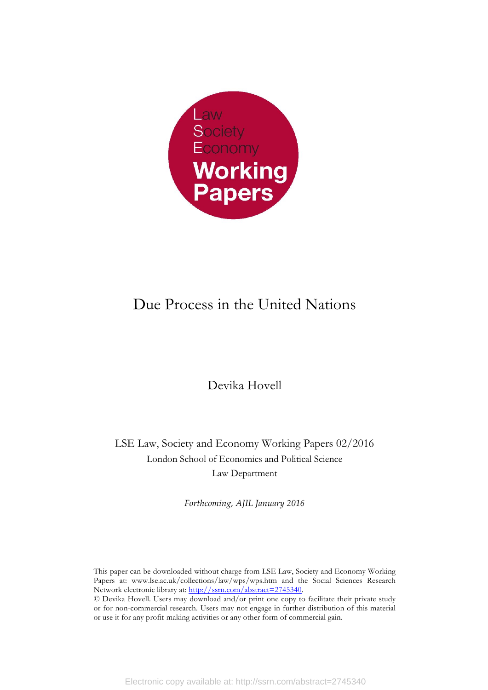

# Due Process in the United Nations

Devika Hovell

LSE Law, Society and Economy Working Papers 02/2016 London School of Economics and Political Science Law Department

*Forthcoming, AJIL January 2016*

This paper can be downloaded without charge from LSE Law, Society and Economy Working Papers at: www.lse.ac.uk/collections/law/wps/wps.htm and the Social Sciences Research Network electronic library at: http://ssrn.com/abstract=2745340. © Devika Hovell. Users may download and/or print one copy to facilitate their private study or for non-commercial research. Users may not engage in further distribution of this material

or use it for any profit-making activities or any other form of commercial gain.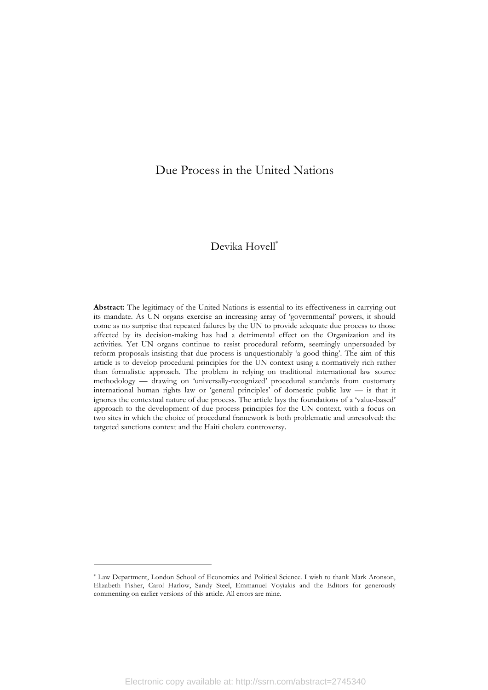# Due Process in the United Nations

# Devika Hovell\*

**Abstract:** The legitimacy of the United Nations is essential to its effectiveness in carrying out its mandate. As UN organs exercise an increasing array of 'governmental' powers, it should come as no surprise that repeated failures by the UN to provide adequate due process to those affected by its decision-making has had a detrimental effect on the Organization and its activities. Yet UN organs continue to resist procedural reform, seemingly unpersuaded by reform proposals insisting that due process is unquestionably 'a good thing'. The aim of this article is to develop procedural principles for the UN context using a normatively rich rather than formalistic approach. The problem in relying on traditional international law source methodology — drawing on 'universally-recognized' procedural standards from customary international human rights law or 'general principles' of domestic public law — is that it ignores the contextual nature of due process. The article lays the foundations of a 'value-based' approach to the development of due process principles for the UN context, with a focus on two sites in which the choice of procedural framework is both problematic and unresolved: the targeted sanctions context and the Haiti cholera controversy.

<sup>\*</sup> Law Department, London School of Economics and Political Science. I wish to thank Mark Aronson, Elizabeth Fisher, Carol Harlow, Sandy Steel, Emmanuel Voyiakis and the Editors for generously commenting on earlier versions of this article. All errors are mine.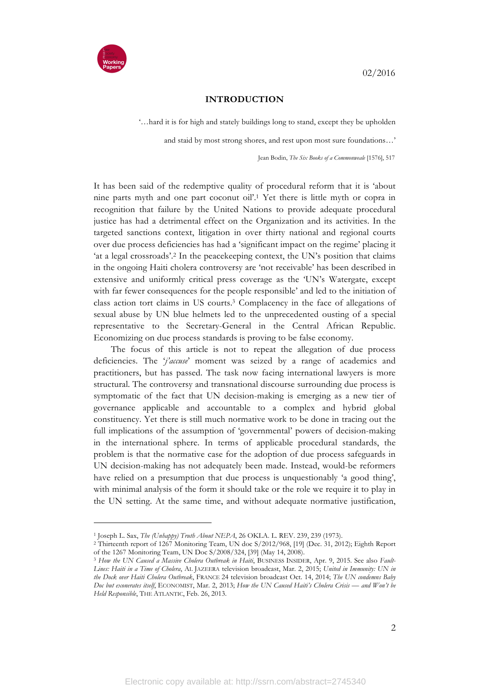

#### **INTRODUCTION**

'…hard it is for high and stately buildings long to stand, except they be upholden

and staid by most strong shores, and rest upon most sure foundations…'

Jean Bodin, *The Six Books of a Commonweale* [1576], 517

It has been said of the redemptive quality of procedural reform that it is 'about nine parts myth and one part coconut oil'.1 Yet there is little myth or copra in recognition that failure by the United Nations to provide adequate procedural justice has had a detrimental effect on the Organization and its activities. In the targeted sanctions context, litigation in over thirty national and regional courts over due process deficiencies has had a 'significant impact on the regime' placing it 'at a legal crossroads'.2 In the peacekeeping context, the UN's position that claims in the ongoing Haiti cholera controversy are 'not receivable' has been described in extensive and uniformly critical press coverage as the 'UN's Watergate, except with far fewer consequences for the people responsible' and led to the initiation of class action tort claims in US courts.3 Complacency in the face of allegations of sexual abuse by UN blue helmets led to the unprecedented ousting of a special representative to the Secretary-General in the Central African Republic. Economizing on due process standards is proving to be false economy.

The focus of this article is not to repeat the allegation of due process deficiencies. The '*j'accuse*' moment was seized by a range of academics and practitioners, but has passed. The task now facing international lawyers is more structural. The controversy and transnational discourse surrounding due process is symptomatic of the fact that UN decision-making is emerging as a new tier of governance applicable and accountable to a complex and hybrid global constituency. Yet there is still much normative work to be done in tracing out the full implications of the assumption of 'governmental' powers of decision-making in the international sphere. In terms of applicable procedural standards, the problem is that the normative case for the adoption of due process safeguards in UN decision-making has not adequately been made. Instead, would-be reformers have relied on a presumption that due process is unquestionably 'a good thing', with minimal analysis of the form it should take or the role we require it to play in the UN setting. At the same time, and without adequate normative justification,

<sup>&</sup>lt;sup>1</sup> Joseph L. Sax, *The (Unhappy) Truth About NEPA*, 26 OKLA. L. REV. 239, 239 (1973).<br><sup>2</sup> Thirteenth report of 1267 Monitoring Team, UN doc S/2012/968, [19] (Dec. 31, 2012); Eighth Report of the 1267 Monitoring Team, UN D

<sup>&</sup>lt;sup>3</sup> How the UN Caused a Massive Cholera Outbreak in Haiti, BUSINESS INSIDER, Apr. 9, 2015. See also *Fault-Lines: Haiti in a Time of Cholera*, AL JAZEERA television broadcast, Mar. 2, 2015; *United in Immunity: UN in the Dock over Haiti Cholera Outbreak*, FRANCE 24 television broadcast Oct. 14, 2014; *The UN condemns Baby Doc but exonerates itself*, ECONOMIST, Mar. 2, 2013; *How the UN Caused Haiti's Cholera Crisis — and Won't be Held Responsible*, THE ATLANTIC, Feb. 26, 2013.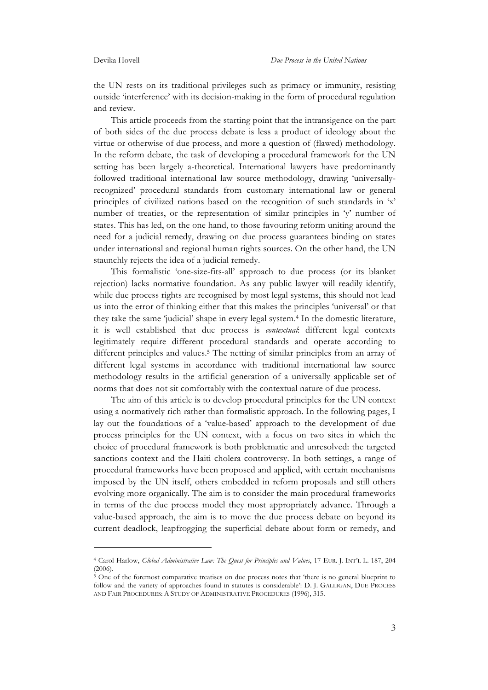the UN rests on its traditional privileges such as primacy or immunity, resisting outside 'interference' with its decision-making in the form of procedural regulation and review.

This article proceeds from the starting point that the intransigence on the part of both sides of the due process debate is less a product of ideology about the virtue or otherwise of due process, and more a question of (flawed) methodology. In the reform debate, the task of developing a procedural framework for the UN setting has been largely a-theoretical. International lawyers have predominantly followed traditional international law source methodology, drawing 'universallyrecognized' procedural standards from customary international law or general principles of civilized nations based on the recognition of such standards in 'x' number of treaties, or the representation of similar principles in 'y' number of states. This has led, on the one hand, to those favouring reform uniting around the need for a judicial remedy, drawing on due process guarantees binding on states under international and regional human rights sources. On the other hand, the UN staunchly rejects the idea of a judicial remedy.

This formalistic 'one-size-fits-all' approach to due process (or its blanket rejection) lacks normative foundation. As any public lawyer will readily identify, while due process rights are recognised by most legal systems, this should not lead us into the error of thinking either that this makes the principles 'universal' or that they take the same 'judicial' shape in every legal system.4 In the domestic literature, it is well established that due process is *contextual*: different legal contexts legitimately require different procedural standards and operate according to different principles and values.<sup>5</sup> The netting of similar principles from an array of different legal systems in accordance with traditional international law source methodology results in the artificial generation of a universally applicable set of norms that does not sit comfortably with the contextual nature of due process.

The aim of this article is to develop procedural principles for the UN context using a normatively rich rather than formalistic approach. In the following pages, I lay out the foundations of a 'value-based' approach to the development of due process principles for the UN context, with a focus on two sites in which the choice of procedural framework is both problematic and unresolved: the targeted sanctions context and the Haiti cholera controversy. In both settings, a range of procedural frameworks have been proposed and applied, with certain mechanisms imposed by the UN itself, others embedded in reform proposals and still others evolving more organically. The aim is to consider the main procedural frameworks in terms of the due process model they most appropriately advance. Through a value-based approach, the aim is to move the due process debate on beyond its current deadlock, leapfrogging the superficial debate about form or remedy, and

<sup>4</sup> Carol Harlow, *Global Administrative Law: The Quest for Principles and Values*, 17 EUR. J. INT'L L. 187, 204  $(2006)$ .

<sup>&</sup>lt;sup>5</sup> One of the foremost comparative treatises on due process notes that 'there is no general blueprint to follow and the variety of approaches found in statutes is considerable': D. J. GALLIGAN, DUE PROCESS AND FAIR PROCEDURES: A STUDY OF ADMINISTRATIVE PROCEDURES (1996), 315.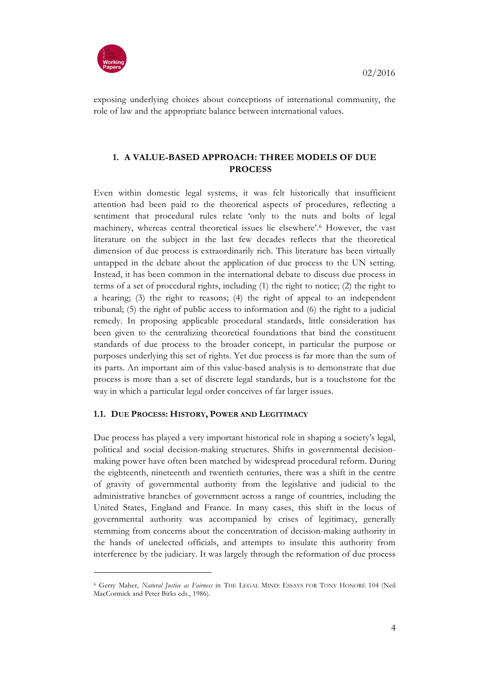

exposing underlying choices about conceptions of international community, the role of law and the appropriate balance between international values.

# **1. A VALUE-BASED APPROACH: THREE MODELS OF DUE PROCESS**

Even within domestic legal systems, it was felt historically that insufficient attention had been paid to the theoretical aspects of procedures, reflecting a sentiment that procedural rules relate 'only to the nuts and bolts of legal machinery, whereas central theoretical issues lie elsewhere'.6 However, the vast literature on the subject in the last few decades reflects that the theoretical dimension of due process is extraordinarily rich. This literature has been virtually untapped in the debate about the application of due process to the UN setting. Instead, it has been common in the international debate to discuss due process in terms of a set of procedural rights, including (1) the right to notice; (2) the right to a hearing; (3) the right to reasons; (4) the right of appeal to an independent tribunal; (5) the right of public access to information and (6) the right to a judicial remedy. In proposing applicable procedural standards, little consideration has been given to the centralizing theoretical foundations that bind the constituent standards of due process to the broader concept, in particular the purpose or purposes underlying this set of rights. Yet due process is far more than the sum of its parts. An important aim of this value-based analysis is to demonstrate that due process is more than a set of discrete legal standards, but is a touchstone for the way in which a particular legal order conceives of far larger issues.

# **1.1. DUE PROCESS: HISTORY, POWER AND LEGITIMACY**

Due process has played a very important historical role in shaping a society's legal, political and social decision-making structures. Shifts in governmental decisionmaking power have often been matched by widespread procedural reform. During the eighteenth, nineteenth and twentieth centuries, there was a shift in the centre of gravity of governmental authority from the legislative and judicial to the administrative branches of government across a range of countries, including the United States, England and France. In many cases, this shift in the locus of governmental authority was accompanied by crises of legitimacy, generally stemming from concerns about the concentration of decision-making authority in the hands of unelected officials, and attempts to insulate this authority from interference by the judiciary. It was largely through the reformation of due process

<sup>6</sup> Gerry Maher, *Natural Justice as Fairness* in THE LEGAL MIND: ESSAYS FOR TONY HONORÉ 104 (Neil MacCormick and Peter Birks eds., 1986).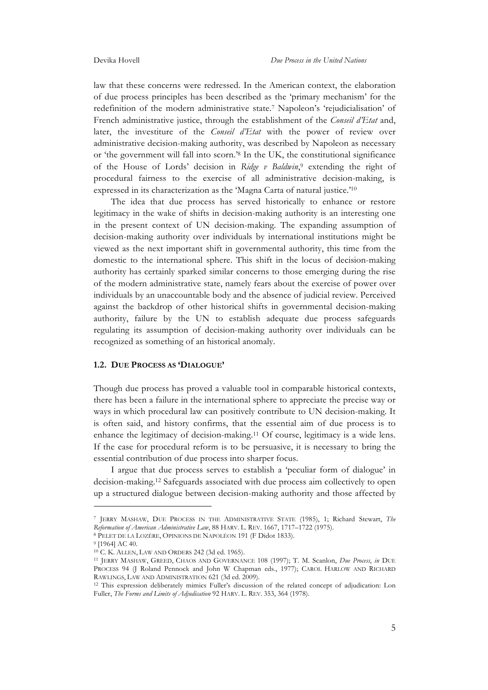law that these concerns were redressed. In the American context, the elaboration of due process principles has been described as the 'primary mechanism' for the redefinition of the modern administrative state.7 Napoleon's 'rejudicialisation' of French administrative justice, through the establishment of the *Conseil d'Etat* and, later, the investiture of the *Conseil d'Etat* with the power of review over administrative decision-making authority, was described by Napoleon as necessary or 'the government will fall into scorn.'8 In the UK, the constitutional significance of the House of Lords' decision in *Ridge v Baldwin*,9 extending the right of procedural fairness to the exercise of all administrative decision-making, is expressed in its characterization as the 'Magna Carta of natural justice.'10

The idea that due process has served historically to enhance or restore legitimacy in the wake of shifts in decision-making authority is an interesting one in the present context of UN decision-making. The expanding assumption of decision-making authority over individuals by international institutions might be viewed as the next important shift in governmental authority, this time from the domestic to the international sphere. This shift in the locus of decision-making authority has certainly sparked similar concerns to those emerging during the rise of the modern administrative state, namely fears about the exercise of power over individuals by an unaccountable body and the absence of judicial review. Perceived against the backdrop of other historical shifts in governmental decision-making authority, failure by the UN to establish adequate due process safeguards regulating its assumption of decision-making authority over individuals can be recognized as something of an historical anomaly.

#### **1.2. DUE PROCESS AS 'DIALOGUE'**

Though due process has proved a valuable tool in comparable historical contexts, there has been a failure in the international sphere to appreciate the precise way or ways in which procedural law can positively contribute to UN decision-making. It is often said, and history confirms, that the essential aim of due process is to enhance the legitimacy of decision-making.11 Of course, legitimacy is a wide lens. If the case for procedural reform is to be persuasive, it is necessary to bring the essential contribution of due process into sharper focus.

I argue that due process serves to establish a 'peculiar form of dialogue' in decision-making.12 Safeguards associated with due process aim collectively to open up a structured dialogue between decision-making authority and those affected by

<sup>7</sup> JERRY MASHAW, DUE PROCESS IN THE ADMINISTRATIVE STATE (1985), 1; Richard Stewart, *The Reformation of American Administrative Law*, 88 HARV. L. REV. 1667, 1717–1722 (1975). 8 PELET DE LA LOZÈRE, OPINIONS DE NAPOLÉON 191 (F Didot 1833). 9 [1964] AC 40.

<sup>10</sup> C. K. ALLEN, LAW AND ORDERS 242 (3d ed. 1965).

<sup>11</sup> JERRY MASHAW, GREED, CHAOS AND GOVERNANCE 108 (1997); T. M. Scanlon, *Due Process*, *in* DUE PROCESS 94 (J Roland Pennock and John W Chapman eds., 1977); CAROL HARLOW AND RICHARD RAWLINGS, LAW AND ADMINISTRATION 621 (3d ed. 2009).

<sup>12</sup> This expression deliberately mimics Fuller's discussion of the related concept of adjudication: Lon Fuller, *The Forms and Limits of Adjudication* 92 HARV. L. REV. 353, 364 (1978).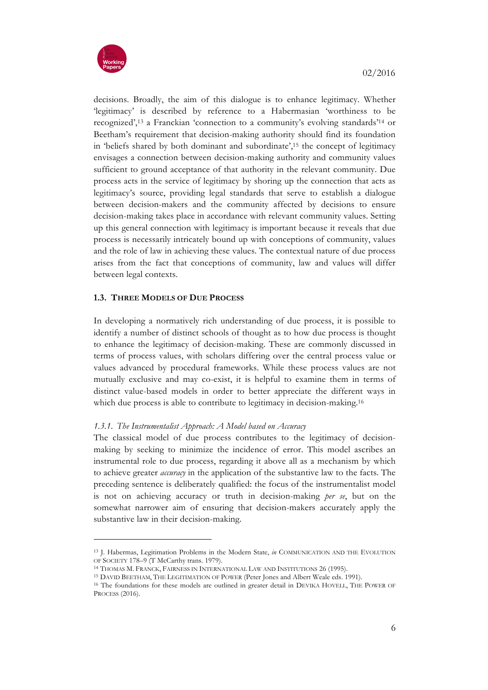

decisions. Broadly, the aim of this dialogue is to enhance legitimacy. Whether 'legitimacy' is described by reference to a Habermasian 'worthiness to be recognized',13 a Franckian 'connection to a community's evolving standards'14 or Beetham's requirement that decision-making authority should find its foundation in 'beliefs shared by both dominant and subordinate',15 the concept of legitimacy envisages a connection between decision-making authority and community values sufficient to ground acceptance of that authority in the relevant community. Due process acts in the service of legitimacy by shoring up the connection that acts as legitimacy's source, providing legal standards that serve to establish a dialogue between decision-makers and the community affected by decisions to ensure decision-making takes place in accordance with relevant community values. Setting up this general connection with legitimacy is important because it reveals that due process is necessarily intricately bound up with conceptions of community, values and the role of law in achieving these values. The contextual nature of due process arises from the fact that conceptions of community, law and values will differ between legal contexts.

# **1.3. THREE MODELS OF DUE PROCESS**

In developing a normatively rich understanding of due process, it is possible to identify a number of distinct schools of thought as to how due process is thought to enhance the legitimacy of decision-making. These are commonly discussed in terms of process values, with scholars differing over the central process value or values advanced by procedural frameworks. While these process values are not mutually exclusive and may co-exist, it is helpful to examine them in terms of distinct value-based models in order to better appreciate the different ways in which due process is able to contribute to legitimacy in decision-making.<sup>16</sup>

# *1.3.1. The Instrumentalist Approach: A Model based on Accuracy*

The classical model of due process contributes to the legitimacy of decisionmaking by seeking to minimize the incidence of error. This model ascribes an instrumental role to due process, regarding it above all as a mechanism by which to achieve greater *accuracy* in the application of the substantive law to the facts. The preceding sentence is deliberately qualified: the focus of the instrumentalist model is not on achieving accuracy or truth in decision-making *per se*, but on the somewhat narrower aim of ensuring that decision-makers accurately apply the substantive law in their decision-making.

<sup>13</sup> J. Habermas, Legitimation Problems in the Modern State, *in* COMMUNICATION AND THE EVOLUTION OF SOCIETY 178-9 (T McCarthy trans. 1979).

<sup>14</sup> THOMAS M. FRANCK, FAIRNESS IN INTERNATIONAL LAW AND INSTITUTIONS 26 (1995).

<sup>15</sup> DAVID BEETHAM, THE LEGITIMATION OF POWER (Peter Jones and Albert Weale eds. 1991).

<sup>&</sup>lt;sup>16</sup> The foundations for these models are outlined in greater detail in DEVIKA HOVELL, THE POWER OF PROCESS (2016).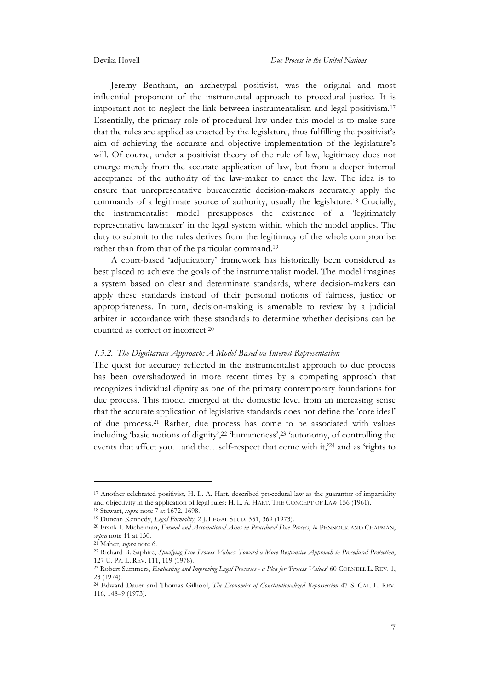Jeremy Bentham, an archetypal positivist, was the original and most influential proponent of the instrumental approach to procedural justice. It is important not to neglect the link between instrumentalism and legal positivism.17 Essentially, the primary role of procedural law under this model is to make sure that the rules are applied as enacted by the legislature, thus fulfilling the positivist's aim of achieving the accurate and objective implementation of the legislature's will. Of course, under a positivist theory of the rule of law, legitimacy does not emerge merely from the accurate application of law, but from a deeper internal acceptance of the authority of the law-maker to enact the law. The idea is to ensure that unrepresentative bureaucratic decision-makers accurately apply the commands of a legitimate source of authority, usually the legislature.18 Crucially, the instrumentalist model presupposes the existence of a 'legitimately representative lawmaker' in the legal system within which the model applies. The duty to submit to the rules derives from the legitimacy of the whole compromise rather than from that of the particular command.19

A court-based 'adjudicatory' framework has historically been considered as best placed to achieve the goals of the instrumentalist model. The model imagines a system based on clear and determinate standards, where decision-makers can apply these standards instead of their personal notions of fairness, justice or appropriateness. In turn, decision-making is amenable to review by a judicial arbiter in accordance with these standards to determine whether decisions can be counted as correct or incorrect.20

#### *1.3.2. The Dignitarian Approach: A Model Based on Interest Representation*

The quest for accuracy reflected in the instrumentalist approach to due process has been overshadowed in more recent times by a competing approach that recognizes individual dignity as one of the primary contemporary foundations for due process. This model emerged at the domestic level from an increasing sense that the accurate application of legislative standards does not define the 'core ideal' of due process.21 Rather, due process has come to be associated with values including 'basic notions of dignity',22 'humaneness',23 'autonomy, of controlling the events that affect you…and the…self-respect that come with it,'24 and as 'rights to

<sup>17</sup> Another celebrated positivist, H. L. A. Hart, described procedural law as the guarantor of impartiality and objectivity in the application of legal rules: H. L. A. HART, THE CONCEPT OF LAW 156 (1961).

<sup>&</sup>lt;sup>18</sup> Stewart, *supra* note 7 at 1672, 1698.<br><sup>19</sup> Duncan Kennedy, *Legal Formality*, 2 J. LEGAL STUD. 351, 369 (1973).

<sup>&</sup>lt;sup>20</sup> Frank I. Michelman, *Formal and Associational Aims in Procedural Due Process*, *in* PENNOCK AND CHAPMAN, *supra* note 11 at 130.

<sup>21</sup> Maher, *supra* note 6. 22 Richard B. Saphire, *Specifying Due Process Values: Toward a More Responsive Approach to Procedural Protection*, 127 U. PA. L. REV. 111, 119 (1978).

<sup>23</sup> Robert Summers, *Evaluating and Improving Legal Processes - a Plea for 'Process Values'* 60 CORNELL L. REV. 1, 23 (1974).

<sup>24</sup> Edward Dauer and Thomas Gilhool, *The Economics of Constitutionalized Repossession* 47 S. CAL. L. REV. 116, 148–9 (1973).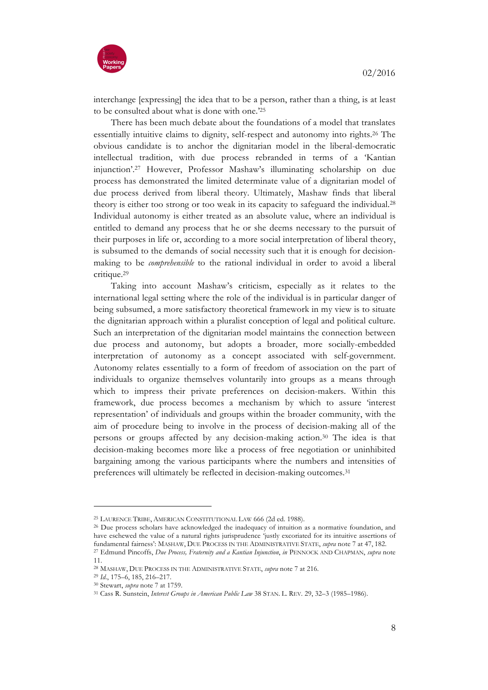

interchange [expressing] the idea that to be a person, rather than a thing, is at least to be consulted about what is done with one.'25

There has been much debate about the foundations of a model that translates essentially intuitive claims to dignity, self-respect and autonomy into rights.26 The obvious candidate is to anchor the dignitarian model in the liberal-democratic intellectual tradition, with due process rebranded in terms of a 'Kantian injunction'.27 However, Professor Mashaw's illuminating scholarship on due process has demonstrated the limited determinate value of a dignitarian model of due process derived from liberal theory. Ultimately, Mashaw finds that liberal theory is either too strong or too weak in its capacity to safeguard the individual.28 Individual autonomy is either treated as an absolute value, where an individual is entitled to demand any process that he or she deems necessary to the pursuit of their purposes in life or, according to a more social interpretation of liberal theory, is subsumed to the demands of social necessity such that it is enough for decisionmaking to be *comprehensible* to the rational individual in order to avoid a liberal critique.29

Taking into account Mashaw's criticism, especially as it relates to the international legal setting where the role of the individual is in particular danger of being subsumed, a more satisfactory theoretical framework in my view is to situate the dignitarian approach within a pluralist conception of legal and political culture. Such an interpretation of the dignitarian model maintains the connection between due process and autonomy, but adopts a broader, more socially-embedded interpretation of autonomy as a concept associated with self-government. Autonomy relates essentially to a form of freedom of association on the part of individuals to organize themselves voluntarily into groups as a means through which to impress their private preferences on decision-makers. Within this framework, due process becomes a mechanism by which to assure 'interest representation' of individuals and groups within the broader community, with the aim of procedure being to involve in the process of decision-making all of the persons or groups affected by any decision-making action.30 The idea is that decision-making becomes more like a process of free negotiation or uninhibited bargaining among the various participants where the numbers and intensities of preferences will ultimately be reflected in decision-making outcomes.31

<sup>25</sup> LAURENCE TRIBE, AMERICAN CONSTITUTIONAL LAW 666 (2d ed. 1988).

<sup>&</sup>lt;sup>26</sup> Due process scholars have acknowledged the inadequacy of intuition as a normative foundation, and have eschewed the value of a natural rights jurisprudence 'justly excoriated for its intuitive assertions of fundamental fairness': MASHAW, DUE PROCESS IN THE ADMINISTRATIVE STATE, *supra* note 7 at 47, 182.<br><sup>27</sup> Edmund Pincoffs, *Due Process*, *Fraternity and a Kantian Injunction*, *in* PENNOCK AND CHAPMAN, *supra* note

<sup>11.</sup> <sup>28</sup> MASHAW, DUE PROCESS IN THE ADMINISTRATIVE STATE, *supra* note 7 at 216.

<sup>29</sup> *Id*., 175–6, 185, 216–217.

<sup>30</sup> Stewart, *supra* note 7 at 1759.

<sup>31</sup> Cass R. Sunstein, *Interest Groups in American Public Law* 38 STAN. L. REV. 29, 32–3 (1985–1986).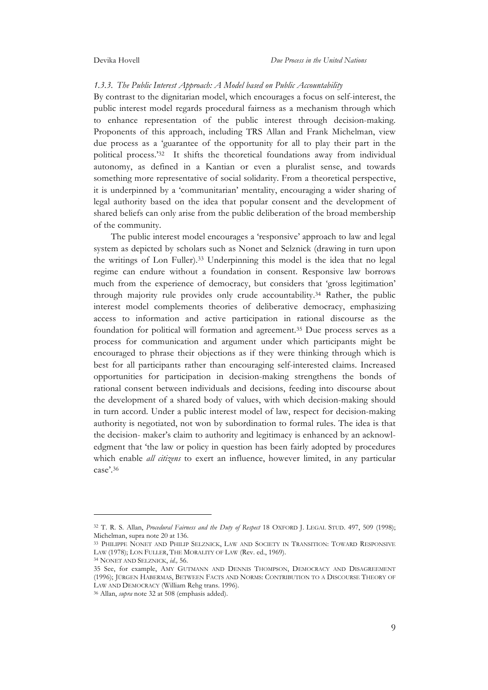#### *1.3.3. The Public Interest Approach: A Model based on Public Accountability*

By contrast to the dignitarian model, which encourages a focus on self-interest, the public interest model regards procedural fairness as a mechanism through which to enhance representation of the public interest through decision-making. Proponents of this approach, including TRS Allan and Frank Michelman, view due process as a 'guarantee of the opportunity for all to play their part in the political process.'32 It shifts the theoretical foundations away from individual autonomy, as defined in a Kantian or even a pluralist sense, and towards something more representative of social solidarity. From a theoretical perspective, it is underpinned by a 'communitarian' mentality, encouraging a wider sharing of legal authority based on the idea that popular consent and the development of shared beliefs can only arise from the public deliberation of the broad membership of the community.

The public interest model encourages a 'responsive' approach to law and legal system as depicted by scholars such as Nonet and Selznick (drawing in turn upon the writings of Lon Fuller).33 Underpinning this model is the idea that no legal regime can endure without a foundation in consent. Responsive law borrows much from the experience of democracy, but considers that 'gross legitimation' through majority rule provides only crude accountability.34 Rather, the public interest model complements theories of deliberative democracy, emphasizing access to information and active participation in rational discourse as the foundation for political will formation and agreement.35 Due process serves as a process for communication and argument under which participants might be encouraged to phrase their objections as if they were thinking through which is best for all participants rather than encouraging self-interested claims. Increased opportunities for participation in decision-making strengthens the bonds of rational consent between individuals and decisions, feeding into discourse about the development of a shared body of values, with which decision-making should in turn accord. Under a public interest model of law, respect for decision-making authority is negotiated, not won by subordination to formal rules. The idea is that the decision- maker's claim to authority and legitimacy is enhanced by an acknowledgment that 'the law or policy in question has been fairly adopted by procedures which enable *all citizens* to exert an influence, however limited, in any particular case'.36

<sup>32</sup> T. R. S. Allan, *Procedural Fairness and the Duty of Respect* 18 OXFORD J. LEGAL STUD. 497, 509 (1998); Michelman, supra note 20 at 136.

<sup>33</sup> PHILIPPE NONET AND PHILIP SELZNICK, LAW AND SOCIETY IN TRANSITION: TOWARD RESPONSIVE LAW (1978); LON FULLER, THE MORALITY OF LAW (Rev. ed., 1969). <sup>34</sup> NONET AND SELZNICK, *id.,* 56.

<sup>35</sup> See, for example, AMY GUTMANN AND DENNIS THOMPSON, DEMOCRACY AND DISAGREEMENT (1996); JÜRGEN HABERMAS, BETWEEN FACTS AND NORMS: CONTRIBUTION TO A DISCOURSE THEORY OF

LAW AND DEMOCRACY (William Rehg trans. 1996). 36 Allan, *supra* note 32 at 508 (emphasis added).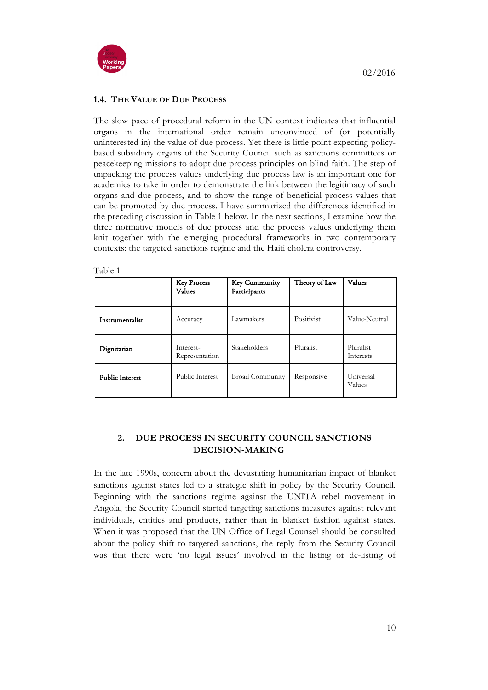

# **1.4. THE VALUE OF DUE PROCESS**

The slow pace of procedural reform in the UN context indicates that influential organs in the international order remain unconvinced of (or potentially uninterested in) the value of due process. Yet there is little point expecting policybased subsidiary organs of the Security Council such as sanctions committees or peacekeeping missions to adopt due process principles on blind faith. The step of unpacking the process values underlying due process law is an important one for academics to take in order to demonstrate the link between the legitimacy of such organs and due process, and to show the range of beneficial process values that can be promoted by due process. I have summarized the differences identified in the preceding discussion in Table 1 below. In the next sections, I examine how the three normative models of due process and the process values underlying them knit together with the emerging procedural frameworks in two contemporary contexts: the targeted sanctions regime and the Haiti cholera controversy.

Table 1

|                        | <b>Key Process</b><br>Values | <b>Key Community</b><br>Participants | Theory of Law | Values                 |
|------------------------|------------------------------|--------------------------------------|---------------|------------------------|
| Instrumentalist        | Accuracy                     | Lawmakers                            | Positivist    | Value-Neutral          |
| Dignitarian            | Interest-<br>Representation  | Stakeholders                         | Pluralist     | Pluralist<br>Interests |
| <b>Public Interest</b> | Public Interest              | <b>Broad Community</b>               | Responsive    | Universal<br>Values    |

# **2. DUE PROCESS IN SECURITY COUNCIL SANCTIONS DECISION-MAKING**

In the late 1990s, concern about the devastating humanitarian impact of blanket sanctions against states led to a strategic shift in policy by the Security Council. Beginning with the sanctions regime against the UNITA rebel movement in Angola, the Security Council started targeting sanctions measures against relevant individuals, entities and products, rather than in blanket fashion against states. When it was proposed that the UN Office of Legal Counsel should be consulted about the policy shift to targeted sanctions, the reply from the Security Council was that there were 'no legal issues' involved in the listing or de-listing of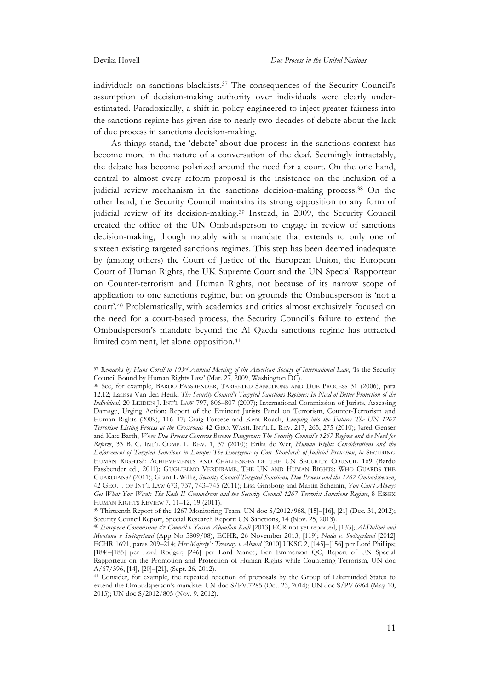1

individuals on sanctions blacklists.37 The consequences of the Security Council's assumption of decision-making authority over individuals were clearly underestimated. Paradoxically, a shift in policy engineered to inject greater fairness into the sanctions regime has given rise to nearly two decades of debate about the lack of due process in sanctions decision-making.

As things stand, the 'debate' about due process in the sanctions context has become more in the nature of a conversation of the deaf. Seemingly intractably, the debate has become polarized around the need for a court. On the one hand, central to almost every reform proposal is the insistence on the inclusion of a judicial review mechanism in the sanctions decision-making process.38 On the other hand, the Security Council maintains its strong opposition to any form of judicial review of its decision-making.39 Instead, in 2009, the Security Council created the office of the UN Ombudsperson to engage in review of sanctions decision-making, though notably with a mandate that extends to only one of sixteen existing targeted sanctions regimes. This step has been deemed inadequate by (among others) the Court of Justice of the European Union, the European Court of Human Rights, the UK Supreme Court and the UN Special Rapporteur on Counter-terrorism and Human Rights, not because of its narrow scope of application to one sanctions regime, but on grounds the Ombudsperson is 'not a court'.40 Problematically, with academics and critics almost exclusively focused on the need for a court-based process, the Security Council's failure to extend the Ombudsperson's mandate beyond the Al Qaeda sanctions regime has attracted limited comment, let alone opposition.41

<sup>37</sup> *Remarks by Hans Corell to 103rd Annual Meeting of the American Society of International Law*, 'Is the Security Council Bound by Human Rights Law' (Mar. 27, 2009, Washington DC).

<sup>38</sup> See, for example, BARDO FASSBENDER, TARGETED SANCTIONS AND DUE PROCESS 31 (2006), para 12.12; Larissa Van den Herik, *The Security Council's Targeted Sanctions Regimes: In Need of Better Protection of the Individual*, 20 LEIDEN J. INT'L LAW 797, 806–807 (2007); International Commission of Jurists, Assessing Damage, Urging Action: Report of the Eminent Jurists Panel on Terrorism, Counter-Terrorism and Human Rights (2009), 116–17; Craig Forcese and Kent Roach, *Limping into the Future: The UN 1267 Terrorism Listing Process at the Crossroads* 42 GEO. WASH. INT'L L. REV. 217, 265, 275 (2010); Jared Genser and Kate Barth, *When Due Process Concerns Become Dangerous: The Security Council's 1267 Regime and the Need for Reform*, 33 B. C. INT'L COMP. L. REV. 1, 37 (2010); Erika de Wet, *Human Rights Considerations and the Enforcement of Targeted Sanctions in Europe: The Emergence of Core Standards of Judicial Protection*, *in* SECURING HUMAN RIGHTS?: ACHIEVEMENTS AND CHALLENGES OF THE UN SECURITY COUNCIL 169 (Bardo Fassbender ed., 2011); GUGLIELMO VERDIRAME, THE UN AND HUMAN RIGHTS: WHO GUARDS THE GUARDIANS? (2011); Grant L Willis, *Security Council Targeted Sanctions, Due Process and the 1267 Ombudsperson*, 42 GEO. J. OF INT'L LAW 673, 737, 743–745 (2011); Lisa Ginsborg and Martin Scheinin, *You Can't Always Get What You Want: The Kadi II Conundrum and the Security Council 1267 Terrorist Sanctions Regime*, 8 ESSEX HUMAN RIGHTS REVIEW 7, 11–12, 19 (2011).

<sup>39</sup> Thirteenth Report of the 1267 Monitoring Team, UN doc S/2012/968, [15]–[16], [21] (Dec. 31, 2012); Security Council Report, Special Research Report: UN Sanctions, 14 (Nov. 25, 2013).

<sup>40</sup> *European Commission & Council v Yassin Abdullah Kadi* [2013] ECR not yet reported, [133]; *Al-Dulimi and Montana v Switzerland* (App No 5809/08), ECHR, 26 November 2013, [119]; *Nada v. Switzerland* [2012] ECHR 1691, paras 209–214; *Her Majesty's Treasury v Ahmed* [2010] UKSC 2, [145]–[156] per Lord Phillips; [184]–[185] per Lord Rodger; [246] per Lord Mance; Ben Emmerson QC, Report of UN Special Rapporteur on the Promotion and Protection of Human Rights while Countering Terrorism, UN doc A/67/396, [14], [20]–[21], (Sept. 26, 2012).

<sup>&</sup>lt;sup>41</sup> Consider, for example, the repeated rejection of proposals by the Group of Likeminded States to extend the Ombudsperson's mandate: UN doc S/PV.7285 (Oct. 23, 2014); UN doc S/PV.6964 (May 10, 2013); UN doc S/2012/805 (Nov. 9, 2012).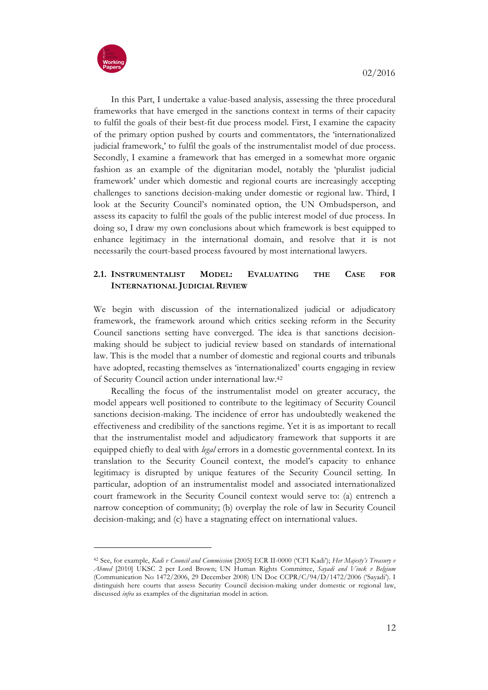

In this Part, I undertake a value-based analysis, assessing the three procedural frameworks that have emerged in the sanctions context in terms of their capacity to fulfil the goals of their best-fit due process model. First, I examine the capacity of the primary option pushed by courts and commentators, the 'internationalized judicial framework,' to fulfil the goals of the instrumentalist model of due process. Secondly, I examine a framework that has emerged in a somewhat more organic fashion as an example of the dignitarian model, notably the 'pluralist judicial framework' under which domestic and regional courts are increasingly accepting challenges to sanctions decision-making under domestic or regional law. Third, I look at the Security Council's nominated option, the UN Ombudsperson, and assess its capacity to fulfil the goals of the public interest model of due process. In doing so, I draw my own conclusions about which framework is best equipped to enhance legitimacy in the international domain, and resolve that it is not necessarily the court-based process favoured by most international lawyers.

# **2.1. INSTRUMENTALIST MODEL: EVALUATING THE CASE FOR INTERNATIONAL JUDICIAL REVIEW**

We begin with discussion of the internationalized judicial or adjudicatory framework, the framework around which critics seeking reform in the Security Council sanctions setting have converged. The idea is that sanctions decisionmaking should be subject to judicial review based on standards of international law. This is the model that a number of domestic and regional courts and tribunals have adopted, recasting themselves as 'internationalized' courts engaging in review of Security Council action under international law.42

Recalling the focus of the instrumentalist model on greater accuracy, the model appears well positioned to contribute to the legitimacy of Security Council sanctions decision-making. The incidence of error has undoubtedly weakened the effectiveness and credibility of the sanctions regime. Yet it is as important to recall that the instrumentalist model and adjudicatory framework that supports it are equipped chiefly to deal with *legal* errors in a domestic governmental context. In its translation to the Security Council context, the model's capacity to enhance legitimacy is disrupted by unique features of the Security Council setting. In particular, adoption of an instrumentalist model and associated internationalized court framework in the Security Council context would serve to: (a) entrench a narrow conception of community; (b) overplay the role of law in Security Council decision-making; and (c) have a stagnating effect on international values.

<sup>42</sup> See, for example, *Kadi v Council and Commission* [2005] ECR II-0000 ('CFI Kadi'); *Her Majesty's Treasury v Ahmed* [2010] UKSC 2 per Lord Brown; UN Human Rights Committee, *Sayadi and Vinck v Belgium* (Communication No 1472/2006, 29 December 2008) UN Doc CCPR/C/94/D/1472/2006 ('Sayadi'). I distinguish here courts that assess Security Council decision-making under domestic or regional law, discussed *infra* as examples of the dignitarian model in action.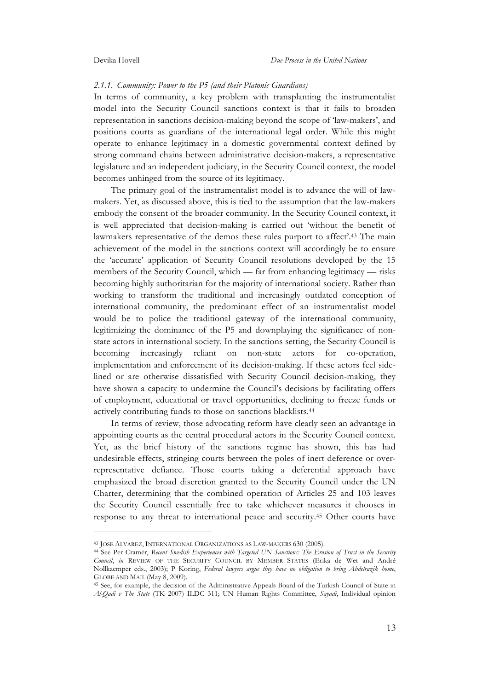#### *2.1.1. Community: Power to the P5 (and their Platonic Guardians)*

In terms of community, a key problem with transplanting the instrumentalist model into the Security Council sanctions context is that it fails to broaden representation in sanctions decision-making beyond the scope of 'law-makers', and positions courts as guardians of the international legal order. While this might operate to enhance legitimacy in a domestic governmental context defined by strong command chains between administrative decision-makers, a representative legislature and an independent judiciary, in the Security Council context, the model becomes unhinged from the source of its legitimacy.

The primary goal of the instrumentalist model is to advance the will of lawmakers. Yet, as discussed above, this is tied to the assumption that the law-makers embody the consent of the broader community. In the Security Council context, it is well appreciated that decision-making is carried out 'without the benefit of lawmakers representative of the demos these rules purport to affect'.43 The main achievement of the model in the sanctions context will accordingly be to ensure the 'accurate' application of Security Council resolutions developed by the 15 members of the Security Council, which — far from enhancing legitimacy — risks becoming highly authoritarian for the majority of international society. Rather than working to transform the traditional and increasingly outdated conception of international community, the predominant effect of an instrumentalist model would be to police the traditional gateway of the international community, legitimizing the dominance of the P5 and downplaying the significance of nonstate actors in international society. In the sanctions setting, the Security Council is becoming increasingly reliant on non-state actors for co-operation, implementation and enforcement of its decision-making. If these actors feel sidelined or are otherwise dissatisfied with Security Council decision-making, they have shown a capacity to undermine the Council's decisions by facilitating offers of employment, educational or travel opportunities, declining to freeze funds or actively contributing funds to those on sanctions blacklists.44

In terms of review, those advocating reform have clearly seen an advantage in appointing courts as the central procedural actors in the Security Council context. Yet, as the brief history of the sanctions regime has shown, this has had undesirable effects, stringing courts between the poles of inert deference or overrepresentative defiance. Those courts taking a deferential approach have emphasized the broad discretion granted to the Security Council under the UN Charter, determining that the combined operation of Articles 25 and 103 leaves the Security Council essentially free to take whichever measures it chooses in response to any threat to international peace and security.45 Other courts have

<sup>43</sup> JOSE ALVAREZ, INTERNATIONAL ORGANIZATIONS AS LAW-MAKERS 630 (2005).

<sup>44</sup> See Per Cramér, *Recent Swedish Experiences with Targeted UN Sanctions: The Erosion of Trust in the Security Council*, *in* REVIEW OF THE SECURITY COUNCIL BY MEMBER STATES (Erika de Wet and André Nollkaemper eds., 2003); P Koring, *Federal lawyers argue they have no obligation to bring Abdelrazik home*, GLOBE AND MAIL (May 8, 2009).

<sup>45</sup> See, for example, the decision of the Administrative Appeals Board of the Turkish Council of State in *Al-Qadi v The State* (TK 2007) ILDC 311; UN Human Rights Committee, *Sayadi*, Individual opinion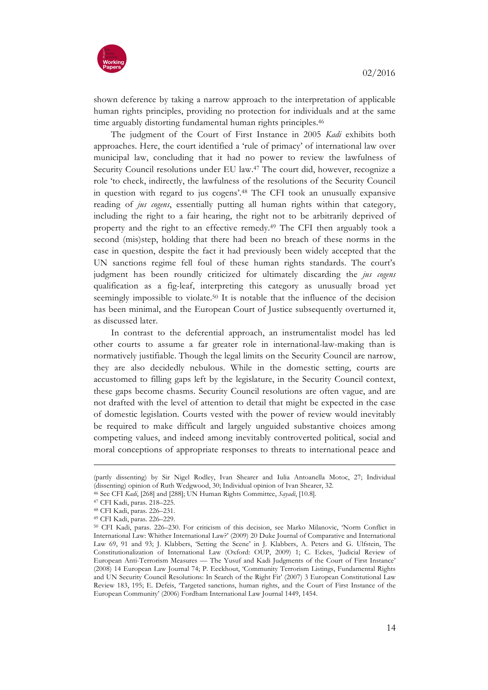

shown deference by taking a narrow approach to the interpretation of applicable human rights principles, providing no protection for individuals and at the same time arguably distorting fundamental human rights principles.<sup>46</sup>

The judgment of the Court of First Instance in 2005 *Kadi* exhibits both approaches. Here, the court identified a 'rule of primacy' of international law over municipal law, concluding that it had no power to review the lawfulness of Security Council resolutions under EU law.47 The court did, however, recognize a role 'to check, indirectly, the lawfulness of the resolutions of the Security Council in question with regard to jus cogens'.48 The CFI took an unusually expansive reading of *jus cogens*, essentially putting all human rights within that category, including the right to a fair hearing, the right not to be arbitrarily deprived of property and the right to an effective remedy.49 The CFI then arguably took a second (mis)step, holding that there had been no breach of these norms in the case in question, despite the fact it had previously been widely accepted that the UN sanctions regime fell foul of these human rights standards. The court's judgment has been roundly criticized for ultimately discarding the *jus cogens* qualification as a fig-leaf, interpreting this category as unusually broad yet seemingly impossible to violate.<sup>50</sup> It is notable that the influence of the decision has been minimal, and the European Court of Justice subsequently overturned it, as discussed later.

In contrast to the deferential approach, an instrumentalist model has led other courts to assume a far greater role in international-law-making than is normatively justifiable. Though the legal limits on the Security Council are narrow, they are also decidedly nebulous. While in the domestic setting, courts are accustomed to filling gaps left by the legislature, in the Security Council context, these gaps become chasms. Security Council resolutions are often vague, and are not drafted with the level of attention to detail that might be expected in the case of domestic legislation. Courts vested with the power of review would inevitably be required to make difficult and largely unguided substantive choices among competing values, and indeed among inevitably controverted political, social and moral conceptions of appropriate responses to threats to international peace and

<sup>(</sup>partly dissenting) by Sir Nigel Rodley, Ivan Shearer and Iulia Antoanella Motoc, 27; Individual (dissenting) opinion of Ruth Wedgwood, 30; Individual opinion of Ivan Shearer, 32.

<sup>46</sup> See CFI *Kadi*, [268] and [288]; UN Human Rights Committee, *Sayadi*, [10.8].

<sup>47</sup> CFI Kadi, paras. 218–225.

<sup>48</sup> CFI Kadi, paras. 226–231.

<sup>49</sup> CFI Kadi, paras. 226–229.<br><sup>50</sup> CFI Kadi, paras. 226–230. For criticism of this decision, see Marko Milanovic, 'Norm Conflict in International Law: Whither International Law?' (2009) 20 Duke Journal of Comparative and International Law 69, 91 and 93; J. Klabbers, 'Setting the Scene' in J. Klabbers, A. Peters and G. Ulfstein, The Constitutionalization of International Law (Oxford: OUP, 2009) 1; C. Eckes, 'Judicial Review of European Anti-Terrorism Measures — The Yusuf and Kadi Judgments of the Court of First Instance' (2008) 14 European Law Journal 74; P. Eeckhout, 'Community Terrorism Listings, Fundamental Rights and UN Security Council Resolutions: In Search of the Right Fit' (2007) 3 European Constitutional Law Review 183, 195; E. Defeis, 'Targeted sanctions, human rights, and the Court of First Instance of the European Community' (2006) Fordham International Law Journal 1449, 1454.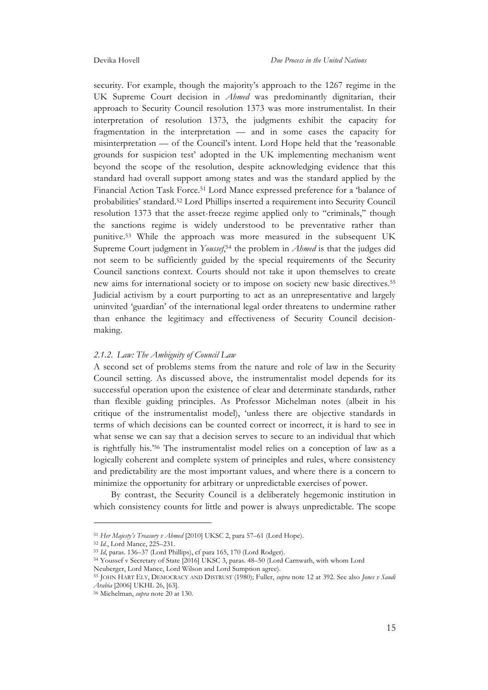security. For example, though the majority's approach to the 1267 regime in the UK Supreme Court decision in *Ahmed* was predominantly dignitarian, their approach to Security Council resolution 1373 was more instrumentalist. In their interpretation of resolution 1373, the judgments exhibit the capacity for fragmentation in the interpretation — and in some cases the capacity for misinterpretation — of the Council's intent. Lord Hope held that the 'reasonable grounds for suspicion test' adopted in the UK implementing mechanism went beyond the scope of the resolution, despite acknowledging evidence that this standard had overall support among states and was the standard applied by the Financial Action Task Force.51 Lord Mance expressed preference for a 'balance of probabilities' standard.52 Lord Phillips inserted a requirement into Security Council resolution 1373 that the asset-freeze regime applied only to "criminals," though the sanctions regime is widely understood to be preventative rather than punitive.53 While the approach was more measured in the subsequent UK Supreme Court judgment in *Youssef*,<sup>54</sup> the problem in *Ahmed* is that the judges did not seem to be sufficiently guided by the special requirements of the Security Council sanctions context. Courts should not take it upon themselves to create new aims for international society or to impose on society new basic directives.55 Judicial activism by a court purporting to act as an unrepresentative and largely uninvited 'guardian' of the international legal order threatens to undermine rather than enhance the legitimacy and effectiveness of Security Council decisionmaking.

#### *2.1.2. Law: The Ambiguity of Council Law*

A second set of problems stems from the nature and role of law in the Security Council setting. As discussed above, the instrumentalist model depends for its successful operation upon the existence of clear and determinate standards, rather than flexible guiding principles. As Professor Michelman notes (albeit in his critique of the instrumentalist model), 'unless there are objective standards in terms of which decisions can be counted correct or incorrect, it is hard to see in what sense we can say that a decision serves to secure to an individual that which is rightfully his.'56 The instrumentalist model relies on a conception of law as a logically coherent and complete system of principles and rules, where consistency and predictability are the most important values, and where there is a concern to minimize the opportunity for arbitrary or unpredictable exercises of power.

By contrast, the Security Council is a deliberately hegemonic institution in which consistency counts for little and power is always unpredictable. The scope

 $\overline{a}$ 

<sup>54</sup> Youssef v Secretary of State [2016] UKSC 3, paras. 48–50 (Lord Carnwath, with whom Lord

<sup>51</sup> *Her Majesty's Treasury v Ahmed* [2010] UKSC 2, para 57–61 (Lord Hope).

<sup>52</sup> *Id.*, Lord Mance, 225–231.

<sup>53</sup> *Id*, paras. 136–37 (Lord Phillips), cf para 165, 170 (Lord Rodger).

Neuberger, Lord Mance, Lord Wilson and Lord Sumption agree).

<sup>55</sup> JOHN HART ELY, DEMOCRACY AND DISTRUST (1980); Fuller, *supra* note 12 at 392. See also *Jones v Saudi Arabia* [2006] UKHL 26, [63].

<sup>56</sup> Michelman, *supra* note 20 at 130.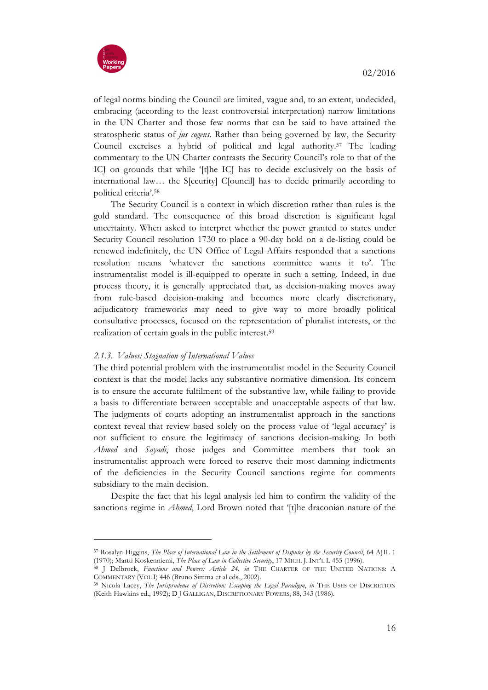

of legal norms binding the Council are limited, vague and, to an extent, undecided, embracing (according to the least controversial interpretation) narrow limitations in the UN Charter and those few norms that can be said to have attained the stratospheric status of *jus cogens*. Rather than being governed by law, the Security Council exercises a hybrid of political and legal authority.57 The leading commentary to the UN Charter contrasts the Security Council's role to that of the ICJ on grounds that while '[t]he ICJ has to decide exclusively on the basis of international law… the S[ecurity] C[ouncil] has to decide primarily according to political criteria'.58

The Security Council is a context in which discretion rather than rules is the gold standard. The consequence of this broad discretion is significant legal uncertainty. When asked to interpret whether the power granted to states under Security Council resolution 1730 to place a 90-day hold on a de-listing could be renewed indefinitely, the UN Office of Legal Affairs responded that a sanctions resolution means 'whatever the sanctions committee wants it to'. The instrumentalist model is ill-equipped to operate in such a setting. Indeed, in due process theory, it is generally appreciated that, as decision-making moves away from rule-based decision-making and becomes more clearly discretionary, adjudicatory frameworks may need to give way to more broadly political consultative processes, focused on the representation of pluralist interests, or the realization of certain goals in the public interest.59

# *2.1.3. Values: Stagnation of International Values*

The third potential problem with the instrumentalist model in the Security Council context is that the model lacks any substantive normative dimension. Its concern is to ensure the accurate fulfilment of the substantive law, while failing to provide a basis to differentiate between acceptable and unacceptable aspects of that law. The judgments of courts adopting an instrumentalist approach in the sanctions context reveal that review based solely on the process value of 'legal accuracy' is not sufficient to ensure the legitimacy of sanctions decision-making. In both *Ahmed* and *Sayadi*, those judges and Committee members that took an instrumentalist approach were forced to reserve their most damning indictments of the deficiencies in the Security Council sanctions regime for comments subsidiary to the main decision.

Despite the fact that his legal analysis led him to confirm the validity of the sanctions regime in *Ahmed*, Lord Brown noted that '[t]he draconian nature of the

<sup>57</sup> Rosalyn Higgins, *The Place of International Law in the Settlement of Disputes by the Security Council*, 64 AJIL 1 (1970); Martti Koskenniemi, *The Place of Law in Collective Security*, 17 MICH. J. INT'L L 455 (1996).

<sup>58</sup> J Delbrock, *Functions and Powers: Article 24*, *in* THE CHARTER OF THE UNITED NATIONS: A COMMENTARY (VOL I) 446 (Bruno Simma et al eds., 2002).

<sup>59</sup> Nicola Lacey, *The Jurisprudence of Discretion: Escaping the Legal Paradigm*, *in* THE USES OF DISCRETION (Keith Hawkins ed., 1992); D J GALLIGAN, DISCRETIONARY POWERS, 88, 343 (1986).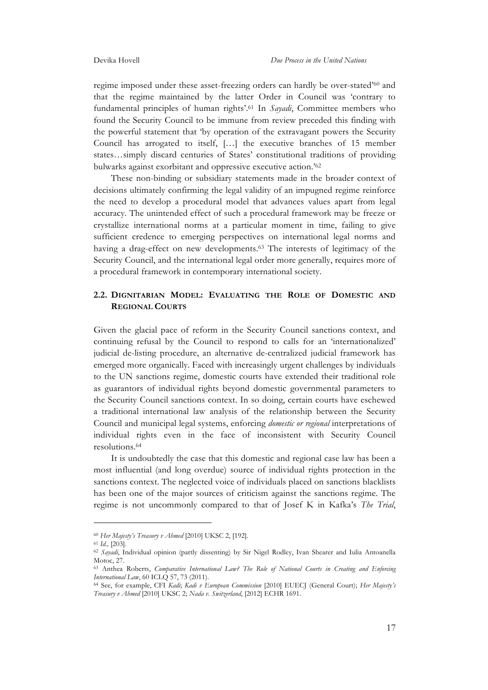regime imposed under these asset-freezing orders can hardly be over-stated'60 and that the regime maintained by the latter Order in Council was 'contrary to fundamental principles of human rights'.61 In *Sayadi*, Committee members who found the Security Council to be immune from review preceded this finding with the powerful statement that 'by operation of the extravagant powers the Security Council has arrogated to itself, […] the executive branches of 15 member states…simply discard centuries of States' constitutional traditions of providing bulwarks against exorbitant and oppressive executive action.'62

These non-binding or subsidiary statements made in the broader context of decisions ultimately confirming the legal validity of an impugned regime reinforce the need to develop a procedural model that advances values apart from legal accuracy. The unintended effect of such a procedural framework may be freeze or crystallize international norms at a particular moment in time, failing to give sufficient credence to emerging perspectives on international legal norms and having a drag-effect on new developments.<sup>63</sup> The interests of legitimacy of the Security Council, and the international legal order more generally, requires more of a procedural framework in contemporary international society.

# **2.2. DIGNITARIAN MODEL: EVALUATING THE ROLE OF DOMESTIC AND REGIONAL COURTS**

Given the glacial pace of reform in the Security Council sanctions context, and continuing refusal by the Council to respond to calls for an 'internationalized' judicial de-listing procedure, an alternative de-centralized judicial framework has emerged more organically. Faced with increasingly urgent challenges by individuals to the UN sanctions regime, domestic courts have extended their traditional role as guarantors of individual rights beyond domestic governmental parameters to the Security Council sanctions context. In so doing, certain courts have eschewed a traditional international law analysis of the relationship between the Security Council and municipal legal systems, enforcing *domestic or regional* interpretations of individual rights even in the face of inconsistent with Security Council resolutions.64

It is undoubtedly the case that this domestic and regional case law has been a most influential (and long overdue) source of individual rights protection in the sanctions context. The neglected voice of individuals placed on sanctions blacklists has been one of the major sources of criticism against the sanctions regime. The regime is not uncommonly compared to that of Josef K in Kafka's *The Trial*,

<sup>60</sup> *Her Majesty's Treasury v Ahmed* [2010] UKSC 2, [192].

<sup>61</sup> *Id.,* [203].

<sup>62</sup> *Sayadi*, Individual opinion (partly dissenting) by Sir Nigel Rodley, Ivan Shearer and Iulia Antoanella Motoc, 27.

<sup>63</sup> Anthea Roberts, *Comparative International Law? The Role of National Courts in Creating and Enforcing International Law*, 60 ICLQ 57, 73 (2011).

<sup>64</sup> See, for example, CFI *Kadi*; *Kadi v European Commission* [2010] EUECJ (General Court); *Her Majesty's Treasury v Ahmed* [2010] UKSC 2; *Nada v. Switzerland*, [2012] ECHR 1691.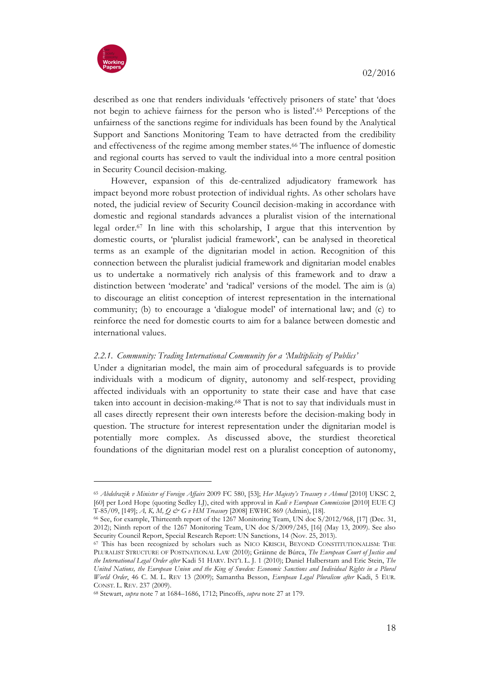

described as one that renders individuals 'effectively prisoners of state' that 'does not begin to achieve fairness for the person who is listed'.65 Perceptions of the unfairness of the sanctions regime for individuals has been found by the Analytical Support and Sanctions Monitoring Team to have detracted from the credibility and effectiveness of the regime among member states.66 The influence of domestic and regional courts has served to vault the individual into a more central position in Security Council decision-making.

However, expansion of this de-centralized adjudicatory framework has impact beyond more robust protection of individual rights. As other scholars have noted, the judicial review of Security Council decision-making in accordance with domestic and regional standards advances a pluralist vision of the international legal order.67 In line with this scholarship, I argue that this intervention by domestic courts, or 'pluralist judicial framework', can be analysed in theoretical terms as an example of the dignitarian model in action. Recognition of this connection between the pluralist judicial framework and dignitarian model enables us to undertake a normatively rich analysis of this framework and to draw a distinction between 'moderate' and 'radical' versions of the model. The aim is (a) to discourage an elitist conception of interest representation in the international community; (b) to encourage a 'dialogue model' of international law; and (c) to reinforce the need for domestic courts to aim for a balance between domestic and international values.

# *2.2.1. Community: Trading International Community for a 'Multiplicity of Publics'*

Under a dignitarian model, the main aim of procedural safeguards is to provide individuals with a modicum of dignity, autonomy and self-respect, providing affected individuals with an opportunity to state their case and have that case taken into account in decision-making.68 That is not to say that individuals must in all cases directly represent their own interests before the decision-making body in question. The structure for interest representation under the dignitarian model is potentially more complex. As discussed above, the sturdiest theoretical foundations of the dignitarian model rest on a pluralist conception of autonomy,

<sup>65</sup> *Abdelrazik v Minister of Foreign Affairs* 2009 FC 580, [53]; *Her Majesty's Treasury v Ahmed* [2010] UKSC 2, [60] per Lord Hope (quoting Sedley LJ), cited with approval in *Kadi v European Commission* [2010] EUE CJ T-85/09, [149]; *A, K, M, Q & G v HM Treasury* [2008] EWHC 869 (Admin), [18].

<sup>66</sup> See, for example, Thirteenth report of the 1267 Monitoring Team, UN doc S/2012/968, [17] (Dec. 31, 2012); Ninth report of the 1267 Monitoring Team, UN doc S/2009/245, [16] (May 13, 2009). See also Security Council Report, Special Research Report: UN Sanctions, 14 (Nov. 25, 2013).<br><sup>67</sup> This has been recognized by scholars such as NICO KRISCH, BEYOND CONSTITUTIONALISM: THE

PLURALIST STRUCTURE OF POSTNATIONAL LAW (2010); Gráinne de Búrca, *The European Court of Justice and the International Legal Order after* Kadi 51 HARV. INT'L L. J. 1 (2010); Daniel Halberstam and Eric Stein, *The United Nations, the European Union and the King of Sweden: Economic Sanctions and Individual Rights in a Plural World Order*, 46 C. M. L. REV 13 (2009); Samantha Besson, *European Legal Pluralism after* Kadi, 5 EUR. CONST. L. REV. 237 (2009).

<sup>68</sup> Stewart, *supra* note 7 at 1684–1686, 1712; Pincoffs, *supra* note 27 at 179.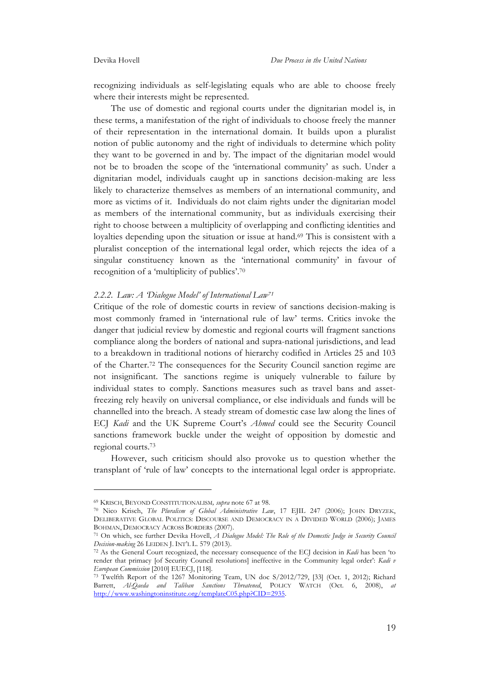recognizing individuals as self-legislating equals who are able to choose freely where their interests might be represented.

The use of domestic and regional courts under the dignitarian model is, in these terms, a manifestation of the right of individuals to choose freely the manner of their representation in the international domain. It builds upon a pluralist notion of public autonomy and the right of individuals to determine which polity they want to be governed in and by. The impact of the dignitarian model would not be to broaden the scope of the 'international community' as such. Under a dignitarian model, individuals caught up in sanctions decision-making are less likely to characterize themselves as members of an international community, and more as victims of it. Individuals do not claim rights under the dignitarian model as members of the international community, but as individuals exercising their right to choose between a multiplicity of overlapping and conflicting identities and loyalties depending upon the situation or issue at hand.<sup>69</sup> This is consistent with a pluralist conception of the international legal order, which rejects the idea of a singular constituency known as the 'international community' in favour of recognition of a 'multiplicity of publics'.70

#### *2.2.2. Law: A 'Dialogue Model' of International Law71*

Critique of the role of domestic courts in review of sanctions decision-making is most commonly framed in 'international rule of law' terms. Critics invoke the danger that judicial review by domestic and regional courts will fragment sanctions compliance along the borders of national and supra-national jurisdictions, and lead to a breakdown in traditional notions of hierarchy codified in Articles 25 and 103 of the Charter.72 The consequences for the Security Council sanction regime are not insignificant. The sanctions regime is uniquely vulnerable to failure by individual states to comply. Sanctions measures such as travel bans and assetfreezing rely heavily on universal compliance, or else individuals and funds will be channelled into the breach. A steady stream of domestic case law along the lines of ECJ *Kadi* and the UK Supreme Court's *Ahmed* could see the Security Council sanctions framework buckle under the weight of opposition by domestic and regional courts.73

However, such criticism should also provoke us to question whether the transplant of 'rule of law' concepts to the international legal order is appropriate.

<sup>69</sup> KRISCH, BEYOND CONSTITUTIONALISM*, supra* note 67 at 98.

<sup>70</sup> Nico Krisch, *The Pluralism of Global Administrative Law*, 17 EJIL 247 (2006); JOHN DRYZEK, DELIBERATIVE GLOBAL POLITICS: DISCOURSE AND DEMOCRACY IN A DIVIDED WORLD (2006); JAMES BOHMAN, DEMOCRACY ACROSS BORDERS (2007).

<sup>71</sup> On which, see further Devika Hovell, *A Dialogue Model: The Role of the Domestic Judge in Security Council Decision-making* 26 LEIDEN J. INT'L L. 579 (2013).

<sup>72</sup> As the General Court recognized, the necessary consequence of the ECJ decision in *Kadi* has been 'to render that primacy [of Security Council resolutions] ineffective in the Community legal order': *Kadi v* 

<sup>&</sup>lt;sup>73</sup> Twelfth Report of the 1267 Monitoring Team, UN doc S/2012/729, [33] (Oct. 1, 2012); Richard Barrett, *Al-Qaeda and Taliban Sanctions Threatened*, POLICY WATCH (Oct. 6, 2008), *at*  http://www.washingtoninstitute.org/templateC05.php?CID=2935.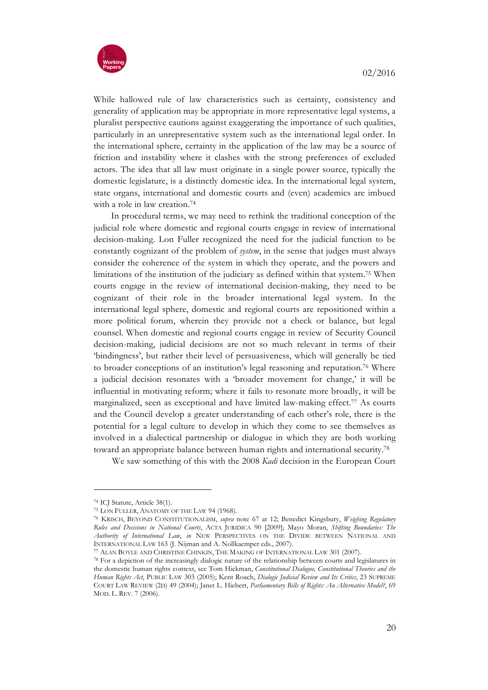

While hallowed rule of law characteristics such as certainty, consistency and generality of application may be appropriate in more representative legal systems, a pluralist perspective cautions against exaggerating the importance of such qualities, particularly in an unrepresentative system such as the international legal order. In the international sphere, certainty in the application of the law may be a source of friction and instability where it clashes with the strong preferences of excluded actors. The idea that all law must originate in a single power source, typically the domestic legislature, is a distinctly domestic idea. In the international legal system, state organs, international and domestic courts and (even) academics are imbued with a role in law creation.<sup>74</sup>

In procedural terms, we may need to rethink the traditional conception of the judicial role where domestic and regional courts engage in review of international decision-making. Lon Fuller recognized the need for the judicial function to be constantly cognizant of the problem of *system*, in the sense that judges must always consider the coherence of the system in which they operate, and the powers and limitations of the institution of the judiciary as defined within that system.75 When courts engage in the review of international decision-making, they need to be cognizant of their role in the broader international legal system. In the international legal sphere, domestic and regional courts are repositioned within a more political forum, wherein they provide not a check or balance, but legal counsel. When domestic and regional courts engage in review of Security Council decision-making, judicial decisions are not so much relevant in terms of their 'bindingness', but rather their level of persuasiveness, which will generally be tied to broader conceptions of an institution's legal reasoning and reputation.76 Where a judicial decision resonates with a 'broader movement for change,' it will be influential in motivating reform; where it fails to resonate more broadly, it will be marginalized, seen as exceptional and have limited law-making effect.77 As courts and the Council develop a greater understanding of each other's role, there is the potential for a legal culture to develop in which they come to see themselves as involved in a dialectical partnership or dialogue in which they are both working toward an appropriate balance between human rights and international security.78

We saw something of this with the 2008 *Kadi* decision in the European Court

<sup>74</sup> ICJ Statute, Article 38(1).

<sup>75</sup> LON FULLER, ANATOMY OF THE LAW 94 (1968). 76 KRISCH, BEYOND CONSTITUTIONALISM, *supra* note 67 at 12; Benedict Kingsbury, *Weighing Regulatory Rules and Decisions in National Courts*, ACTA JURIDICA 90 [2009]; Mayo Moran, *Shifting Boundaries: The Authority of International Law*, *in* NEW PERSPECTIVES ON THE DIVIDE BETWEEN NATIONAL AND INTERNATIONAL LAW 163 (J. Nijman and A. Nollkaemper eds., 2007). 77 ALAN BOYLE AND CHRISTINE CHINKIN, THE MAKING OF INTERNATIONAL LAW 301 (2007).

<sup>78</sup> For a depiction of the increasingly dialogic nature of the relationship between courts and legislatures in the domestic human rights context, see Tom Hickman, *Constitutional Dialogue, Constitutional Theories and the Human Rights Act*, PUBLIC LAW 303 (2005); Kent Roach, *Dialogic Judicial Review and Its Critics*, 23 SUPREME COURT LAW REVIEW (2D) 49 (2004); Janet L. Hiebert, *Parliamentary Bills of Rights: An Alternative Model?*, 69 MOD. L. REV. 7 (2006).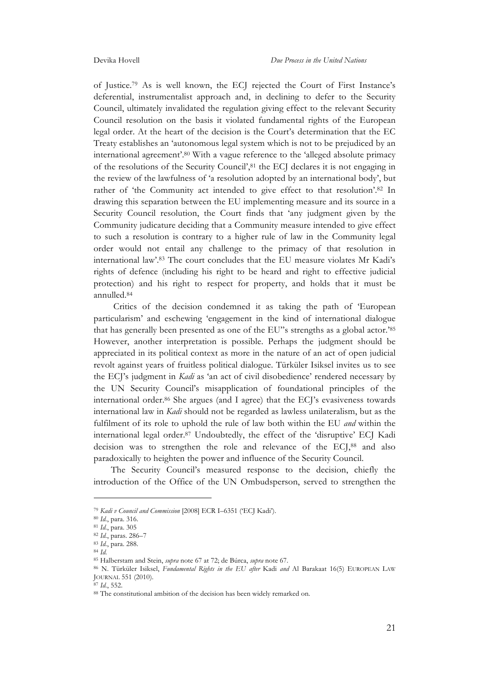of Justice.79 As is well known, the ECJ rejected the Court of First Instance's deferential, instrumentalist approach and, in declining to defer to the Security Council, ultimately invalidated the regulation giving effect to the relevant Security Council resolution on the basis it violated fundamental rights of the European legal order. At the heart of the decision is the Court's determination that the EC Treaty establishes an 'autonomous legal system which is not to be prejudiced by an international agreement'.80 With a vague reference to the 'alleged absolute primacy of the resolutions of the Security Council',81 the ECJ declares it is not engaging in the review of the lawfulness of 'a resolution adopted by an international body', but rather of 'the Community act intended to give effect to that resolution'.82 In drawing this separation between the EU implementing measure and its source in a Security Council resolution, the Court finds that 'any judgment given by the Community judicature deciding that a Community measure intended to give effect to such a resolution is contrary to a higher rule of law in the Community legal order would not entail any challenge to the primacy of that resolution in international law'.83 The court concludes that the EU measure violates Mr Kadi's rights of defence (including his right to be heard and right to effective judicial protection) and his right to respect for property, and holds that it must be annulled.84

Critics of the decision condemned it as taking the path of 'European particularism' and eschewing 'engagement in the kind of international dialogue that has generally been presented as one of the EU"s strengths as a global actor.'85 However, another interpretation is possible. Perhaps the judgment should be appreciated in its political context as more in the nature of an act of open judicial revolt against years of fruitless political dialogue. Türküler Isiksel invites us to see the ECJ's judgment in *Kadi* as 'an act of civil disobedience' rendered necessary by the UN Security Council's misapplication of foundational principles of the international order.86 She argues (and I agree) that the ECJ's evasiveness towards international law in *Kadi* should not be regarded as lawless unilateralism, but as the fulfilment of its role to uphold the rule of law both within the EU *and* within the international legal order.87 Undoubtedly, the effect of the 'disruptive' ECJ Kadi decision was to strengthen the role and relevance of the ECJ,88 and also paradoxically to heighten the power and influence of the Security Council.

The Security Council's measured response to the decision, chiefly the introduction of the Office of the UN Ombudsperson, served to strengthen the

<sup>79</sup> *Kadi v Council and Commission* [2008] ECR I–6351 ('ECJ Kadi').

<sup>80</sup> *Id.*, para. 316.

<sup>81</sup> *Id.*, para. 305

<sup>82</sup> *Id.*, paras. 286–7

<sup>83</sup> *Id.*, para. 288.

<sup>84</sup> *Id.*

<sup>85</sup> Halberstam and Stein, *supra* note 67 at 72; de Búrca, *supra* note 67.

<sup>86</sup> N. Türküler Isiksel, *Fundamental Rights in the EU after* Kadi *and* Al Barakaat 16(5) EUROPEAN LAW JOURNAL 551 (2010).

<sup>87</sup> *Id.*, 552.

<sup>88</sup> The constitutional ambition of the decision has been widely remarked on.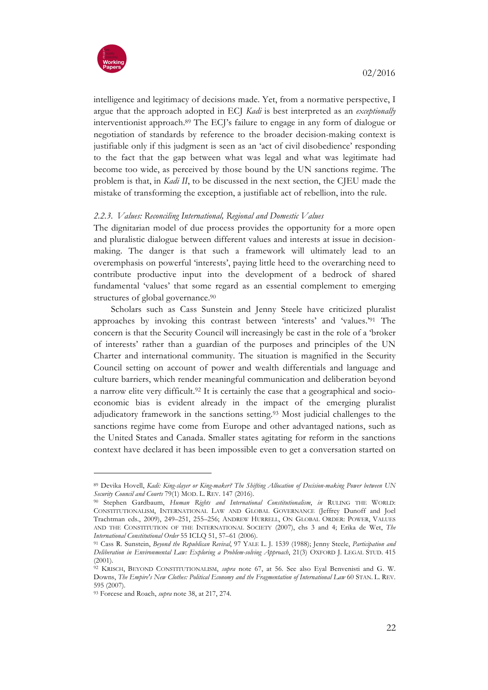

intelligence and legitimacy of decisions made. Yet, from a normative perspective, I argue that the approach adopted in ECJ *Kadi* is best interpreted as an *exceptionally* interventionist approach.89 The ECJ's failure to engage in any form of dialogue or negotiation of standards by reference to the broader decision-making context is justifiable only if this judgment is seen as an 'act of civil disobedience' responding to the fact that the gap between what was legal and what was legitimate had become too wide, as perceived by those bound by the UN sanctions regime. The problem is that, in *Kadi II*, to be discussed in the next section, the CJEU made the mistake of transforming the exception, a justifiable act of rebellion, into the rule.

# *2.2.3. Values: Reconciling International, Regional and Domestic Values*

The dignitarian model of due process provides the opportunity for a more open and pluralistic dialogue between different values and interests at issue in decisionmaking. The danger is that such a framework will ultimately lead to an overemphasis on powerful 'interests', paying little heed to the overarching need to contribute productive input into the development of a bedrock of shared fundamental 'values' that some regard as an essential complement to emerging structures of global governance.<sup>90</sup>

Scholars such as Cass Sunstein and Jenny Steele have criticized pluralist approaches by invoking this contrast between 'interests' and 'values.'91 The concern is that the Security Council will increasingly be cast in the role of a 'broker of interests' rather than a guardian of the purposes and principles of the UN Charter and international community. The situation is magnified in the Security Council setting on account of power and wealth differentials and language and culture barriers, which render meaningful communication and deliberation beyond a narrow elite very difficult.92 It is certainly the case that a geographical and socioeconomic bias is evident already in the impact of the emerging pluralist adjudicatory framework in the sanctions setting.93 Most judicial challenges to the sanctions regime have come from Europe and other advantaged nations, such as the United States and Canada. Smaller states agitating for reform in the sanctions context have declared it has been impossible even to get a conversation started on

<sup>89</sup> Devika Hovell, *Kadi: King-slayer or King-maker? The Shifting Allocation of Decision-making Power between UN Security Council and Courts* 79(1) MOD. L. REV. 147 (2016).

<sup>90</sup> Stephen Gardbaum, *Human Rights and International Constitutionalism*, *in* RULING THE WORLD: CONSTITUTIONALISM, INTERNATIONAL LAW AND GLOBAL GOVERNANCE (Jeffrey Dunoff and Joel Trachtman eds., 2009), 249–251, 255–256; ANDREW HURRELL, ON GLOBAL ORDER: POWER, VALUES AND THE CONSTITUTION OF THE INTERNATIONAL SOCIETY (2007), chs 3 and 4; Erika de Wet, *The International Constitutional Order* 55 ICLQ 51, 57–61 (2006).

<sup>91</sup> Cass R. Sunstein, *Beyond the Republican Revival*, 97 YALE L. J. 1539 (1988); Jenny Steele, *Participation and Deliberation in Environmental Law: Exploring a Problem-solving Approach*, 21(3) OXFORD J. LEGAL STUD. 415 (2001).

<sup>92</sup> KRISCH, BEYOND CONSTITUTIONALISM, *supra* note 67, at 56. See also Eyal Benvenisti and G. W. Downs, *The Empire's New Clothes: Political Economy and the Fragmentation of International Law* 60 STAN. L. REV. 595 (2007).

<sup>93</sup> Forcese and Roach, *supra* note 38, at 217, 274.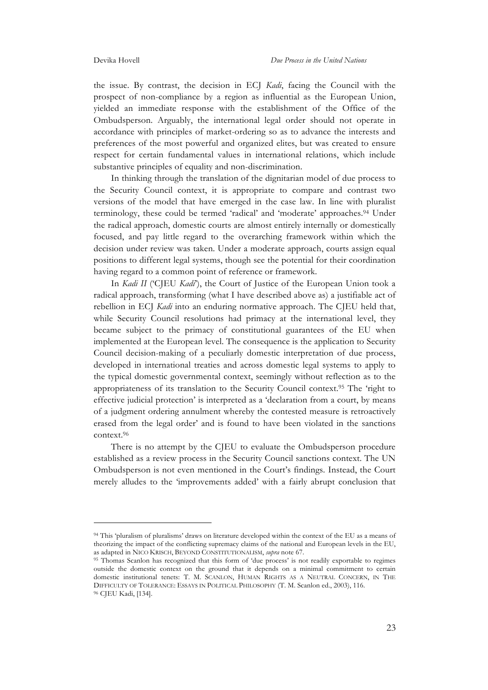the issue. By contrast, the decision in ECJ *Kadi*, facing the Council with the prospect of non-compliance by a region as influential as the European Union, yielded an immediate response with the establishment of the Office of the Ombudsperson. Arguably, the international legal order should not operate in accordance with principles of market-ordering so as to advance the interests and preferences of the most powerful and organized elites, but was created to ensure respect for certain fundamental values in international relations, which include substantive principles of equality and non-discrimination.

In thinking through the translation of the dignitarian model of due process to the Security Council context, it is appropriate to compare and contrast two versions of the model that have emerged in the case law. In line with pluralist terminology, these could be termed 'radical' and 'moderate' approaches.<sup>94</sup> Under the radical approach, domestic courts are almost entirely internally or domestically focused, and pay little regard to the overarching framework within which the decision under review was taken. Under a moderate approach, courts assign equal positions to different legal systems, though see the potential for their coordination having regard to a common point of reference or framework.

In *Kadi II* ('CJEU *Kadi*'), the Court of Justice of the European Union took a radical approach, transforming (what I have described above as) a justifiable act of rebellion in ECJ *Kadi* into an enduring normative approach. The CJEU held that, while Security Council resolutions had primacy at the international level, they became subject to the primacy of constitutional guarantees of the EU when implemented at the European level. The consequence is the application to Security Council decision-making of a peculiarly domestic interpretation of due process, developed in international treaties and across domestic legal systems to apply to the typical domestic governmental context, seemingly without reflection as to the appropriateness of its translation to the Security Council context.95 The 'right to effective judicial protection' is interpreted as a 'declaration from a court, by means of a judgment ordering annulment whereby the contested measure is retroactively erased from the legal order' and is found to have been violated in the sanctions context.96

There is no attempt by the CJEU to evaluate the Ombudsperson procedure established as a review process in the Security Council sanctions context. The UN Ombudsperson is not even mentioned in the Court's findings. Instead, the Court merely alludes to the 'improvements added' with a fairly abrupt conclusion that

<sup>94</sup> This 'pluralism of pluralisms' draws on literature developed within the context of the EU as a means of theorizing the impact of the conflicting supremacy claims of the national and European levels in the EU, as adapted in NICO KRISCH, BEYOND CONSTITUTIONALISM, *supra* note 67.

<sup>95</sup> Thomas Scanlon has recognized that this form of 'due process' is not readily exportable to regimes outside the domestic context on the ground that it depends on a minimal commitment to certain domestic institutional tenets: T. M. SCANLON, HUMAN RIGHTS AS A NEUTRAL CONCERN, IN THE DIFFICULTY OF TOLERANCE: ESSAYS IN POLITICAL PHILOSOPHY (T. M. Scanlon ed., 2003), 116. <sup>96</sup> CJEU Kadi, [134].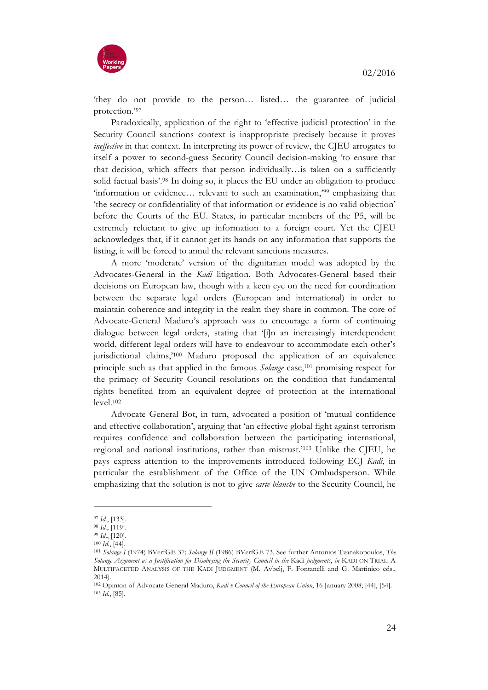

'they do not provide to the person… listed… the guarantee of judicial protection.'97

Paradoxically, application of the right to 'effective judicial protection' in the Security Council sanctions context is inappropriate precisely because it proves *ineffective* in that context. In interpreting its power of review, the CJEU arrogates to itself a power to second-guess Security Council decision-making 'to ensure that that decision, which affects that person individually…is taken on a sufficiently solid factual basis'.98 In doing so, it places the EU under an obligation to produce 'information or evidence… relevant to such an examination,'99 emphasizing that 'the secrecy or confidentiality of that information or evidence is no valid objection' before the Courts of the EU. States, in particular members of the P5, will be extremely reluctant to give up information to a foreign court. Yet the CJEU acknowledges that, if it cannot get its hands on any information that supports the listing, it will be forced to annul the relevant sanctions measures.

A more 'moderate' version of the dignitarian model was adopted by the Advocates-General in the *Kadi* litigation. Both Advocates-General based their decisions on European law, though with a keen eye on the need for coordination between the separate legal orders (European and international) in order to maintain coherence and integrity in the realm they share in common. The core of Advocate-General Maduro's approach was to encourage a form of continuing dialogue between legal orders, stating that '[i]n an increasingly interdependent world, different legal orders will have to endeavour to accommodate each other's jurisdictional claims,'100 Maduro proposed the application of an equivalence principle such as that applied in the famous *Solange* case,<sup>101</sup> promising respect for the primacy of Security Council resolutions on the condition that fundamental rights benefited from an equivalent degree of protection at the international level.102

Advocate General Bot, in turn, advocated a position of 'mutual confidence and effective collaboration', arguing that 'an effective global fight against terrorism requires confidence and collaboration between the participating international, regional and national institutions, rather than mistrust.'103 Unlike the CJEU, he pays express attention to the improvements introduced following ECJ *Kadi*, in particular the establishment of the Office of the UN Ombudsperson. While emphasizing that the solution is not to give *carte blanche* to the Security Council, he

<sup>97</sup> *Id.*, [133]. 98 *Id.*, [119].

<sup>99</sup> *Id*., [120].

<sup>100</sup> *Id.*, [44].

<sup>101</sup> *Solange I* (1974) BVerfGE 37; *Solange II* (1986) BVerfGE 73. See further Antonios Tzanakopoulos, *The Solange Argument as a Justification for Disobeying the Security Council in the* Kadi *judgments*, *in* KADI ON TRIAL: A MULTIFACETED ANALYSIS OF THE KADI JUDGMENT (M. Avbelj, F. Fontanelli and G. Martinico eds., 2014).

<sup>102</sup> Opinion of Advocate General Maduro, *Kadi v Council of the European Union*, 16 January 2008; [44], [54]. <sup>103</sup> *Id.*, [85].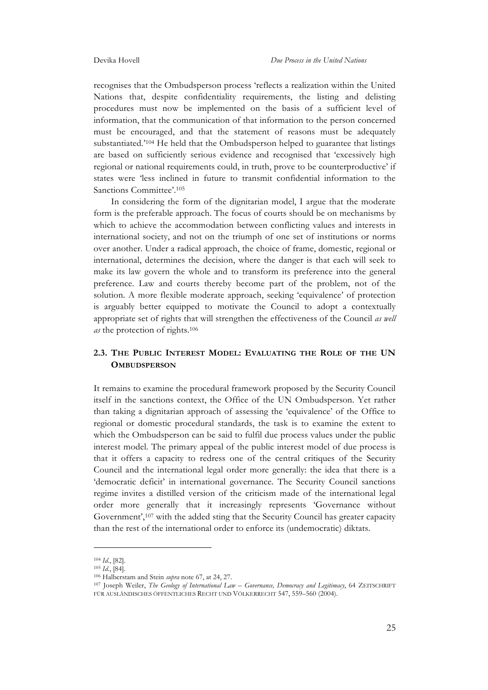recognises that the Ombudsperson process 'reflects a realization within the United Nations that, despite confidentiality requirements, the listing and delisting procedures must now be implemented on the basis of a sufficient level of information, that the communication of that information to the person concerned must be encouraged, and that the statement of reasons must be adequately substantiated.'104 He held that the Ombudsperson helped to guarantee that listings are based on sufficiently serious evidence and recognised that 'excessively high regional or national requirements could, in truth, prove to be counterproductive' if states were 'less inclined in future to transmit confidential information to the Sanctions Committee'.105

In considering the form of the dignitarian model, I argue that the moderate form is the preferable approach. The focus of courts should be on mechanisms by which to achieve the accommodation between conflicting values and interests in international society, and not on the triumph of one set of institutions or norms over another. Under a radical approach, the choice of frame, domestic, regional or international, determines the decision, where the danger is that each will seek to make its law govern the whole and to transform its preference into the general preference. Law and courts thereby become part of the problem, not of the solution. A more flexible moderate approach, seeking 'equivalence' of protection is arguably better equipped to motivate the Council to adopt a contextually appropriate set of rights that will strengthen the effectiveness of the Council *as well as* the protection of rights.106

# **2.3. THE PUBLIC INTEREST MODEL: EVALUATING THE ROLE OF THE UN OMBUDSPERSON**

It remains to examine the procedural framework proposed by the Security Council itself in the sanctions context, the Office of the UN Ombudsperson. Yet rather than taking a dignitarian approach of assessing the 'equivalence' of the Office to regional or domestic procedural standards, the task is to examine the extent to which the Ombudsperson can be said to fulfil due process values under the public interest model. The primary appeal of the public interest model of due process is that it offers a capacity to redress one of the central critiques of the Security Council and the international legal order more generally: the idea that there is a 'democratic deficit' in international governance. The Security Council sanctions regime invites a distilled version of the criticism made of the international legal order more generally that it increasingly represents 'Governance without Government',107 with the added sting that the Security Council has greater capacity than the rest of the international order to enforce its (undemocratic) diktats.

<sup>104</sup> *Id.*, [82].

<sup>105</sup> *Id.*, [84].

<sup>106</sup> Halberstam and Stein *supra* note 67, at 24, 27.

<sup>107</sup> Joseph Weiler, *The Geology of International Law – Governance, Democracy and Legitimacy*, 64 ZEITSCHRIFT FÜR AUSLÄNDISCHES ÖFFENTLICHES RECHT UND VÖLKERRECHT 547, 559–560 (2004).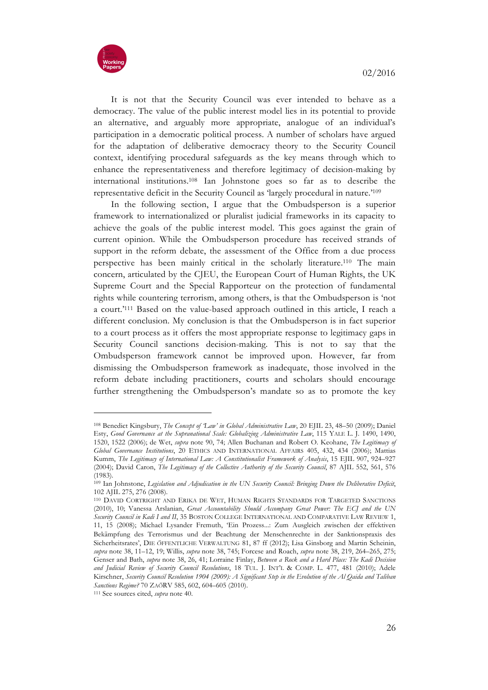

It is not that the Security Council was ever intended to behave as a democracy. The value of the public interest model lies in its potential to provide an alternative, and arguably more appropriate, analogue of an individual's participation in a democratic political process. A number of scholars have argued for the adaptation of deliberative democracy theory to the Security Council context, identifying procedural safeguards as the key means through which to enhance the representativeness and therefore legitimacy of decision-making by international institutions.108 Ian Johnstone goes so far as to describe the representative deficit in the Security Council as 'largely procedural in nature.'109

In the following section, I argue that the Ombudsperson is a superior framework to internationalized or pluralist judicial frameworks in its capacity to achieve the goals of the public interest model. This goes against the grain of current opinion. While the Ombudsperson procedure has received strands of support in the reform debate, the assessment of the Office from a due process perspective has been mainly critical in the scholarly literature.110 The main concern, articulated by the CJEU, the European Court of Human Rights, the UK Supreme Court and the Special Rapporteur on the protection of fundamental rights while countering terrorism, among others, is that the Ombudsperson is 'not a court.'111 Based on the value-based approach outlined in this article, I reach a different conclusion. My conclusion is that the Ombudsperson is in fact superior to a court process as it offers the most appropriate response to legitimacy gaps in Security Council sanctions decision-making. This is not to say that the Ombudsperson framework cannot be improved upon. However, far from dismissing the Ombudsperson framework as inadequate, those involved in the reform debate including practitioners, courts and scholars should encourage further strengthening the Ombudsperson's mandate so as to promote the key

<sup>108</sup> Benedict Kingsbury, *The Concept of 'Law' in Global Administrative Law*, 20 EJIL 23, 48–50 (2009); Daniel Esty, *Good Governance at the Supranational Scale: Globalizing Administrative Law*, 115 YALE L. J. 1490, 1490, 1520, 1522 (2006); de Wet, *supra* note 90, 74; Allen Buchanan and Robert O. Keohane, *The Legitimacy of Global Governance Institutions*, 20 ETHICS AND INTERNATIONAL AFFAIRS 405, 432, 434 (2006); Mattias Kumm, *The Legitimacy of International Law: A Constitutionalist Framework of Analysis*, 15 EJIL 907, 924–927 (2004); David Caron, *The Legitimacy of the Collective Authority of the Security Council*, 87 AJIL 552, 561, 576 (1983).

<sup>109</sup> Ian Johnstone, *Legislation and Adjudication in the UN Security Council: Bringing Down the Deliberative Deficit*, 102 AJIL 275, 276 (2008).

<sup>110</sup> DAVID CORTRIGHT AND ERIKA DE WET, HUMAN RIGHTS STANDARDS FOR TARGETED SANCTIONS (2010), 10; Vanessa Arslanian, *Great Accountability Should Accompany Great Power: The ECJ and the UN Security Council in Kadi I and II*, 35 BOSTON COLLEGE INTERNATIONAL AND COMPARATIVE LAW REVIEW 1, 11, 15 (2008); Michael Lysander Fremuth, 'Ein Prozess...: Zum Ausgleich zwischen der effektiven Bekämpfung des Terrorismus und der Beachtung der Menschenrechte in der Sanktionspraxis des Sicherheitsrates', DIE ÖFFENTLICHE VERWALTUNG 81, 87 ff (2012); Lisa Ginsborg and Martin Scheinin, *supra* note 38, 11–12, 19; Willis, *supra* note 38, 745; Forcese and Roach, *supra* note 38, 219, 264–265, 275; Genser and Bath, *supra* note 38, 26, 41; Lorraine Finlay, *Between a Rock and a Hard Place: The Kadi Decision and Judicial Review of Security Council Resolutions*, 18 TUL. J. INT'L & COMP. L. 477, 481 (2010); Adele Kirschner, *Security Council Resolution 1904 (2009): A Significant Step in the Evolution of the Al Qaida and Taliban Sanctions Regime?* 70 ZAÖRV 585, 602, 604–605 (2010).

<sup>111</sup> See sources cited, *supra* note 40.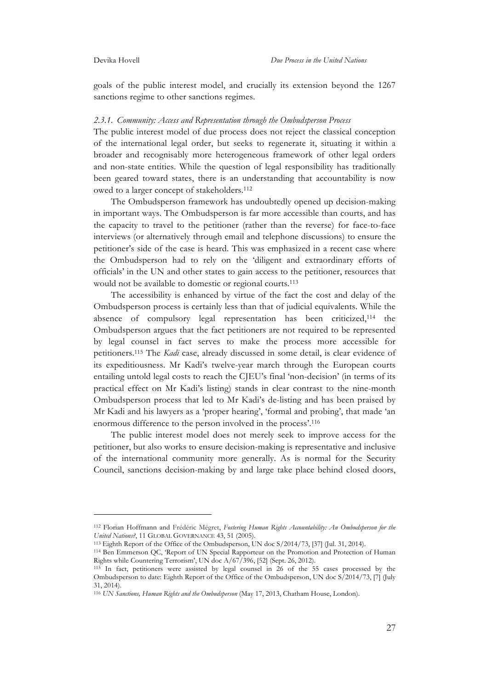goals of the public interest model, and crucially its extension beyond the 1267 sanctions regime to other sanctions regimes.

#### *2.3.1. Community: Access and Representation through the Ombudsperson Process*

The public interest model of due process does not reject the classical conception of the international legal order, but seeks to regenerate it, situating it within a broader and recognisably more heterogeneous framework of other legal orders and non-state entities. While the question of legal responsibility has traditionally been geared toward states, there is an understanding that accountability is now owed to a larger concept of stakeholders.112

The Ombudsperson framework has undoubtedly opened up decision-making in important ways. The Ombudsperson is far more accessible than courts, and has the capacity to travel to the petitioner (rather than the reverse) for face-to-face interviews (or alternatively through email and telephone discussions) to ensure the petitioner's side of the case is heard. This was emphasized in a recent case where the Ombudsperson had to rely on the 'diligent and extraordinary efforts of officials' in the UN and other states to gain access to the petitioner, resources that would not be available to domestic or regional courts.<sup>113</sup>

The accessibility is enhanced by virtue of the fact the cost and delay of the Ombudsperson process is certainly less than that of judicial equivalents. While the absence of compulsory legal representation has been criticized,114 the Ombudsperson argues that the fact petitioners are not required to be represented by legal counsel in fact serves to make the process more accessible for petitioners.115 The *Kadi* case, already discussed in some detail, is clear evidence of its expeditiousness. Mr Kadi's twelve-year march through the European courts entailing untold legal costs to reach the CJEU's final 'non-decision' (in terms of its practical effect on Mr Kadi's listing) stands in clear contrast to the nine-month Ombudsperson process that led to Mr Kadi's de-listing and has been praised by Mr Kadi and his lawyers as a 'proper hearing', 'formal and probing', that made 'an enormous difference to the person involved in the process'.116

The public interest model does not merely seek to improve access for the petitioner, but also works to ensure decision-making is representative and inclusive of the international community more generally. As is normal for the Security Council, sanctions decision-making by and large take place behind closed doors,

<sup>112</sup> Florian Hoffmann and Frédéric Mégret, *Fostering Human Rights Accountability: An Ombudsperson for the*  United Nations?, 11 GLOBAL GOVERNANCE 43, 51 (2005).

<sup>113</sup> Eighth Report of the Office of the Ombudsperson, UN doc S/2014/73, [37] (Jul. 31, 2014).

<sup>114</sup> Ben Emmerson QC, 'Report of UN Special Rapporteur on the Promotion and Protection of Human Rights while Countering Terrorism', UN doc A/67/396, [52] (Sept. 26, 2012).

<sup>&</sup>lt;sup>115</sup> In fact, petitioners were assisted by legal counsel in 26 of the 55 cases processed by the Ombudsperson to date: Eighth Report of the Office of the Ombudsperson, UN doc S/2014/73, [7] (July 31, 2014).

<sup>116</sup> *UN Sanctions, Human Rights and the Ombudsperson* (May 17, 2013, Chatham House, London).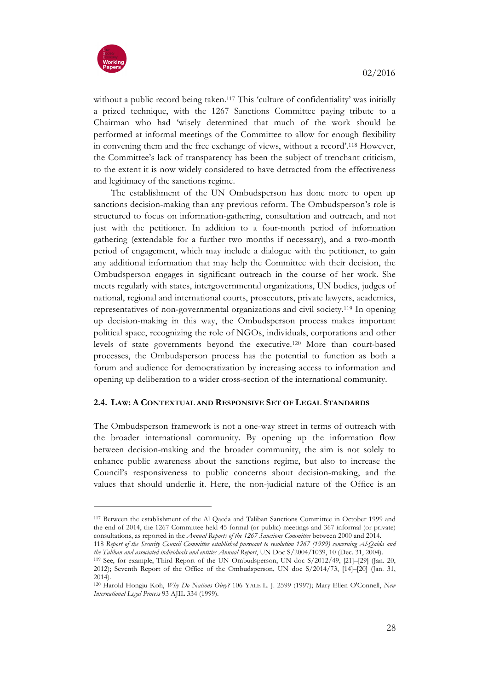

without a public record being taken.<sup>117</sup> This 'culture of confidentiality' was initially a prized technique, with the 1267 Sanctions Committee paying tribute to a Chairman who had 'wisely determined that much of the work should be performed at informal meetings of the Committee to allow for enough flexibility in convening them and the free exchange of views, without a record'.118 However, the Committee's lack of transparency has been the subject of trenchant criticism, to the extent it is now widely considered to have detracted from the effectiveness and legitimacy of the sanctions regime.

The establishment of the UN Ombudsperson has done more to open up sanctions decision-making than any previous reform. The Ombudsperson's role is structured to focus on information-gathering, consultation and outreach, and not just with the petitioner. In addition to a four-month period of information gathering (extendable for a further two months if necessary), and a two-month period of engagement, which may include a dialogue with the petitioner, to gain any additional information that may help the Committee with their decision, the Ombudsperson engages in significant outreach in the course of her work. She meets regularly with states, intergovernmental organizations, UN bodies, judges of national, regional and international courts, prosecutors, private lawyers, academics, representatives of non-governmental organizations and civil society.119 In opening up decision-making in this way, the Ombudsperson process makes important political space, recognizing the role of NGOs, individuals, corporations and other levels of state governments beyond the executive.120 More than court-based processes, the Ombudsperson process has the potential to function as both a forum and audience for democratization by increasing access to information and opening up deliberation to a wider cross-section of the international community.

# **2.4. LAW: A CONTEXTUAL AND RESPONSIVE SET OF LEGAL STANDARDS**

The Ombudsperson framework is not a one-way street in terms of outreach with the broader international community. By opening up the information flow between decision-making and the broader community, the aim is not solely to enhance public awareness about the sanctions regime, but also to increase the Council's responsiveness to public concerns about decision-making, and the values that should underlie it. Here, the non-judicial nature of the Office is an

<sup>117</sup> Between the establishment of the Al Qaeda and Taliban Sanctions Committee in October 1999 and the end of 2014, the 1267 Committee held 45 formal (or public) meetings and 367 informal (or private) consultations, as reported in the *Annual Reports of the 1267 Sanctions Committee* between 2000 and 2014.

<sup>118</sup> *Report of the Security Council Committee established pursuant to resolution 1267 (1999) concerning Al-Qaida and* 

<sup>&</sup>lt;sup>119</sup> See, for example, Third Report of the UN Ombudsperson, UN doc S/2012/49, [21]–[29] (Jan. 20, 2012); Seventh Report of the Office of the Ombudsperson, UN doc S/2014/73, [14]–[20] (Jan. 31, 2014).

<sup>120</sup> Harold Hongju Koh, *Why Do Nations Obey?* 106 YALE L. J. 2599 (1997); Mary Ellen O'Connell, *New International Legal Process* 93 AJIL 334 (1999).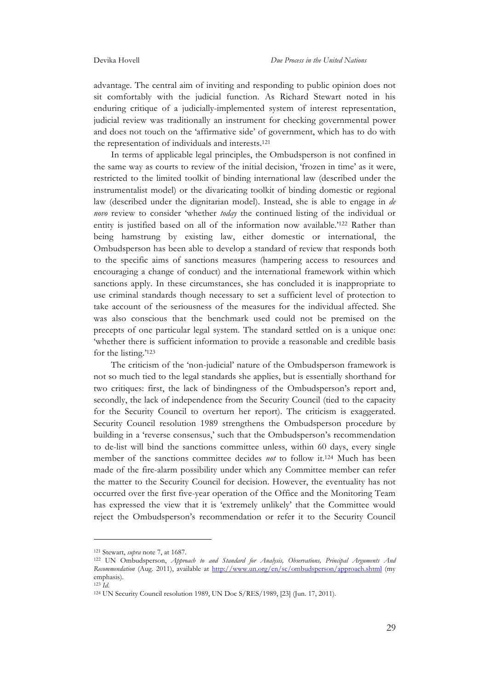advantage. The central aim of inviting and responding to public opinion does not sit comfortably with the judicial function. As Richard Stewart noted in his enduring critique of a judicially-implemented system of interest representation, judicial review was traditionally an instrument for checking governmental power and does not touch on the 'affirmative side' of government, which has to do with the representation of individuals and interests.121

In terms of applicable legal principles, the Ombudsperson is not confined in the same way as courts to review of the initial decision, 'frozen in time' as it were, restricted to the limited toolkit of binding international law (described under the instrumentalist model) or the divaricating toolkit of binding domestic or regional law (described under the dignitarian model). Instead, she is able to engage in *de novo* review to consider 'whether *today* the continued listing of the individual or entity is justified based on all of the information now available.'122 Rather than being hamstrung by existing law, either domestic or international, the Ombudsperson has been able to develop a standard of review that responds both to the specific aims of sanctions measures (hampering access to resources and encouraging a change of conduct) and the international framework within which sanctions apply. In these circumstances, she has concluded it is inappropriate to use criminal standards though necessary to set a sufficient level of protection to take account of the seriousness of the measures for the individual affected. She was also conscious that the benchmark used could not be premised on the precepts of one particular legal system. The standard settled on is a unique one: 'whether there is sufficient information to provide a reasonable and credible basis for the listing.'123

The criticism of the 'non-judicial' nature of the Ombudsperson framework is not so much tied to the legal standards she applies, but is essentially shorthand for two critiques: first, the lack of bindingness of the Ombudsperson's report and, secondly, the lack of independence from the Security Council (tied to the capacity for the Security Council to overturn her report). The criticism is exaggerated. Security Council resolution 1989 strengthens the Ombudsperson procedure by building in a 'reverse consensus,' such that the Ombudsperson's recommendation to de-list will bind the sanctions committee unless, within 60 days, every single member of the sanctions committee decides *not* to follow it.124 Much has been made of the fire-alarm possibility under which any Committee member can refer the matter to the Security Council for decision. However, the eventuality has not occurred over the first five-year operation of the Office and the Monitoring Team has expressed the view that it is 'extremely unlikely' that the Committee would reject the Ombudsperson's recommendation or refer it to the Security Council

<sup>121</sup> Stewart, *supra* note 7, at 1687.

<sup>122</sup> UN Ombudsperson, *Approach to and Standard for Analysis, Observations, Principal Arguments And Recommendation* (Aug. 2011), available at http://www.un.org/en/sc/ombudsperson/approach.shtml (my emphasis).

<sup>123</sup> *Id*.

<sup>124</sup> UN Security Council resolution 1989, UN Doc S/RES/1989, [23] (Jun. 17, 2011).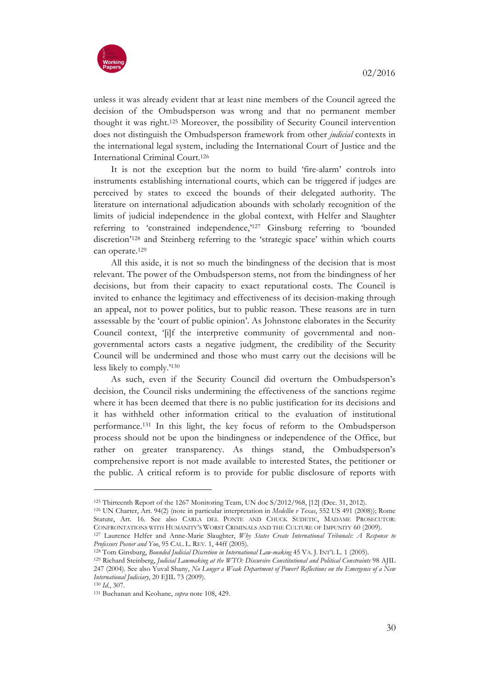

unless it was already evident that at least nine members of the Council agreed the decision of the Ombudsperson was wrong and that no permanent member thought it was right.125 Moreover, the possibility of Security Council intervention does not distinguish the Ombudsperson framework from other *judicial* contexts in the international legal system, including the International Court of Justice and the International Criminal Court.126

It is not the exception but the norm to build 'fire-alarm' controls into instruments establishing international courts, which can be triggered if judges are perceived by states to exceed the bounds of their delegated authority. The literature on international adjudication abounds with scholarly recognition of the limits of judicial independence in the global context, with Helfer and Slaughter referring to 'constrained independence,'<sup>127</sup> Ginsburg referring to 'bounded discretion'128 and Steinberg referring to the 'strategic space' within which courts can operate.129

All this aside, it is not so much the bindingness of the decision that is most relevant. The power of the Ombudsperson stems, not from the bindingness of her decisions, but from their capacity to exact reputational costs. The Council is invited to enhance the legitimacy and effectiveness of its decision-making through an appeal, not to power politics, but to public reason. These reasons are in turn assessable by the 'court of public opinion'. As Johnstone elaborates in the Security Council context, '[i]f the interpretive community of governmental and nongovernmental actors casts a negative judgment, the credibility of the Security Council will be undermined and those who must carry out the decisions will be less likely to comply.'130

As such, even if the Security Council did overturn the Ombudsperson's decision, the Council risks undermining the effectiveness of the sanctions regime where it has been deemed that there is no public justification for its decisions and it has withheld other information critical to the evaluation of institutional performance.131 In this light, the key focus of reform to the Ombudsperson process should not be upon the bindingness or independence of the Office, but rather on greater transparency. As things stand, the Ombudsperson's comprehensive report is not made available to interested States, the petitioner or the public. A critical reform is to provide for public disclosure of reports with

<sup>125</sup> Thirteenth Report of the 1267 Monitoring Team, UN doc S/2012/968, [12] (Dec. 31, 2012).

<sup>126</sup> UN Charter, Art. 94(2) (note in particular interpretation in *Medellin v Texas*, 552 US 491 (2008)); Rome Statute, Art. 16. See also CARLA DEL PONTE AND CHUCK SUDETIC, MADAME PROSECUTOR: CONFRONTATIONS WITH HUMANITY'S WORST CRIMINALS AND THE CULTURE OF IMPUNITY 60 (2009).

<sup>&</sup>lt;sup>127</sup> Laurence Helfer and Anne-Marie Slaughter, *Why States Create International Tribunals: A Response to Professors Posner and Yoo*, 95 CAL. L. REV. 1, 44ff (2005).

<sup>128</sup> Tom Ginsburg, *Bounded Judicial Discretion in International Law-making* 45 VA. J. INT'L L. 1 (2005).

<sup>129</sup> Richard Steinberg, *Judicial Lawmaking at the WTO: Discursive Constitutional and Political Constraints* 98 AJIL 247 (2004). See also Yuval Shany, *No Longer a Weak Department of Power? Reflections on the Emergence of a New International Judiciary*, 20 EJIL 73 (2009). 130 *Id*., 307.

<sup>131</sup> Buchanan and Keohane, *supra* note 108, 429.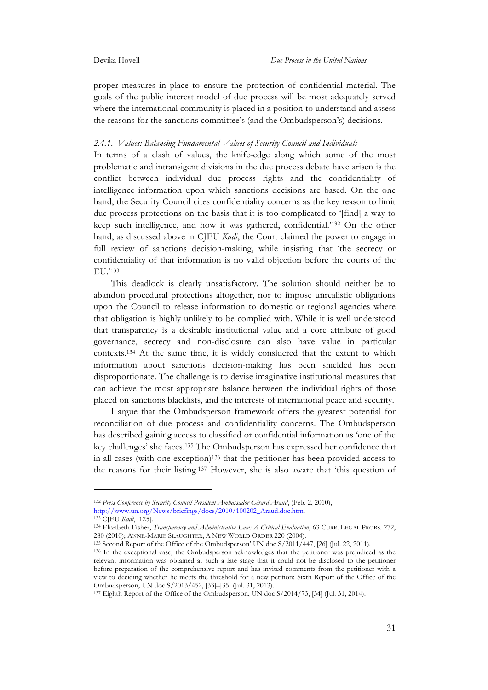proper measures in place to ensure the protection of confidential material. The goals of the public interest model of due process will be most adequately served where the international community is placed in a position to understand and assess the reasons for the sanctions committee's (and the Ombudsperson's) decisions.

#### *2.4.1. Values: Balancing Fundamental Values of Security Council and Individuals*

In terms of a clash of values, the knife-edge along which some of the most problematic and intransigent divisions in the due process debate have arisen is the conflict between individual due process rights and the confidentiality of intelligence information upon which sanctions decisions are based. On the one hand, the Security Council cites confidentiality concerns as the key reason to limit due process protections on the basis that it is too complicated to '[find] a way to keep such intelligence, and how it was gathered, confidential.'132 On the other hand, as discussed above in CJEU *Kadi*, the Court claimed the power to engage in full review of sanctions decision-making, while insisting that 'the secrecy or confidentiality of that information is no valid objection before the courts of the EU.'133

This deadlock is clearly unsatisfactory. The solution should neither be to abandon procedural protections altogether, nor to impose unrealistic obligations upon the Council to release information to domestic or regional agencies where that obligation is highly unlikely to be complied with. While it is well understood that transparency is a desirable institutional value and a core attribute of good governance, secrecy and non-disclosure can also have value in particular contexts.134 At the same time, it is widely considered that the extent to which information about sanctions decision-making has been shielded has been disproportionate. The challenge is to devise imaginative institutional measures that can achieve the most appropriate balance between the individual rights of those placed on sanctions blacklists, and the interests of international peace and security.

I argue that the Ombudsperson framework offers the greatest potential for reconciliation of due process and confidentiality concerns. The Ombudsperson has described gaining access to classified or confidential information as 'one of the key challenges' she faces.135 The Ombudsperson has expressed her confidence that in all cases (with one exception)136 that the petitioner has been provided access to the reasons for their listing.137 However, she is also aware that 'this question of

<sup>132</sup> *Press Conference by Security Council President Ambassador Gérard Araud*, (Feb. 2, 2010), http://www.un.org/News/briefings/docs/2010/100202\_Araud.doc.htm. 133 CJEU *Kadi*, [125].

<sup>134</sup> Elizabeth Fisher, *Transparency and Administrative Law: A Critical Evaluation*, 63 CURR. LEGAL PROBS. 272, 280 (2010); ANNE-MARIE SLAUGHTER, A NEW WORLD ORDER 220 (2004).

<sup>135</sup> Second Report of the Office of the Ombudsperson' UN doc S/2011/447, [26] (Jul. 22, 2011).

<sup>136</sup> In the exceptional case, the Ombudsperson acknowledges that the petitioner was prejudiced as the relevant information was obtained at such a late stage that it could not be disclosed to the petitioner before preparation of the comprehensive report and has invited comments from the petitioner with a view to deciding whether he meets the threshold for a new petition: Sixth Report of the Office of the Ombudsperson, UN doc S/2013/452, [33]–[35] (Jul. 31, 2013).

<sup>137</sup> Eighth Report of the Office of the Ombudsperson, UN doc S/2014/73, [34] (Jul. 31, 2014).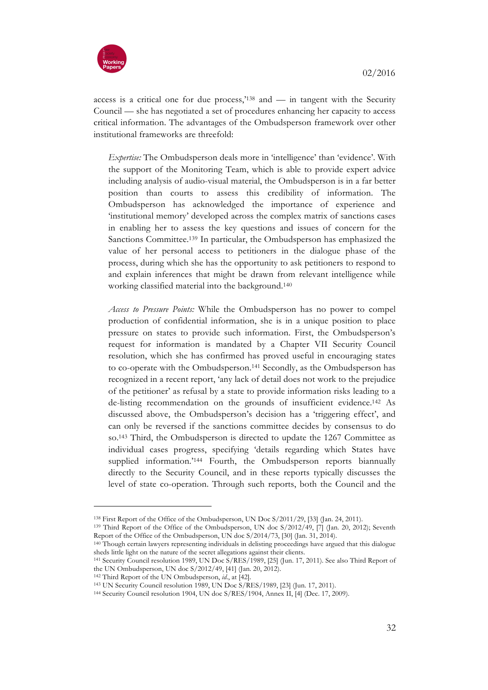

access is a critical one for due process,'138 and — in tangent with the Security Council — she has negotiated a set of procedures enhancing her capacity to access critical information. The advantages of the Ombudsperson framework over other institutional frameworks are threefold:

*Expertise:* The Ombudsperson deals more in 'intelligence' than 'evidence'. With the support of the Monitoring Team, which is able to provide expert advice including analysis of audio-visual material, the Ombudsperson is in a far better position than courts to assess this credibility of information. The Ombudsperson has acknowledged the importance of experience and 'institutional memory' developed across the complex matrix of sanctions cases in enabling her to assess the key questions and issues of concern for the Sanctions Committee.139 In particular, the Ombudsperson has emphasized the value of her personal access to petitioners in the dialogue phase of the process, during which she has the opportunity to ask petitioners to respond to and explain inferences that might be drawn from relevant intelligence while working classified material into the background.140

*Access to Pressure Points:* While the Ombudsperson has no power to compel production of confidential information, she is in a unique position to place pressure on states to provide such information. First, the Ombudsperson's request for information is mandated by a Chapter VII Security Council resolution, which she has confirmed has proved useful in encouraging states to co-operate with the Ombudsperson.141 Secondly, as the Ombudsperson has recognized in a recent report, 'any lack of detail does not work to the prejudice of the petitioner' as refusal by a state to provide information risks leading to a de-listing recommendation on the grounds of insufficient evidence.142 As discussed above, the Ombudsperson's decision has a 'triggering effect', and can only be reversed if the sanctions committee decides by consensus to do so.143 Third, the Ombudsperson is directed to update the 1267 Committee as individual cases progress, specifying 'details regarding which States have supplied information.<sup>'144</sup> Fourth, the Ombudsperson reports biannually directly to the Security Council, and in these reports typically discusses the level of state co-operation. Through such reports, both the Council and the

<sup>138</sup> First Report of the Office of the Ombudsperson, UN Doc S/2011/29, [33] (Jan. 24, 2011).

<sup>139</sup> Third Report of the Office of the Ombudsperson, UN doc S/2012/49, [7] (Jan. 20, 2012); Seventh Report of the Office of the Ombudsperson, UN doc S/2014/73, [30] (Jan. 31, 2014).

<sup>140</sup> Though certain lawyers representing individuals in delisting proceedings have argued that this dialogue sheds little light on the nature of the secret allegations against their clients.

<sup>141</sup> Security Council resolution 1989, UN Doc S/RES/1989, [25] (Jun. 17, 2011). See also Third Report of the UN Ombudsperson, UN doc S/2012/49, [41] (Jan. 20, 2012).

<sup>142</sup> Third Report of the UN Ombudsperson, *id*., at [42].

<sup>143</sup> UN Security Council resolution 1989, UN Doc S/RES/1989, [23] (Jun. 17, 2011).

<sup>144</sup> Security Council resolution 1904, UN doc S/RES/1904, Annex II, [4] (Dec. 17, 2009).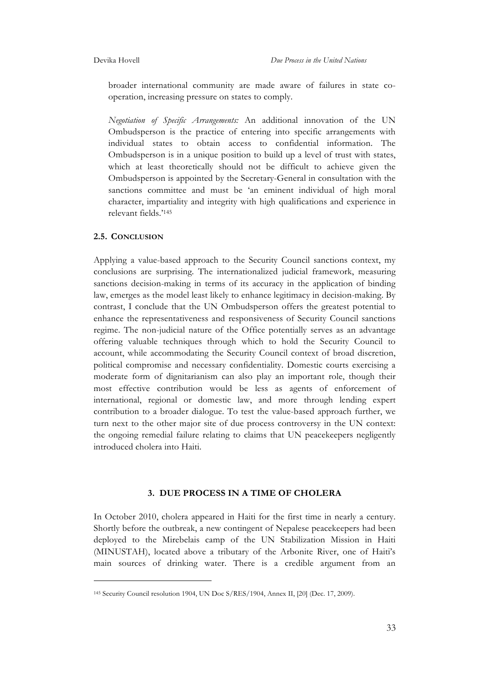broader international community are made aware of failures in state cooperation, increasing pressure on states to comply.

*Negotiation of Specific Arrangements:* An additional innovation of the UN Ombudsperson is the practice of entering into specific arrangements with individual states to obtain access to confidential information. The Ombudsperson is in a unique position to build up a level of trust with states, which at least theoretically should not be difficult to achieve given the Ombudsperson is appointed by the Secretary-General in consultation with the sanctions committee and must be 'an eminent individual of high moral character, impartiality and integrity with high qualifications and experience in relevant fields.'145

#### **2.5. CONCLUSION**

 $\overline{a}$ 

Applying a value-based approach to the Security Council sanctions context, my conclusions are surprising. The internationalized judicial framework, measuring sanctions decision-making in terms of its accuracy in the application of binding law, emerges as the model least likely to enhance legitimacy in decision-making. By contrast, I conclude that the UN Ombudsperson offers the greatest potential to enhance the representativeness and responsiveness of Security Council sanctions regime. The non-judicial nature of the Office potentially serves as an advantage offering valuable techniques through which to hold the Security Council to account, while accommodating the Security Council context of broad discretion, political compromise and necessary confidentiality. Domestic courts exercising a moderate form of dignitarianism can also play an important role, though their most effective contribution would be less as agents of enforcement of international, regional or domestic law, and more through lending expert contribution to a broader dialogue. To test the value-based approach further, we turn next to the other major site of due process controversy in the UN context: the ongoing remedial failure relating to claims that UN peacekeepers negligently introduced cholera into Haiti.

#### **3. DUE PROCESS IN A TIME OF CHOLERA**

In October 2010, cholera appeared in Haiti for the first time in nearly a century. Shortly before the outbreak, a new contingent of Nepalese peacekeepers had been deployed to the Mirebelais camp of the UN Stabilization Mission in Haiti (MINUSTAH), located above a tributary of the Arbonite River, one of Haiti's main sources of drinking water. There is a credible argument from an

<sup>145</sup> Security Council resolution 1904, UN Doc S/RES/1904, Annex II, [20] (Dec. 17, 2009).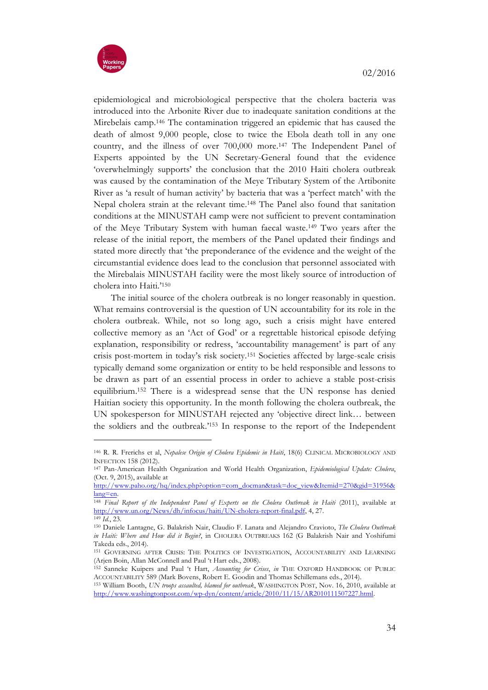

epidemiological and microbiological perspective that the cholera bacteria was introduced into the Arbonite River due to inadequate sanitation conditions at the Mirebelais camp.146 The contamination triggered an epidemic that has caused the death of almost 9,000 people, close to twice the Ebola death toll in any one country, and the illness of over 700,000 more.147 The Independent Panel of Experts appointed by the UN Secretary-General found that the evidence 'overwhelmingly supports' the conclusion that the 2010 Haiti cholera outbreak was caused by the contamination of the Meye Tributary System of the Artibonite River as 'a result of human activity' by bacteria that was a 'perfect match' with the Nepal cholera strain at the relevant time.148 The Panel also found that sanitation conditions at the MINUSTAH camp were not sufficient to prevent contamination of the Meye Tributary System with human faecal waste.149 Two years after the release of the initial report, the members of the Panel updated their findings and stated more directly that 'the preponderance of the evidence and the weight of the circumstantial evidence does lead to the conclusion that personnel associated with the Mirebalais MINUSTAH facility were the most likely source of introduction of cholera into Haiti.'150

The initial source of the cholera outbreak is no longer reasonably in question. What remains controversial is the question of UN accountability for its role in the cholera outbreak. While, not so long ago, such a crisis might have entered collective memory as an 'Act of God' or a regrettable historical episode defying explanation, responsibility or redress, 'accountability management' is part of any crisis post-mortem in today's risk society.151 Societies affected by large-scale crisis typically demand some organization or entity to be held responsible and lessons to be drawn as part of an essential process in order to achieve a stable post-crisis equilibrium.152 There is a widespread sense that the UN response has denied Haitian society this opportunity. In the month following the cholera outbreak, the UN spokesperson for MINUSTAH rejected any 'objective direct link… between the soldiers and the outbreak.'153 In response to the report of the Independent

<sup>146</sup> R. R. Frerichs et al, *Nepalese Origin of Cholera Epidemic in Haiti*, 18(6) CLINICAL MICROBIOLOGY AND INFECTION 158 (2012). 147 Pan-American Health Organization and World Health Organization, *Epidemiological Update: Cholera*,

<sup>(</sup>Oct. 9, 2015), available at

http://www.paho.org/hq/index.php?option=com\_docman&task=doc\_view&Itemid=270&gid=31956& lang=en. 148 *Final Report of the Independent Panel of Experts on the Cholera Outbreak in Haiti* (2011), available at

http://www.un.org/News/dh/infocus/haiti/UN-cholera-report-final.pdf, 4, 27.

<sup>149</sup> *Id.*, 23. 150 Daniele Lantagne, G. Balakrish Nair, Claudio F. Lanata and Alejandro Cravioto, *The Cholera Outbreak in Haiti: Where and How did it Begin?*, in CHOLERA OUTBREAKS 162 (G Balakrish Nair and Yoshifumi Takeda eds., 2014).

<sup>151</sup> GOVERNING AFTER CRISIS: THE POLITICS OF INVESTIGATION, ACCOUNTABILITY AND LEARNING (Arjen Boin, Allan McConnell and Paul 't Hart eds., 2008).

<sup>152</sup> Sanneke Kuipers and Paul 't Hart, *Accounting for Crises*, *in* THE OXFORD HANDBOOK OF PUBLIC ACCOUNTABILITY 589 (Mark Bovens, Robert E. Goodin and Thomas Schillemans eds., 2014).

<sup>153</sup> William Booth, *UN troops assaulted, blamed for outbreak*, WASHINGTON POST, Nov. 16, 2010, available at http://www.washingtonpost.com/wp-dyn/content/article/2010/11/15/AR2010111507227.html.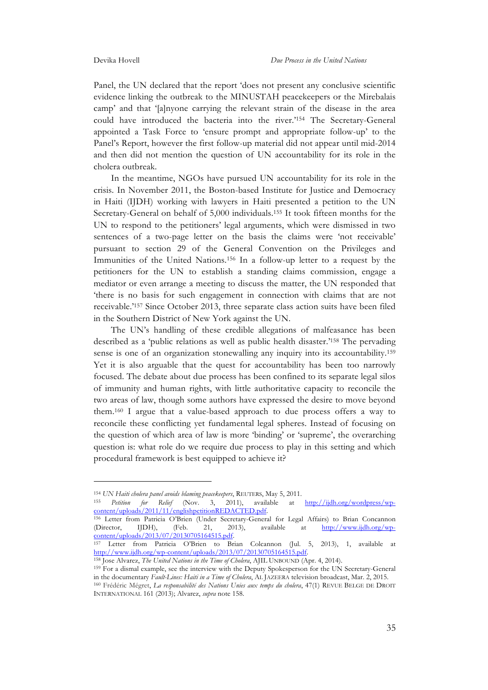Panel, the UN declared that the report 'does not present any conclusive scientific evidence linking the outbreak to the MINUSTAH peacekeepers or the Mirebalais camp' and that '[a]nyone carrying the relevant strain of the disease in the area could have introduced the bacteria into the river.'154 The Secretary-General appointed a Task Force to 'ensure prompt and appropriate follow-up' to the Panel's Report, however the first follow-up material did not appear until mid-2014 and then did not mention the question of UN accountability for its role in the cholera outbreak.

In the meantime, NGOs have pursued UN accountability for its role in the crisis. In November 2011, the Boston-based Institute for Justice and Democracy in Haiti (IJDH) working with lawyers in Haiti presented a petition to the UN Secretary-General on behalf of 5,000 individuals.155 It took fifteen months for the UN to respond to the petitioners' legal arguments, which were dismissed in two sentences of a two-page letter on the basis the claims were 'not receivable' pursuant to section 29 of the General Convention on the Privileges and Immunities of the United Nations.156 In a follow-up letter to a request by the petitioners for the UN to establish a standing claims commission, engage a mediator or even arrange a meeting to discuss the matter, the UN responded that 'there is no basis for such engagement in connection with claims that are not receivable.'157 Since October 2013, three separate class action suits have been filed in the Southern District of New York against the UN.

The UN's handling of these credible allegations of malfeasance has been described as a 'public relations as well as public health disaster.'158 The pervading sense is one of an organization stonewalling any inquiry into its accountability.<sup>159</sup> Yet it is also arguable that the quest for accountability has been too narrowly focused. The debate about due process has been confined to its separate legal silos of immunity and human rights, with little authoritative capacity to reconcile the two areas of law, though some authors have expressed the desire to move beyond them.160 I argue that a value-based approach to due process offers a way to reconcile these conflicting yet fundamental legal spheres. Instead of focusing on the question of which area of law is more 'binding' or 'supreme', the overarching question is: what role do we require due process to play in this setting and which procedural framework is best equipped to achieve it?

<sup>155</sup> *Petition for Relief* (Nov. 3, 2011), available at http://ijdh.org/wordpress/wp-

 $\overline{a}$ 

<sup>156</sup> Letter from Patricia O'Brien (Under Secretary-General for Legal Affairs) to Brian Concannon<br>(Director, IIDH), (Feb. 21, 2013), available at <u>http://www.ijdh.org/wp</u>-(Director, IJDH), (Feb. 21, 2013), available at  $\frac{http://www.ijdh.org/wp-content/uploads/2013/07/20130705164515.pdf.}$ 

<sup>158</sup> Jose Alvarez, *The United Nations in the Time of Cholera*, AJIL UNBOUND (Apr. 4, 2014).

<sup>159</sup> For a dismal example, see the interview with the Deputy Spokesperson for the UN Secretary-General in the documentary *Fault-Lines: Haiti in a Time of Cholera*, AL JAZEERA television broadcast, Mar. 2, 2015. <sup>160</sup> Frédéric Mégret, *La responsabilité des Nations Unies aux temps du cholera*, 47(1) REVUE BELGE DE DROIT

INTERNATIONAL 161 (2013); Alvarez, *supra* note 158.

<sup>154</sup> *UN Haiti cholera panel avoids blaming peacekeepers*, REUTERS, May 5, 2011.

content/uploads/2013/07/20130705164515.pdf. 157 Letter from Patricia O'Brien to Brian Colcannon (Jul. 5, 2013), 1, available at http://www.ijdh.org/wp-content/uploads/2013/07/20130705164515.pdf.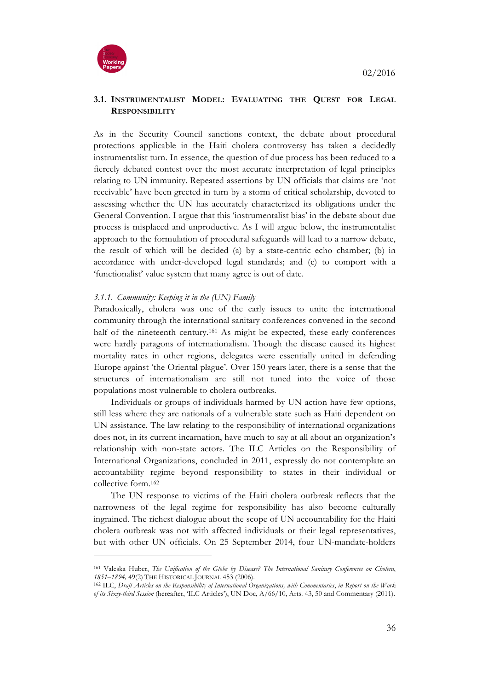



# **3.1. INSTRUMENTALIST MODEL: EVALUATING THE QUEST FOR LEGAL RESPONSIBILITY**

As in the Security Council sanctions context, the debate about procedural protections applicable in the Haiti cholera controversy has taken a decidedly instrumentalist turn. In essence, the question of due process has been reduced to a fiercely debated contest over the most accurate interpretation of legal principles relating to UN immunity. Repeated assertions by UN officials that claims are 'not receivable' have been greeted in turn by a storm of critical scholarship, devoted to assessing whether the UN has accurately characterized its obligations under the General Convention. I argue that this 'instrumentalist bias' in the debate about due process is misplaced and unproductive. As I will argue below, the instrumentalist approach to the formulation of procedural safeguards will lead to a narrow debate, the result of which will be decided (a) by a state-centric echo chamber; (b) in accordance with under-developed legal standards; and (c) to comport with a 'functionalist' value system that many agree is out of date.

# *3.1.1. Community: Keeping it in the (UN) Family*

Paradoxically, cholera was one of the early issues to unite the international community through the international sanitary conferences convened in the second half of the nineteenth century.<sup>161</sup> As might be expected, these early conferences were hardly paragons of internationalism. Though the disease caused its highest mortality rates in other regions, delegates were essentially united in defending Europe against 'the Oriental plague'. Over 150 years later, there is a sense that the structures of internationalism are still not tuned into the voice of those populations most vulnerable to cholera outbreaks.

Individuals or groups of individuals harmed by UN action have few options, still less where they are nationals of a vulnerable state such as Haiti dependent on UN assistance. The law relating to the responsibility of international organizations does not, in its current incarnation, have much to say at all about an organization's relationship with non-state actors. The ILC Articles on the Responsibility of International Organizations, concluded in 2011, expressly do not contemplate an accountability regime beyond responsibility to states in their individual or collective form.162

The UN response to victims of the Haiti cholera outbreak reflects that the narrowness of the legal regime for responsibility has also become culturally ingrained. The richest dialogue about the scope of UN accountability for the Haiti cholera outbreak was not with affected individuals or their legal representatives, but with other UN officials. On 25 September 2014, four UN-mandate-holders

<sup>161</sup> Valeska Huber, *The Unification of the Globe by Disease? The International Sanitary Conferences on Cholera*, *1851–1894,* 49(2) THE HISTORICAL JOURNAL 453 (2006).

<sup>162</sup> ILC, *Draft Articles on the Responsibility of International Organizations, with Commentaries*, *in Report on the Work of its Sixty-third Session* (hereafter, 'ILC Articles'), UN Doc, A/66/10, Arts. 43, 50 and Commentary (2011).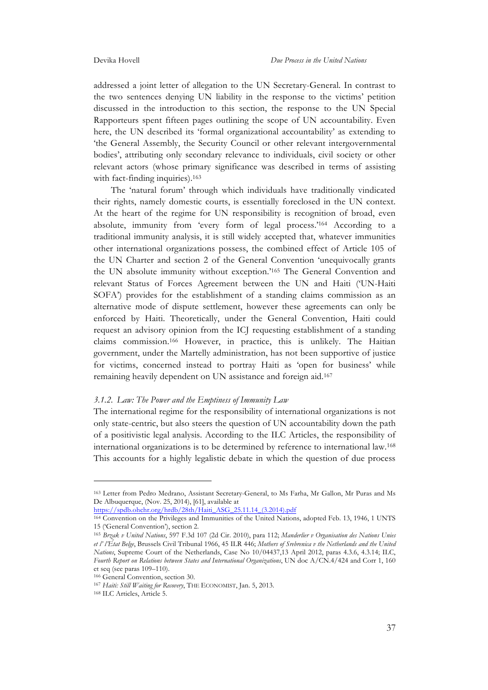addressed a joint letter of allegation to the UN Secretary-General. In contrast to the two sentences denying UN liability in the response to the victims' petition discussed in the introduction to this section, the response to the UN Special Rapporteurs spent fifteen pages outlining the scope of UN accountability. Even here, the UN described its 'formal organizational accountability' as extending to 'the General Assembly, the Security Council or other relevant intergovernmental bodies', attributing only secondary relevance to individuals, civil society or other relevant actors (whose primary significance was described in terms of assisting with fact-finding inquiries).<sup>163</sup>

The 'natural forum' through which individuals have traditionally vindicated their rights, namely domestic courts, is essentially foreclosed in the UN context. At the heart of the regime for UN responsibility is recognition of broad, even absolute, immunity from 'every form of legal process.'164 According to a traditional immunity analysis, it is still widely accepted that, whatever immunities other international organizations possess, the combined effect of Article 105 of the UN Charter and section 2 of the General Convention 'unequivocally grants the UN absolute immunity without exception.'165 The General Convention and relevant Status of Forces Agreement between the UN and Haiti ('UN-Haiti SOFA') provides for the establishment of a standing claims commission as an alternative mode of dispute settlement, however these agreements can only be enforced by Haiti. Theoretically, under the General Convention, Haiti could request an advisory opinion from the ICJ requesting establishment of a standing claims commission.166 However, in practice, this is unlikely. The Haitian government, under the Martelly administration, has not been supportive of justice for victims, concerned instead to portray Haiti as 'open for business' while remaining heavily dependent on UN assistance and foreign aid.167

#### *3.1.2. Law: The Power and the Emptiness of Immunity Law*

The international regime for the responsibility of international organizations is not only state-centric, but also steers the question of UN accountability down the path of a positivistic legal analysis. According to the ILC Articles, the responsibility of international organizations is to be determined by reference to international law.168 This accounts for a highly legalistic debate in which the question of due process

https://spdb.ohchr.org/hrdb/28th/Haiti\_ASG\_25.11.14\_(3.2014).pdf

<sup>163</sup> Letter from Pedro Medrano, Assistant Secretary-General, to Ms Farha, Mr Gallon, Mr Puras and Ms De Albuquerque, (Nov. 25, 2014), [61], available at

<sup>164</sup> Convention on the Privileges and Immunities of the United Nations, adopted Feb. 13, 1946, 1 UNTS 15 ('General Convention'), section 2.

<sup>165</sup> *Brzak v United Nations*, 597 F.3d 107 (2d Cir. 2010), para 112; *Manderlier v Organisation des Nations Unies et l' l'État Belge*, Brussels Civil Tribunal 1966, 45 ILR 446; *Mothers of Srebrenica v the Netherlands and the United Nations*, Supreme Court of the Netherlands, Case No 10/04437,13 April 2012, paras 4.3.6, 4.3.14; ILC, *Fourth Report on Relations between States and International Organizations*, UN doc A/CN.4/424 and Corr 1, 160 et seq (see paras 109–110).

<sup>166</sup> General Convention, section 30.

<sup>167</sup> *Haiti: Still Waiting for Recovery*, THE ECONOMIST, Jan. 5, 2013.

<sup>168</sup> ILC Articles, Article 5.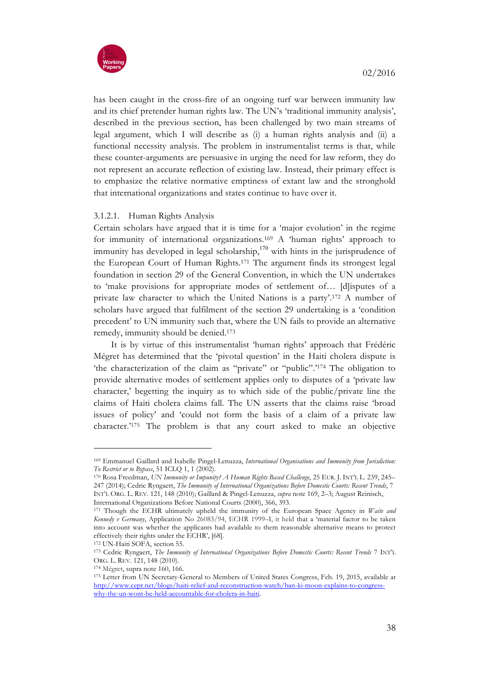



has been caught in the cross-fire of an ongoing turf war between immunity law and its chief pretender human rights law. The UN's 'traditional immunity analysis', described in the previous section, has been challenged by two main streams of legal argument, which I will describe as (i) a human rights analysis and (ii) a functional necessity analysis. The problem in instrumentalist terms is that, while these counter-arguments are persuasive in urging the need for law reform, they do not represent an accurate reflection of existing law. Instead, their primary effect is to emphasize the relative normative emptiness of extant law and the stronghold that international organizations and states continue to have over it.

# 3.1.2.1. Human Rights Analysis

Certain scholars have argued that it is time for a 'major evolution' in the regime for immunity of international organizations.169 A 'human rights' approach to immunity has developed in legal scholarship, $170$  with hints in the jurisprudence of the European Court of Human Rights.171 The argument finds its strongest legal foundation in section 29 of the General Convention, in which the UN undertakes to 'make provisions for appropriate modes of settlement of… [d]isputes of a private law character to which the United Nations is a party'.172 A number of scholars have argued that fulfilment of the section 29 undertaking is a 'condition precedent' to UN immunity such that, where the UN fails to provide an alternative remedy, immunity should be denied.173

It is by virtue of this instrumentalist 'human rights' approach that Frédéric Mégret has determined that the 'pivotal question' in the Haiti cholera dispute is 'the characterization of the claim as "private" or "public".'174 The obligation to provide alternative modes of settlement applies only to disputes of a 'private law character,' begetting the inquiry as to which side of the public/private line the claims of Haiti cholera claims fall. The UN asserts that the claims raise 'broad issues of policy' and 'could not form the basis of a claim of a private law character.'175 The problem is that any court asked to make an objective

<sup>169</sup> Emmanuel Gaillard and Isabelle Pingel-Lenuzza, *International Organisations and Immunity from Jurisdiction: To Restrict or to Bypass*, 51 ICLQ 1, 1 (2002).

<sup>170</sup> Rosa Freedman, *UN Immunity or Impunity? A Human Rights Based Challenge*, 25 EUR. J. INT'L L. 239, 245– 247 (2014); Cedric Ryngaert, *The Immunity of International Organizations Before Domestic Courts: Recent Trends*, 7 INT'L ORG. L. REV. 121, 148 (2010); Gaillard & Pingel-Lenuzza, *supra* note 169, 2–3; August Reinisch, International Organizations Before National Courts (2000), 366, 393.

<sup>171</sup> Though the ECHR ultimately upheld the immunity of the European Space Agency in *Waite and Kennedy v Germany*, Application No 26083/94, ECHR 1999–I, it held that a 'material factor to be taken into account was whether the applicants had available to them reasonable alternative means to protect effectively their rights under the ECHR', [68].<br><sup>172</sup> UN-Haiti SOFA, section 55.

<sup>&</sup>lt;sup>173</sup> Cedric Ryngaert, *The Immunity of International Organizations Before Domestic Courts: Recent Trends* 7 INT<sup>+</sup>L ORG. L. REV. 121, 148 (2010).

<sup>174</sup> Mégret, supra note 160, 166.

<sup>175</sup> Letter from UN Secretary-General to Members of United States Congress, Feb. 19, 2015, available at http://www.cepr.net/blogs/haiti-relief-and-reconstruction-watch/ban-ki-moon-explains-to-congresswhy-the-un-wont-be-held-accountable-for-cholera-in-haiti.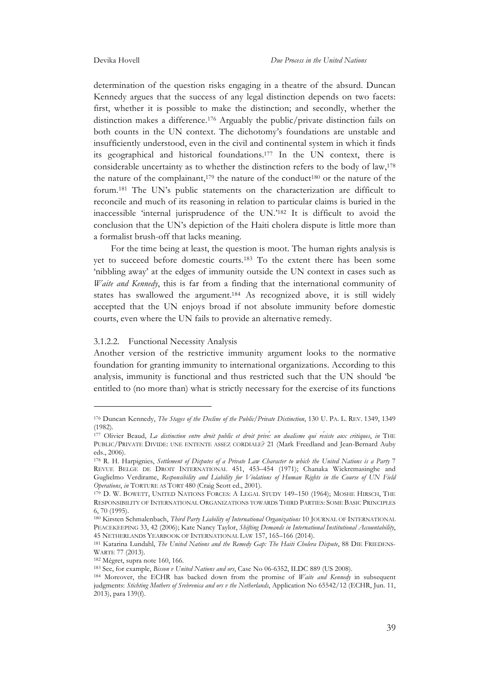determination of the question risks engaging in a theatre of the absurd. Duncan Kennedy argues that the success of any legal distinction depends on two facets: first, whether it is possible to make the distinction; and secondly, whether the distinction makes a difference.176 Arguably the public/private distinction fails on both counts in the UN context. The dichotomy's foundations are unstable and insufficiently understood, even in the civil and continental system in which it finds its geographical and historical foundations.177 In the UN context, there is considerable uncertainty as to whether the distinction refers to the body of law,178 the nature of the complainant,<sup>179</sup> the nature of the conduct<sup>180</sup> or the nature of the forum.181 The UN's public statements on the characterization are difficult to reconcile and much of its reasoning in relation to particular claims is buried in the inaccessible 'internal jurisprudence of the UN.'182 It is difficult to avoid the conclusion that the UN's depiction of the Haiti cholera dispute is little more than a formalist brush-off that lacks meaning.

For the time being at least, the question is moot. The human rights analysis is yet to succeed before domestic courts.183 To the extent there has been some 'nibbling away' at the edges of immunity outside the UN context in cases such as *Waite and Kennedy*, this is far from a finding that the international community of states has swallowed the argument.184 As recognized above, it is still widely accepted that the UN enjoys broad if not absolute immunity before domestic courts, even where the UN fails to provide an alternative remedy.

#### 3.1.2.2. Functional Necessity Analysis

Another version of the restrictive immunity argument looks to the normative foundation for granting immunity to international organizations. According to this analysis, immunity is functional and thus restricted such that the UN should 'be entitled to (no more than) what is strictly necessary for the exercise of its functions

<sup>176</sup> Duncan Kennedy, *The Stages of the Decline of the Public/Private Distinction*, 130 U. PA. L. REV. 1349, 1349 (1982).

<sup>177</sup> Olivier Beaud, *La distinction entre droit public et droit privé: un dualisme qui résiste aux critiques*, *in* THE PUBLIC/PRIVATE DIVIDE: UNE ENTENTE ASSEZ CORDIALE? 21 (Mark Freedland and Jean-Bernard Auby eds., 2006).

<sup>178</sup> R. H. Harpignies, *Settlement of Disputes of a Private Law Character to which the United Nations is a Party* 7 REVUE BELGE DE DROIT INTERNATIONAL 451, 453-454 (1971); Chanaka Wickremasinghe and Guglielmo Verdirame, *Responsibility and Liability for Violations of Human Rights in the Course of UN Field Operations*, *in* TORTURE AS TORT 480 (Craig Scott ed., 2001).

<sup>179</sup> D. W. BOWETT, UNITED NATIONS FORCES: A LEGAL STUDY 149–150 (1964); MOSHE HIRSCH, THE RESPONSIBILITY OF INTERNATIONAL ORGANIZATIONS TOWARDS THIRD PARTIES: SOME BASIC PRINCIPLES 6, 70 (1995).

<sup>180</sup> Kirsten Schmalenbach, *Third Party Liability of International Organizations* 10 JOURNAL OF INTERNATIONAL PEACEKEEPING 33, 42 (2006); Kate Nancy Taylor, *Shifting Demands in International Institutional Accountability*, 45 NETHERLANDS YEARBOOK OF INTERNATIONAL LAW 157, 165–166 (2014).

<sup>&</sup>lt;sup>181</sup> Katarina Lundahl, *The United Nations and the Remedy Gap: The Haiti Cholera Dispute*, 88 DIE FRIEDENS-WARTE 77 (2013).

<sup>182</sup> Mégret, supra note 160, 166.

<sup>183</sup> See, for example, *Bisson v United Nations and ors*, Case No 06-6352, ILDC 889 (US 2008).

<sup>184</sup> Moreover, the ECHR has backed down from the promise of *Waite and Kennedy* in subsequent judgments: *Stichting Mothers of Srebrenica and ors v the Netherlands*, Application No 65542/12 (ECHR, Jun. 11, 2013), para 139(f).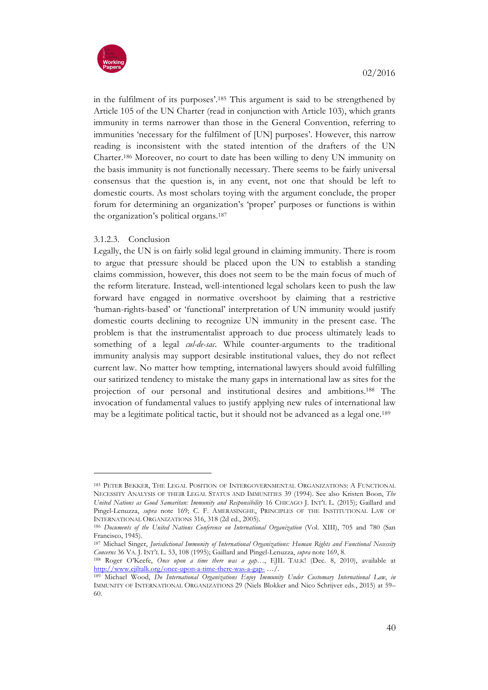

in the fulfilment of its purposes'.185 This argument is said to be strengthened by Article 105 of the UN Charter (read in conjunction with Article 103), which grants immunity in terms narrower than those in the General Convention, referring to immunities 'necessary for the fulfilment of [UN] purposes'. However, this narrow reading is inconsistent with the stated intention of the drafters of the UN Charter.186 Moreover, no court to date has been willing to deny UN immunity on the basis immunity is not functionally necessary. There seems to be fairly universal consensus that the question is, in any event, not one that should be left to domestic courts. As most scholars toying with the argument conclude, the proper forum for determining an organization's 'proper' purposes or functions is within the organization's political organs.187

# 3.1.2.3. Conclusion

 $\overline{a}$ 

Legally, the UN is on fairly solid legal ground in claiming immunity. There is room to argue that pressure should be placed upon the UN to establish a standing claims commission, however, this does not seem to be the main focus of much of the reform literature. Instead, well-intentioned legal scholars keen to push the law forward have engaged in normative overshoot by claiming that a restrictive 'human-rights-based' or 'functional' interpretation of UN immunity would justify domestic courts declining to recognize UN immunity in the present case. The problem is that the instrumentalist approach to due process ultimately leads to something of a legal *cul-de-sac*. While counter-arguments to the traditional immunity analysis may support desirable institutional values, they do not reflect current law. No matter how tempting, international lawyers should avoid fulfilling our satirized tendency to mistake the many gaps in international law as sites for the projection of our personal and institutional desires and ambitions.188 The invocation of fundamental values to justify applying new rules of international law may be a legitimate political tactic, but it should not be advanced as a legal one.189

<sup>185</sup> PETER BEKKER, THE LEGAL POSITION OF INTERGOVERNMENTAL ORGANIZATIONS: A FUNCTIONAL NECESSITY ANALYSIS OF THEIR LEGAL STATUS AND IMMUNITIES 39 (1994). See also Kristen Boon, *The United Nations as Good Samaritan: Immunity and Responsibility* 16 CHICAGO J. INT'L L. (2015); Gaillard and Pingel-Lenuzza, *supra* note 169; C. F. AMERASINGHE, PRINCIPLES OF THE INSTITUTIONAL LAW OF INTERNATIONAL ORGANIZATIONS 316, 318 (2d ed., 2005).

<sup>186</sup> *Documents of the United Nations Conference on International Organization* (Vol. XIII), 705 and 780 (San Francisco, 1945).

<sup>187</sup> Michael Singer, *Jurisdictional Immunity of International Organizations: Human Rights and Functional Necessity Concerns* 36 VA. J. INT'L L. 53, 108 (1995); Gaillard and Pingel-Lenuzza, *supra* note 169, 8.

<sup>188</sup> Roger O'Keefe, *Once upon a time there was a gap…*, EJIL TALK! (Dec. 8, 2010), available at http://www.ejiltalk.org/once-upon-a-time-there-was-a-gap- …/. 189 Michael Wood, *Do International Organizations Enjoy Immunity Under Customary International Law*, *in*

IMMUNITY OF INTERNATIONAL ORGANIZATIONS 29 (Niels Blokker and Nico Schrijver eds., 2015) at 59– 60.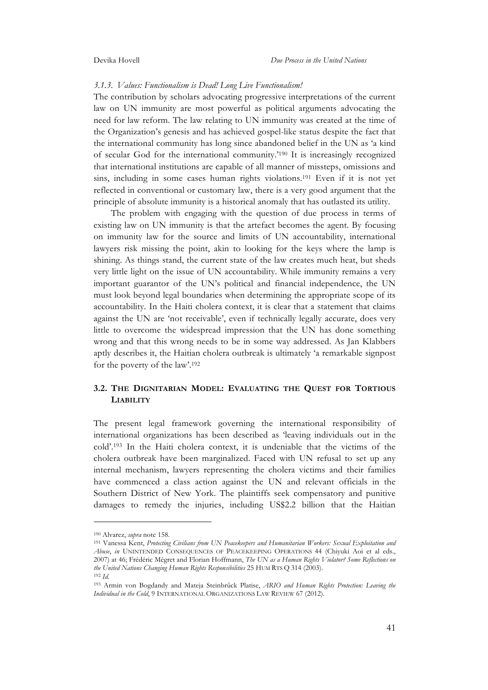#### *3.1.3. Values: Functionalism is Dead! Long Live Functionalism!*

The contribution by scholars advocating progressive interpretations of the current law on UN immunity are most powerful as political arguments advocating the need for law reform. The law relating to UN immunity was created at the time of the Organization's genesis and has achieved gospel-like status despite the fact that the international community has long since abandoned belief in the UN as 'a kind of secular God for the international community.'190 It is increasingly recognized that international institutions are capable of all manner of missteps, omissions and sins, including in some cases human rights violations.191 Even if it is not yet reflected in conventional or customary law, there is a very good argument that the principle of absolute immunity is a historical anomaly that has outlasted its utility.

The problem with engaging with the question of due process in terms of existing law on UN immunity is that the artefact becomes the agent. By focusing on immunity law for the source and limits of UN accountability, international lawyers risk missing the point, akin to looking for the keys where the lamp is shining. As things stand, the current state of the law creates much heat, but sheds very little light on the issue of UN accountability. While immunity remains a very important guarantor of the UN's political and financial independence, the UN must look beyond legal boundaries when determining the appropriate scope of its accountability. In the Haiti cholera context, it is clear that a statement that claims against the UN are 'not receivable', even if technically legally accurate, does very little to overcome the widespread impression that the UN has done something wrong and that this wrong needs to be in some way addressed. As Jan Klabbers aptly describes it, the Haitian cholera outbreak is ultimately 'a remarkable signpost for the poverty of the law'.192

# **3.2. THE DIGNITARIAN MODEL: EVALUATING THE QUEST FOR TORTIOUS LIABILITY**

The present legal framework governing the international responsibility of international organizations has been described as 'leaving individuals out in the cold'.193 In the Haiti cholera context, it is undeniable that the victims of the cholera outbreak have been marginalized. Faced with UN refusal to set up any internal mechanism, lawyers representing the cholera victims and their families have commenced a class action against the UN and relevant officials in the Southern District of New York. The plaintiffs seek compensatory and punitive damages to remedy the injuries, including US\$2.2 billion that the Haitian

<sup>190</sup> Alvarez, *supra* note 158.

<sup>191</sup> Vanessa Kent, *Protecting Civilians from UN Peacekeepers and Humanitarian Workers: Sexual Exploitation and Abuse*, *in* UNINTENDED CONSEQUENCES OF PEACEKEEPING OPERATIONS 44 (Chiyuki Aoi et al eds., 2007) at 46; Frédéric Mégret and Florian Hoffmann, *The UN as a Human Rights Violator? Some Reflections on the United Nations Changing Human Rights Responsibilities* 25 HUM RTS Q 314 (2003). 192 *Id.*

<sup>193</sup> Armin von Bogdandy and Mateja Steinbrück Platise, *ARIO and Human Rights Protection: Leaving the Individual in the Cold*, 9 INTERNATIONAL ORGANIZATIONS LAW REVIEW 67 (2012).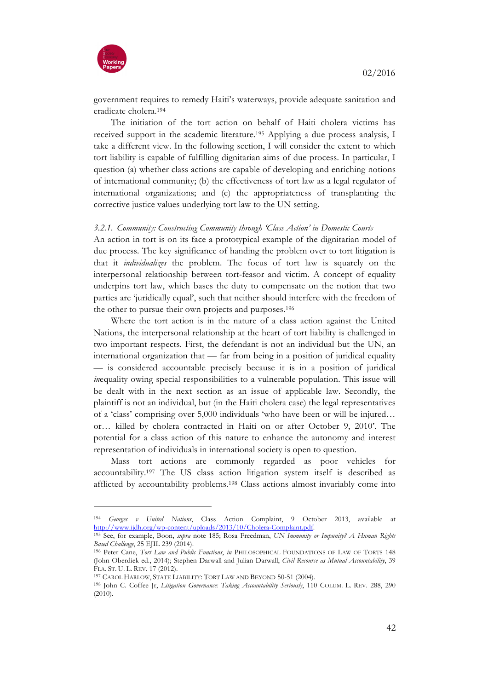

government requires to remedy Haiti's waterways, provide adequate sanitation and eradicate cholera.194

The initiation of the tort action on behalf of Haiti cholera victims has received support in the academic literature.195 Applying a due process analysis, I take a different view. In the following section, I will consider the extent to which tort liability is capable of fulfilling dignitarian aims of due process. In particular, I question (a) whether class actions are capable of developing and enriching notions of international community; (b) the effectiveness of tort law as a legal regulator of international organizations; and (c) the appropriateness of transplanting the corrective justice values underlying tort law to the UN setting.

#### *3.2.1. Community: Constructing Community through 'Class Action' in Domestic Courts*

An action in tort is on its face a prototypical example of the dignitarian model of due process. The key significance of handing the problem over to tort litigation is that it *individualizes* the problem. The focus of tort law is squarely on the interpersonal relationship between tort-feasor and victim. A concept of equality underpins tort law, which bases the duty to compensate on the notion that two parties are 'juridically equal', such that neither should interfere with the freedom of the other to pursue their own projects and purposes.196

Where the tort action is in the nature of a class action against the United Nations, the interpersonal relationship at the heart of tort liability is challenged in two important respects. First, the defendant is not an individual but the UN, an international organization that — far from being in a position of juridical equality — is considered accountable precisely because it is in a position of juridical *inequality owing special responsibilities to a vulnerable population. This issue will* be dealt with in the next section as an issue of applicable law. Secondly, the plaintiff is not an individual, but (in the Haiti cholera case) the legal representatives of a 'class' comprising over 5,000 individuals 'who have been or will be injured… or… killed by cholera contracted in Haiti on or after October 9, 2010'. The potential for a class action of this nature to enhance the autonomy and interest representation of individuals in international society is open to question.

Mass tort actions are commonly regarded as poor vehicles for accountability.197 The US class action litigation system itself is described as afflicted by accountability problems.198 Class actions almost invariably come into

<sup>194</sup> *Georges v United Nations*, Class Action Complaint, 9 October 2013, available at

<sup>&</sup>lt;sup>195</sup> See, for example, Boon, *supra* note 185; Rosa Freedman, *UN Immunity or Impunity? A Human Rights Based Challenge*, 25 EJIL 239 (2014).

<sup>196</sup> Peter Cane, *Tort Law and Public Functions*, *in* PHILOSOPHICAL FOUNDATIONS OF LAW OF TORTS 148 (John Oberdiek ed., 2014); Stephen Darwall and Julian Darwall, *Civil Recourse as Mutual Accountability*, 39 FLA. ST. U. L. REV. 17 (2012).

<sup>197</sup> CAROL HARLOW, STATE LIABILITY: TORT LAW AND BEYOND 50-51 (2004).

<sup>198</sup> John C. Coffee Jr, *Litigation Governance: Taking Accountability Seriously*, 110 COLUM. L. REV. 288, 290  $(2010)$ .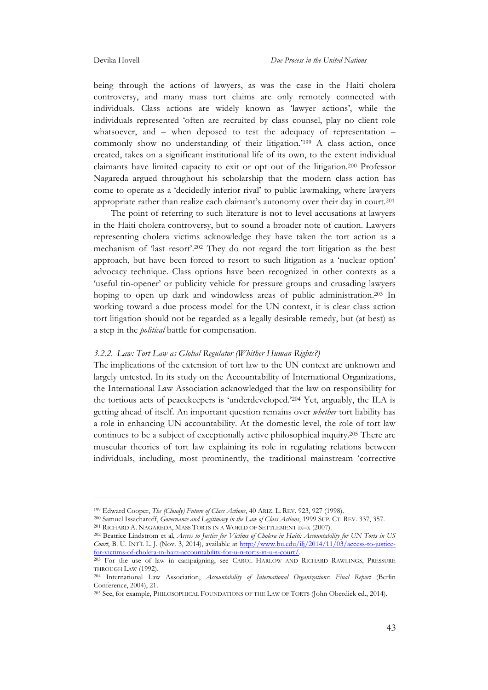being through the actions of lawyers, as was the case in the Haiti cholera controversy, and many mass tort claims are only remotely connected with individuals. Class actions are widely known as 'lawyer actions', while the individuals represented 'often are recruited by class counsel, play no client role whatsoever, and – when deposed to test the adequacy of representation – commonly show no understanding of their litigation.'<sup>199</sup> A class action, once created, takes on a significant institutional life of its own, to the extent individual claimants have limited capacity to exit or opt out of the litigation.200 Professor Nagareda argued throughout his scholarship that the modern class action has come to operate as a 'decidedly inferior rival' to public lawmaking, where lawyers appropriate rather than realize each claimant's autonomy over their day in court.201

The point of referring to such literature is not to level accusations at lawyers in the Haiti cholera controversy, but to sound a broader note of caution. Lawyers representing cholera victims acknowledge they have taken the tort action as a mechanism of 'last resort'.202 They do not regard the tort litigation as the best approach, but have been forced to resort to such litigation as a 'nuclear option' advocacy technique. Class options have been recognized in other contexts as a 'useful tin-opener' or publicity vehicle for pressure groups and crusading lawyers hoping to open up dark and windowless areas of public administration.203 In working toward a due process model for the UN context, it is clear class action tort litigation should not be regarded as a legally desirable remedy, but (at best) as a step in the *political* battle for compensation.

#### *3.2.2. Law: Tort Law as Global Regulator (Whither Human Rights?)*

The implications of the extension of tort law to the UN context are unknown and largely untested. In its study on the Accountability of International Organizations, the International Law Association acknowledged that the law on responsibility for the tortious acts of peacekeepers is 'underdeveloped.'204 Yet, arguably, the ILA is getting ahead of itself. An important question remains over *whether* tort liability has a role in enhancing UN accountability. At the domestic level, the role of tort law continues to be a subject of exceptionally active philosophical inquiry.205 There are muscular theories of tort law explaining its role in regulating relations between individuals, including, most prominently, the traditional mainstream 'corrective

<sup>199</sup> Edward Cooper, *The (Cloudy) Future of Class Actions*, 40 ARIZ. L. REV. 923, 927 (1998).

<sup>200</sup> Samuel Issacharoff, *Governance and Legitimacy in the Law of Class Actions*, 1999 SUP. CT. REV. 337, 357. <sup>201</sup> RICHARD A. NAGAREDA, MASS TORTS IN A WORLD OF SETTLEMENT ix–x (2007).

<sup>202</sup> Beatrice Lindstrom et al, *Access to Justice for Victims of Cholera in Haiti: Accountability for UN Torts in US Court*, B. U. INT'L L. J. (Nov. 3, 2014), available at http://www.bu.edu/ilj/2014/11/03/access-to-justicefor-victims-of-cholera-in-haiti-accountability-for-u-n-torts-in-u-s-court/. 203 For the use of law in campaigning, see CAROL HARLOW AND RICHARD RAWLINGS, PRESSURE

THROUGH LAW (1992).

<sup>&</sup>lt;sup>204</sup> International Law Association, *Accountability of International Organizations: Final Report* (Berlin Conference, 2004), 21.

<sup>205</sup> See, for example, PHILOSOPHICAL FOUNDATIONS OF THE LAW OF TORTS (John Oberdiek ed., 2014).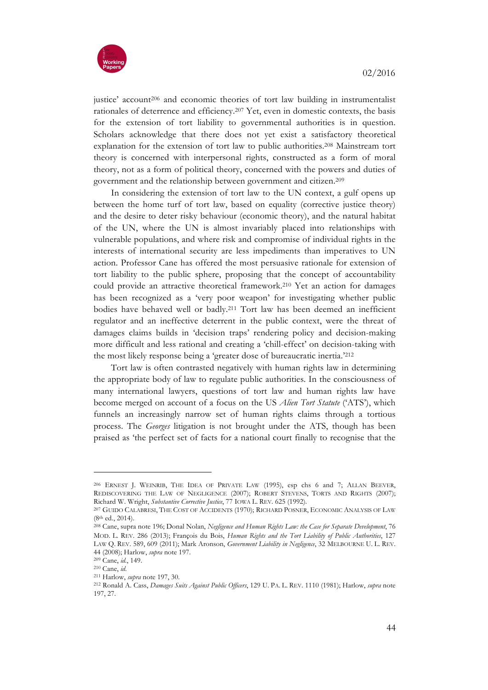

justice' account<sup>206</sup> and economic theories of tort law building in instrumentalist rationales of deterrence and efficiency.207 Yet, even in domestic contexts, the basis for the extension of tort liability to governmental authorities is in question. Scholars acknowledge that there does not yet exist a satisfactory theoretical explanation for the extension of tort law to public authorities.208 Mainstream tort theory is concerned with interpersonal rights, constructed as a form of moral theory, not as a form of political theory, concerned with the powers and duties of government and the relationship between government and citizen.209

In considering the extension of tort law to the UN context, a gulf opens up between the home turf of tort law, based on equality (corrective justice theory) and the desire to deter risky behaviour (economic theory), and the natural habitat of the UN, where the UN is almost invariably placed into relationships with vulnerable populations, and where risk and compromise of individual rights in the interests of international security are less impediments than imperatives to UN action. Professor Cane has offered the most persuasive rationale for extension of tort liability to the public sphere, proposing that the concept of accountability could provide an attractive theoretical framework.210 Yet an action for damages has been recognized as a 'very poor weapon' for investigating whether public bodies have behaved well or badly.211 Tort law has been deemed an inefficient regulator and an ineffective deterrent in the public context, were the threat of damages claims builds in 'decision traps' rendering policy and decision-making more difficult and less rational and creating a 'chill-effect' on decision-taking with the most likely response being a 'greater dose of bureaucratic inertia.'212

Tort law is often contrasted negatively with human rights law in determining the appropriate body of law to regulate public authorities. In the consciousness of many international lawyers, questions of tort law and human rights law have become merged on account of a focus on the US *Alien Tort Statute* ('ATS'), which funnels an increasingly narrow set of human rights claims through a tortious process. The *Georges* litigation is not brought under the ATS, though has been praised as 'the perfect set of facts for a national court finally to recognise that the

<sup>206</sup> ERNEST J. WEINRIB, THE IDEA OF PRIVATE LAW (1995), esp chs 6 and 7; ALLAN BEEVER, REDISCOVERING THE LAW OF NEGLIGENCE (2007); ROBERT STEVENS, TORTS AND RIGHTS (2007); Richard W. Wright, *Substantive Corrective Justice*, 77 IOWA L. REV. 625 (1992).

<sup>207</sup> GUIDO CALABRESI, THE COST OF ACCIDENTS (1970); RICHARD POSNER, ECONOMIC ANALYSIS OF LAW (8th ed., 2014).

<sup>208</sup> Cane, supra note 196; Donal Nolan, *Negligence and Human Rights Law: the Case for Separate Development*, 76 MOD. L. REV. 286 (2013); François du Bois, *Human Rights and the Tort Liability of Public Authorities*, 127 LAW Q. REV. 589, 609 (2011); Mark Aronson, *Government Liability in Negligence*, 32 MELBOURNE U. L. REV. 44 (2008); Harlow, *supra* note 197.

<sup>209</sup> Cane, *id.*, 149.

<sup>210</sup> Cane, *id*.

<sup>211</sup> Harlow, *supra* note 197, 30.

<sup>212</sup> Ronald A. Cass, *Damages Suits Against Public Officers*, 129 U. PA. L. REV. 1110 (1981); Harlow, *supra* note 197, 27.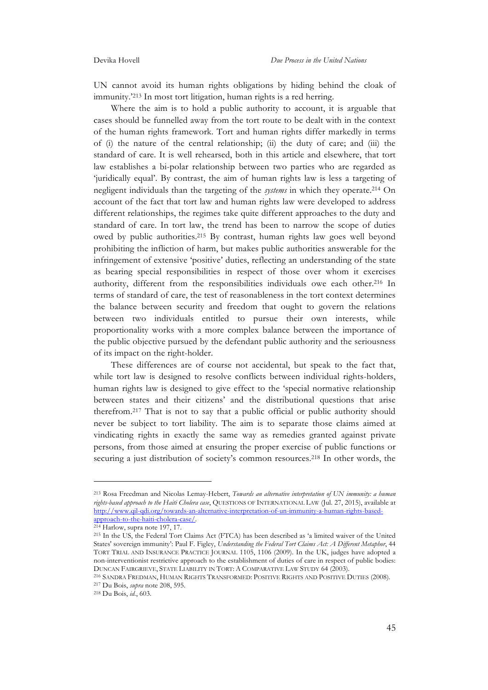UN cannot avoid its human rights obligations by hiding behind the cloak of immunity.'213 In most tort litigation, human rights is a red herring.

Where the aim is to hold a public authority to account, it is arguable that cases should be funnelled away from the tort route to be dealt with in the context of the human rights framework. Tort and human rights differ markedly in terms of (i) the nature of the central relationship; (ii) the duty of care; and (iii) the standard of care. It is well rehearsed, both in this article and elsewhere, that tort law establishes a bi-polar relationship between two parties who are regarded as 'juridically equal'. By contrast, the aim of human rights law is less a targeting of negligent individuals than the targeting of the *systems* in which they operate.214 On account of the fact that tort law and human rights law were developed to address different relationships, the regimes take quite different approaches to the duty and standard of care. In tort law, the trend has been to narrow the scope of duties owed by public authorities.215 By contrast, human rights law goes well beyond prohibiting the infliction of harm, but makes public authorities answerable for the infringement of extensive 'positive' duties, reflecting an understanding of the state as bearing special responsibilities in respect of those over whom it exercises authority, different from the responsibilities individuals owe each other.<sup>216</sup> In terms of standard of care, the test of reasonableness in the tort context determines the balance between security and freedom that ought to govern the relations between two individuals entitled to pursue their own interests, while proportionality works with a more complex balance between the importance of the public objective pursued by the defendant public authority and the seriousness of its impact on the right-holder.

These differences are of course not accidental, but speak to the fact that, while tort law is designed to resolve conflicts between individual rights-holders, human rights law is designed to give effect to the 'special normative relationship between states and their citizens' and the distributional questions that arise therefrom.217 That is not to say that a public official or public authority should never be subject to tort liability. The aim is to separate those claims aimed at vindicating rights in exactly the same way as remedies granted against private persons, from those aimed at ensuring the proper exercise of public functions or securing a just distribution of society's common resources.218 In other words, the

<sup>217</sup> Du Bois, *supra* note 208, 595.

<sup>213</sup> Rosa Freedman and Nicolas Lemay-Hebert, *Towards an alternative interpretation of UN immunity: a human rights-based approach to the Haiti Cholera case*, QUESTIONS OF INTERNATIONAL LAW (Jul. 27, 2015), available at http://www.qil-qdi.org/towards-an-alternative-interpretation-of-un-immunity-a-human-rights-basedapproach-to-the-haiti-cholera-case/.

<sup>214</sup> Harlow, supra note 197, 17.

<sup>215</sup> In the US, the Federal Tort Claims Act (FTCA) has been described as 'a limited waiver of the United States' sovereign immunity': Paul F. Figley, *Understanding the Federal Tort Claims Act: A Different Metaphor*, 44 TORT TRIAL AND INSURANCE PRACTICE JOURNAL 1105, 1106 (2009). In the UK, judges have adopted a non-interventionist restrictive approach to the establishment of duties of care in respect of public bodies: DUNCAN FAIRGRIEVE, STATE LIABILITY IN TORT: A COMPARATIVE LAW STUDY 64 (2003).

<sup>216</sup> SANDRA FREDMAN, HUMAN RIGHTS TRANSFORMED: POSITIVE RIGHTS AND POSITIVE DUTIES (2008).

<sup>218</sup> Du Bois, *id.*, 603.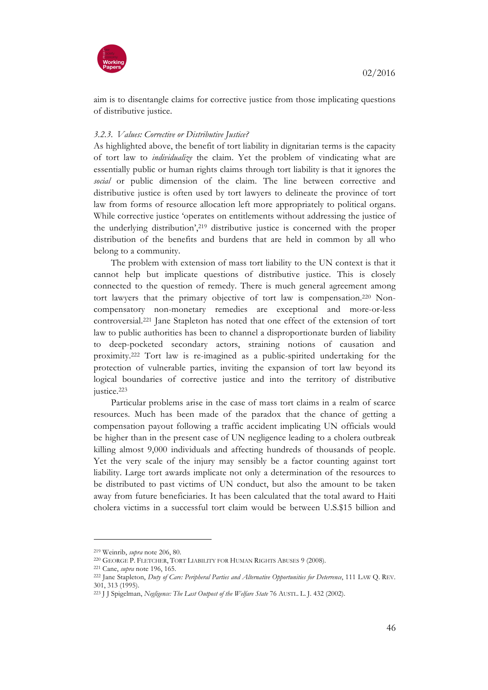



aim is to disentangle claims for corrective justice from those implicating questions of distributive justice.

#### *3.2.3. Values: Corrective or Distributive Justice?*

As highlighted above, the benefit of tort liability in dignitarian terms is the capacity of tort law to *individualize* the claim. Yet the problem of vindicating what are essentially public or human rights claims through tort liability is that it ignores the *social* or public dimension of the claim. The line between corrective and distributive justice is often used by tort lawyers to delineate the province of tort law from forms of resource allocation left more appropriately to political organs. While corrective justice 'operates on entitlements without addressing the justice of the underlying distribution',219 distributive justice is concerned with the proper distribution of the benefits and burdens that are held in common by all who belong to a community.

The problem with extension of mass tort liability to the UN context is that it cannot help but implicate questions of distributive justice. This is closely connected to the question of remedy. There is much general agreement among tort lawyers that the primary objective of tort law is compensation.220 Noncompensatory non-monetary remedies are exceptional and more-or-less controversial.221 Jane Stapleton has noted that one effect of the extension of tort law to public authorities has been to channel a disproportionate burden of liability to deep-pocketed secondary actors, straining notions of causation and proximity.222 Tort law is re-imagined as a public-spirited undertaking for the protection of vulnerable parties, inviting the expansion of tort law beyond its logical boundaries of corrective justice and into the territory of distributive justice.<sup>223</sup>

Particular problems arise in the case of mass tort claims in a realm of scarce resources. Much has been made of the paradox that the chance of getting a compensation payout following a traffic accident implicating UN officials would be higher than in the present case of UN negligence leading to a cholera outbreak killing almost 9,000 individuals and affecting hundreds of thousands of people. Yet the very scale of the injury may sensibly be a factor counting against tort liability. Large tort awards implicate not only a determination of the resources to be distributed to past victims of UN conduct, but also the amount to be taken away from future beneficiaries. It has been calculated that the total award to Haiti cholera victims in a successful tort claim would be between U.S.\$15 billion and

<sup>219</sup> Weinrib, *supra* note 206, 80.

<sup>220</sup> GEORGE P. FLETCHER, TORT LIABILITY FOR HUMAN RIGHTS ABUSES 9 (2008).

<sup>221</sup> Cane, *supra* note 196, 165.

<sup>222</sup> Jane Stapleton, *Duty of Care: Peripheral Parties and Alternative Opportunities for Deterrence*, 111 LAW Q. REV. 301, 313 (1995).

<sup>223</sup> J J Spigelman, *Negligence: The Last Outpost of the Welfare State* 76 AUSTL. L. J. 432 (2002).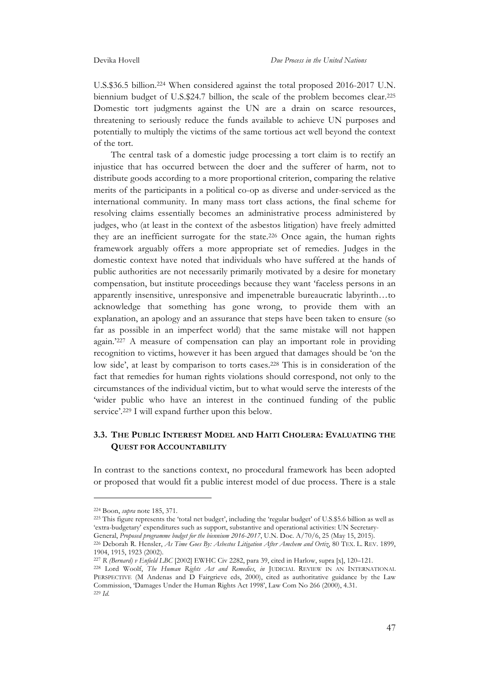U.S.\$36.5 billion.224 When considered against the total proposed 2016-2017 U.N. biennium budget of U.S.\$24.7 billion, the scale of the problem becomes clear.225 Domestic tort judgments against the UN are a drain on scarce resources, threatening to seriously reduce the funds available to achieve UN purposes and potentially to multiply the victims of the same tortious act well beyond the context of the tort.

The central task of a domestic judge processing a tort claim is to rectify an injustice that has occurred between the doer and the sufferer of harm, not to distribute goods according to a more proportional criterion, comparing the relative merits of the participants in a political co-op as diverse and under-serviced as the international community. In many mass tort class actions, the final scheme for resolving claims essentially becomes an administrative process administered by judges, who (at least in the context of the asbestos litigation) have freely admitted they are an inefficient surrogate for the state.226 Once again, the human rights framework arguably offers a more appropriate set of remedies. Judges in the domestic context have noted that individuals who have suffered at the hands of public authorities are not necessarily primarily motivated by a desire for monetary compensation, but institute proceedings because they want 'faceless persons in an apparently insensitive, unresponsive and impenetrable bureaucratic labyrinth…to acknowledge that something has gone wrong, to provide them with an explanation, an apology and an assurance that steps have been taken to ensure (so far as possible in an imperfect world) that the same mistake will not happen again.'227 A measure of compensation can play an important role in providing recognition to victims, however it has been argued that damages should be 'on the low side', at least by comparison to torts cases.228 This is in consideration of the fact that remedies for human rights violations should correspond, not only to the circumstances of the individual victim, but to what would serve the interests of the 'wider public who have an interest in the continued funding of the public service'.229 I will expand further upon this below.

# **3.3. THE PUBLIC INTEREST MODEL AND HAITI CHOLERA: EVALUATING THE QUEST FOR ACCOUNTABILITY**

In contrast to the sanctions context, no procedural framework has been adopted or proposed that would fit a public interest model of due process. There is a stale

<sup>224</sup> Boon, *supra* note 185, 371.

<sup>225</sup> This figure represents the 'total net budget', including the 'regular budget' of U.S.\$5.6 billion as well as 'extra-budgetary' expenditures such as support, substantive and operational activities: UN Secretary-

General, *Proposed programme budget for the biennium 2016-2017*, U.N. Doc. A/70/6, 25 (May 15, 2015).

<sup>226</sup> Deborah R. Hensler, *As Time Goes By: Asbestos Litigation After Amchem and Ortiz*, 80 TEX. L. REV. 1899, 1904, 1915, 1923 (2002).

<sup>227</sup> *R (Bernard) v Enfield LBC* [2002] EWHC Civ 2282, para 39, cited in Harlow, supra [x], 120–121.

<sup>228</sup> Lord Woolf, *The Human Rights Act and Remedies*, *in* JUDICIAL REVIEW IN AN INTERNATIONAL PERSPECTIVE (M Andenas and D Fairgrieve eds, 2000), cited as authoritative guidance by the Law Commission, 'Damages Under the Human Rights Act 1998', Law Com No 266 (2000), 4.31. <sup>229</sup> *Id*.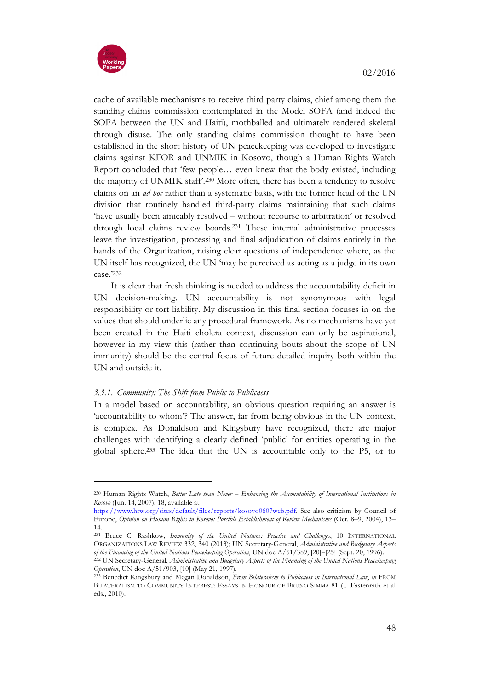

cache of available mechanisms to receive third party claims, chief among them the standing claims commission contemplated in the Model SOFA (and indeed the SOFA between the UN and Haiti), mothballed and ultimately rendered skeletal through disuse. The only standing claims commission thought to have been established in the short history of UN peacekeeping was developed to investigate claims against KFOR and UNMIK in Kosovo, though a Human Rights Watch Report concluded that 'few people… even knew that the body existed, including the majority of UNMIK staff'.230 More often, there has been a tendency to resolve claims on an *ad hoc* rather than a systematic basis, with the former head of the UN division that routinely handled third-party claims maintaining that such claims 'have usually been amicably resolved – without recourse to arbitration' or resolved through local claims review boards.231 These internal administrative processes leave the investigation, processing and final adjudication of claims entirely in the hands of the Organization, raising clear questions of independence where, as the UN itself has recognized, the UN 'may be perceived as acting as a judge in its own case.'232

It is clear that fresh thinking is needed to address the accountability deficit in UN decision-making. UN accountability is not synonymous with legal responsibility or tort liability. My discussion in this final section focuses in on the values that should underlie any procedural framework. As no mechanisms have yet been created in the Haiti cholera context, discussion can only be aspirational, however in my view this (rather than continuing bouts about the scope of UN immunity) should be the central focus of future detailed inquiry both within the UN and outside it.

# *3.3.1. Community: The Shift from Public to Publicness*

In a model based on accountability, an obvious question requiring an answer is 'accountability to whom'? The answer, far from being obvious in the UN context, is complex. As Donaldson and Kingsbury have recognized, there are major challenges with identifying a clearly defined 'public' for entities operating in the global sphere.233 The idea that the UN is accountable only to the P5, or to

<sup>230</sup> Human Rights Watch, *Better Late than Never – Enhancing the Accountability of International Institutions in Kosovo* (Jun. 14, 2007), 18, available at

https://www.hrw.org/sites/default/files/reports/kosovo0607web.pdf. See also criticism by Council of Europe, *Opinion on Human Rights in Kosovo: Possible Establishment of Review Mechanisms* (Oct. 8–9, 2004), 13– 14.

<sup>231</sup> Bruce C. Rashkow, *Immunity of the United Nations: Practice and Challenges*, 10 INTERNATIONAL ORGANIZATIONS LAW REVIEW 332, 340 (2013); UN Secretary-General, *Administrative and Budgetary Aspects of the Financing of the United Nations Peacekeeping Operation*, UN doc A/51/389, [20]–[25] (Sept. 20, 1996).

<sup>232</sup> UN Secretary-General, *Administrative and Budgetary Aspects of the Financing of the United Nations Peacekeeping Operation*, UN doc A/51/903, [10] (May 21, 1997).

<sup>233</sup> Benedict Kingsbury and Megan Donaldson, *From Bilateralism to Publicness in International Law*, *in* FROM BILATERALISM TO COMMUNITY INTEREST: ESSAYS IN HONOUR OF BRUNO SIMMA 81 (U Fastenrath et al eds., 2010).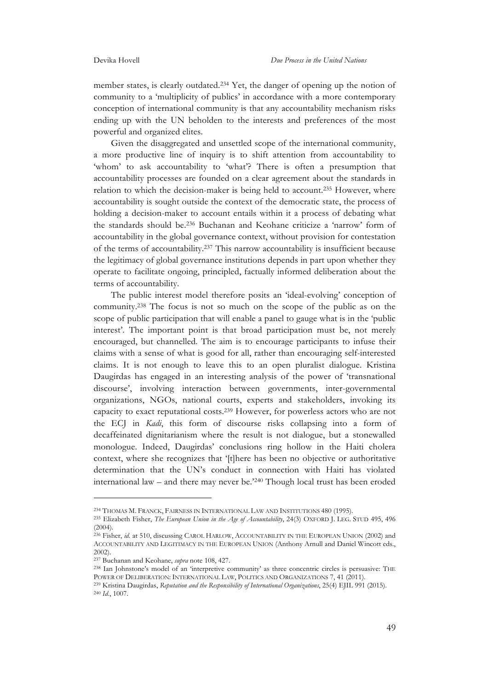member states, is clearly outdated.234 Yet, the danger of opening up the notion of community to a 'multiplicity of publics' in accordance with a more contemporary conception of international community is that any accountability mechanism risks ending up with the UN beholden to the interests and preferences of the most powerful and organized elites.

Given the disaggregated and unsettled scope of the international community, a more productive line of inquiry is to shift attention from accountability to 'whom' to ask accountability to 'what'? There is often a presumption that accountability processes are founded on a clear agreement about the standards in relation to which the decision-maker is being held to account.235 However, where accountability is sought outside the context of the democratic state, the process of holding a decision-maker to account entails within it a process of debating what the standards should be.236 Buchanan and Keohane criticize a 'narrow' form of accountability in the global governance context, without provision for contestation of the terms of accountability.237 This narrow accountability is insufficient because the legitimacy of global governance institutions depends in part upon whether they operate to facilitate ongoing, principled, factually informed deliberation about the terms of accountability.

The public interest model therefore posits an 'ideal-evolving' conception of community.238 The focus is not so much on the scope of the public as on the scope of public participation that will enable a panel to gauge what is in the 'public interest'. The important point is that broad participation must be, not merely encouraged, but channelled. The aim is to encourage participants to infuse their claims with a sense of what is good for all, rather than encouraging self-interested claims. It is not enough to leave this to an open pluralist dialogue. Kristina Daugirdas has engaged in an interesting analysis of the power of 'transnational discourse', involving interaction between governments, inter-governmental organizations, NGOs, national courts, experts and stakeholders, invoking its capacity to exact reputational costs.239 However, for powerless actors who are not the ECJ in *Kadi*, this form of discourse risks collapsing into a form of decaffeinated dignitarianism where the result is not dialogue, but a stonewalled monologue. Indeed, Daugirdas' conclusions ring hollow in the Haiti cholera context, where she recognizes that '[t]here has been no objective or authoritative determination that the UN's conduct in connection with Haiti has violated international law – and there may never be.'240 Though local trust has been eroded

<sup>234</sup> THOMAS M. FRANCK, FAIRNESS IN INTERNATIONAL LAW AND INSTITUTIONS 480 (1995).

<sup>235</sup> Elizabeth Fisher, *The European Union in the Age of Accountability*, 24(3) OXFORD J. LEG. STUD 495, 496  $(2004)$ 

<sup>236</sup> Fisher, *id.* at 510, discussing CAROL HARLOW, ACCOUNTABILITY IN THE EUROPEAN UNION (2002) and ACCOUNTABILITY AND LEGITIMACY IN THE EUROPEAN UNION (Anthony Arnull and Daniel Wincott eds., 2002).

<sup>237</sup> Buchanan and Keohane, *supra* note 108, 427.

<sup>238</sup> Ian Johnstone's model of an 'interpretive community' as three concentric circles is persuasive: THE POWER OF DELIBERATION: INTERNATIONAL LAW, POLITICS AND ORGANIZATIONS 7, 41 (2011).

<sup>239</sup> Kristina Daugirdas, *Reputation and the Responsibility of International Organizations*, 25(4) EJIL 991 (2015). 240 *Id*., 1007.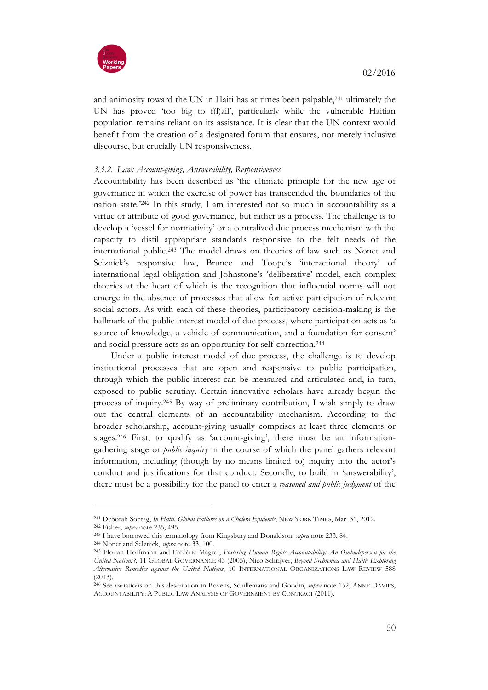

and animosity toward the UN in Haiti has at times been palpable,241 ultimately the UN has proved 'too big to f(l)ail', particularly while the vulnerable Haitian population remains reliant on its assistance. It is clear that the UN context would benefit from the creation of a designated forum that ensures, not merely inclusive discourse, but crucially UN responsiveness.

# *3.3.2. Law: Account-giving, Answerability, Responsiveness*

Accountability has been described as 'the ultimate principle for the new age of governance in which the exercise of power has transcended the boundaries of the nation state.'242 In this study, I am interested not so much in accountability as a virtue or attribute of good governance, but rather as a process. The challenge is to develop a 'vessel for normativity' or a centralized due process mechanism with the capacity to distil appropriate standards responsive to the felt needs of the international public.243 The model draws on theories of law such as Nonet and Selznick's responsive law, Brunee and Toope's 'interactional theory' of international legal obligation and Johnstone's 'deliberative' model, each complex theories at the heart of which is the recognition that influential norms will not emerge in the absence of processes that allow for active participation of relevant social actors. As with each of these theories, participatory decision-making is the hallmark of the public interest model of due process, where participation acts as 'a source of knowledge, a vehicle of communication, and a foundation for consent' and social pressure acts as an opportunity for self-correction.244

Under a public interest model of due process, the challenge is to develop institutional processes that are open and responsive to public participation, through which the public interest can be measured and articulated and, in turn, exposed to public scrutiny. Certain innovative scholars have already begun the process of inquiry.245 By way of preliminary contribution, I wish simply to draw out the central elements of an accountability mechanism. According to the broader scholarship, account-giving usually comprises at least three elements or stages.246 First, to qualify as 'account-giving', there must be an informationgathering stage or *public inquiry* in the course of which the panel gathers relevant information, including (though by no means limited to) inquiry into the actor's conduct and justifications for that conduct. Secondly, to build in 'answerability', there must be a possibility for the panel to enter a *reasoned and public judgment* of the

<sup>241</sup> Deborah Sontag, *In Haiti, Global Failures on a Cholera Epidemic*, NEW YORK TIMES, Mar. 31, 2012. <sup>242</sup> Fisher, *supra* note 235, 495.

<sup>243</sup> I have borrowed this terminology from Kingsbury and Donaldson, *supra* note 233, 84.

<sup>244</sup> Nonet and Selznick, *supra* note 33, 100.

<sup>245</sup> Florian Hoffmann and Frédéric Mégret, *Fostering Human Rights Accountability: An Ombudsperson for the United Nations?*, 11 GLOBAL GOVERNANCE 43 (2005); Nico Schrijver, *Beyond Srebrenica and Haiti: Exploring Alternative Remedies against the United Nations*, 10 INTERNATIONAL ORGANIZATIONS LAW REVIEW 588 (2013).

<sup>246</sup> See variations on this description in Bovens, Schillemans and Goodin, *supra* note 152; ANNE DAVIES, ACCOUNTABILITY: A PUBLIC LAW ANALYSIS OF GOVERNMENT BY CONTRACT (2011).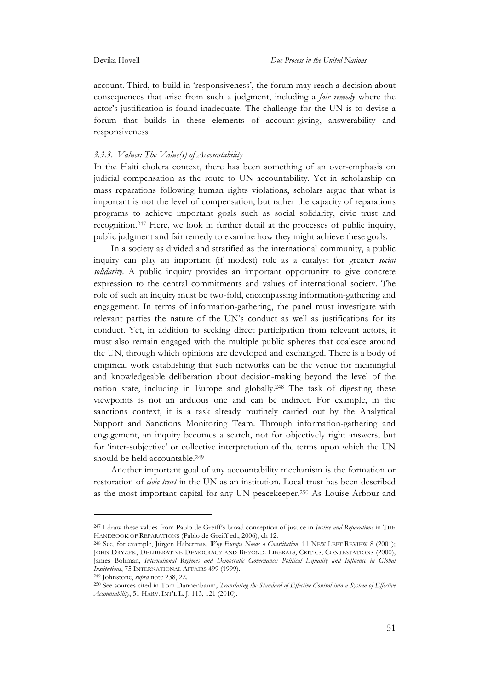account. Third, to build in 'responsiveness', the forum may reach a decision about consequences that arise from such a judgment, including a *fair remedy* where the actor's justification is found inadequate. The challenge for the UN is to devise a forum that builds in these elements of account-giving, answerability and responsiveness.

#### *3.3.3. Values: The Value(s) of Accountability*

In the Haiti cholera context, there has been something of an over-emphasis on judicial compensation as the route to UN accountability. Yet in scholarship on mass reparations following human rights violations, scholars argue that what is important is not the level of compensation, but rather the capacity of reparations programs to achieve important goals such as social solidarity, civic trust and recognition.247 Here, we look in further detail at the processes of public inquiry, public judgment and fair remedy to examine how they might achieve these goals.

In a society as divided and stratified as the international community, a public inquiry can play an important (if modest) role as a catalyst for greater *social solidarity*. A public inquiry provides an important opportunity to give concrete expression to the central commitments and values of international society. The role of such an inquiry must be two-fold, encompassing information-gathering and engagement. In terms of information-gathering, the panel must investigate with relevant parties the nature of the UN's conduct as well as justifications for its conduct. Yet, in addition to seeking direct participation from relevant actors, it must also remain engaged with the multiple public spheres that coalesce around the UN, through which opinions are developed and exchanged. There is a body of empirical work establishing that such networks can be the venue for meaningful and knowledgeable deliberation about decision-making beyond the level of the nation state, including in Europe and globally.248 The task of digesting these viewpoints is not an arduous one and can be indirect. For example, in the sanctions context, it is a task already routinely carried out by the Analytical Support and Sanctions Monitoring Team. Through information-gathering and engagement, an inquiry becomes a search, not for objectively right answers, but for 'inter-subjective' or collective interpretation of the terms upon which the UN should be held accountable.249

Another important goal of any accountability mechanism is the formation or restoration of *civic trust* in the UN as an institution. Local trust has been described as the most important capital for any UN peacekeeper.250 As Louise Arbour and

<sup>247</sup> I draw these values from Pablo de Greiff's broad conception of justice in *Justice and Reparations* in THE HANDBOOK OF REPARATIONS (Pablo de Greiff ed., 2006), ch 12.

<sup>248</sup> See, for example, Jürgen Habermas, *Why Europe Needs a Constitution*, 11 NEW LEFT REVIEW 8 (2001); JOHN DRYZEK, DELIBERATIVE DEMOCRACY AND BEYOND: LIBERALS, CRITICS, CONTESTATIONS (2000); James Bohman, *International Regimes and Democratic Governance: Political Equality and Influence in Global Institutions*, 75 INTERNATIONAL AFFAIRS 499 (1999).

<sup>249</sup> Johnstone, *supra* note 238, 22.

<sup>250</sup> See sources cited in Tom Dannenbaum, *Translating the Standard of Effective Control into a System of Effective Accountability*, 51 HARV. INT'L L. J. 113, 121 (2010).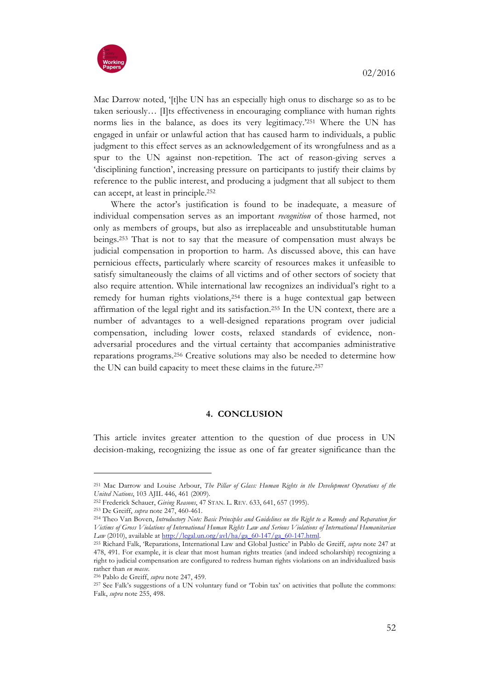

Mac Darrow noted, '[t]he UN has an especially high onus to discharge so as to be taken seriously… [I]ts effectiveness in encouraging compliance with human rights norms lies in the balance, as does its very legitimacy.'251 Where the UN has engaged in unfair or unlawful action that has caused harm to individuals, a public judgment to this effect serves as an acknowledgement of its wrongfulness and as a spur to the UN against non-repetition. The act of reason-giving serves a 'disciplining function', increasing pressure on participants to justify their claims by reference to the public interest, and producing a judgment that all subject to them can accept, at least in principle.252

Where the actor's justification is found to be inadequate, a measure of individual compensation serves as an important *recognition* of those harmed, not only as members of groups, but also as irreplaceable and unsubstitutable human beings.253 That is not to say that the measure of compensation must always be judicial compensation in proportion to harm. As discussed above, this can have pernicious effects, particularly where scarcity of resources makes it unfeasible to satisfy simultaneously the claims of all victims and of other sectors of society that also require attention. While international law recognizes an individual's right to a remedy for human rights violations,254 there is a huge contextual gap between affirmation of the legal right and its satisfaction.255 In the UN context, there are a number of advantages to a well-designed reparations program over judicial compensation, including lower costs, relaxed standards of evidence, nonadversarial procedures and the virtual certainty that accompanies administrative reparations programs.256 Creative solutions may also be needed to determine how the UN can build capacity to meet these claims in the future.257

#### **4. CONCLUSION**

This article invites greater attention to the question of due process in UN decision-making, recognizing the issue as one of far greater significance than the

<sup>251</sup> Mac Darrow and Louise Arbour, *The Pillar of Glass: Human Rights in the Development Operations of the United Nations*, 103 AJIL 446, 461 (2009).

<sup>252</sup> Frederick Schauer, *Giving Reasons*, 47 STAN. L. REV. 633, 641, 657 (1995).

<sup>253</sup> De Greiff, *supra* note 247, 460-461.

<sup>254</sup> Theo Van Boven, *Introductory Note: Basic Principles and Guidelines on the Right to a Remedy and Reparation for Victims of Gross Violations of International Human Rights Law and Serious Violations of International Humanitarian Law* (2010), available at http://legal.un.org/avl/ha/ga\_60-147/ga\_60-147.html. 255 Richard Falk, 'Reparations, International Law and Global Justice' in Pablo de Greiff, *supra* note 247 at

<sup>478, 491.</sup> For example, it is clear that most human rights treaties (and indeed scholarship) recognizing a right to judicial compensation are configured to redress human rights violations on an individualized basis rather than *en masse*.

<sup>256</sup> Pablo de Greiff, *supra* note 247, 459.

<sup>257</sup> See Falk's suggestions of a UN voluntary fund or 'Tobin tax' on activities that pollute the commons: Falk, *supra* note 255, 498.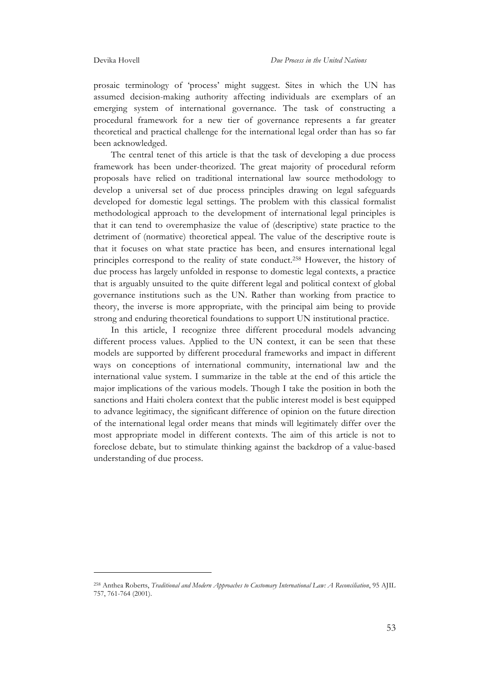prosaic terminology of 'process' might suggest. Sites in which the UN has assumed decision-making authority affecting individuals are exemplars of an emerging system of international governance. The task of constructing a procedural framework for a new tier of governance represents a far greater theoretical and practical challenge for the international legal order than has so far been acknowledged.

The central tenet of this article is that the task of developing a due process framework has been under-theorized. The great majority of procedural reform proposals have relied on traditional international law source methodology to develop a universal set of due process principles drawing on legal safeguards developed for domestic legal settings. The problem with this classical formalist methodological approach to the development of international legal principles is that it can tend to overemphasize the value of (descriptive) state practice to the detriment of (normative) theoretical appeal. The value of the descriptive route is that it focuses on what state practice has been, and ensures international legal principles correspond to the reality of state conduct.258 However, the history of due process has largely unfolded in response to domestic legal contexts, a practice that is arguably unsuited to the quite different legal and political context of global governance institutions such as the UN. Rather than working from practice to theory, the inverse is more appropriate, with the principal aim being to provide strong and enduring theoretical foundations to support UN institutional practice.

In this article, I recognize three different procedural models advancing different process values. Applied to the UN context, it can be seen that these models are supported by different procedural frameworks and impact in different ways on conceptions of international community, international law and the international value system. I summarize in the table at the end of this article the major implications of the various models. Though I take the position in both the sanctions and Haiti cholera context that the public interest model is best equipped to advance legitimacy, the significant difference of opinion on the future direction of the international legal order means that minds will legitimately differ over the most appropriate model in different contexts. The aim of this article is not to foreclose debate, but to stimulate thinking against the backdrop of a value-based understanding of due process.

<sup>258</sup> Anthea Roberts, *Traditional and Modern Approaches to Customary International Law: A Reconciliation*, 95 AJIL 757, 761-764 (2001).